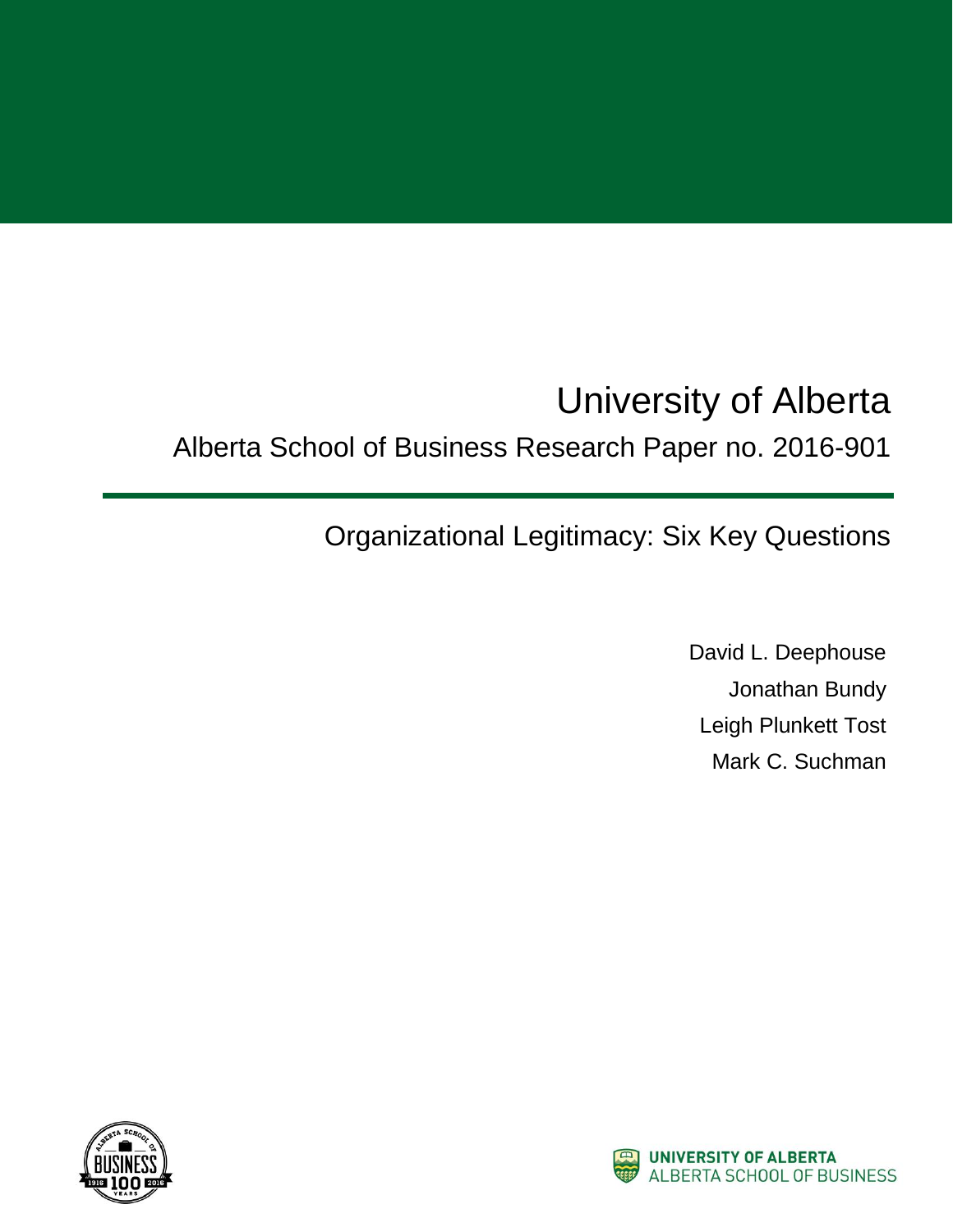# University of Alberta

Alberta School of Business Research Paper no. 2016-901

Organizational Legitimacy: Six Key Questions

David L. Deephouse Jonathan Bundy Leigh Plunkett Tost Mark C. Suchman



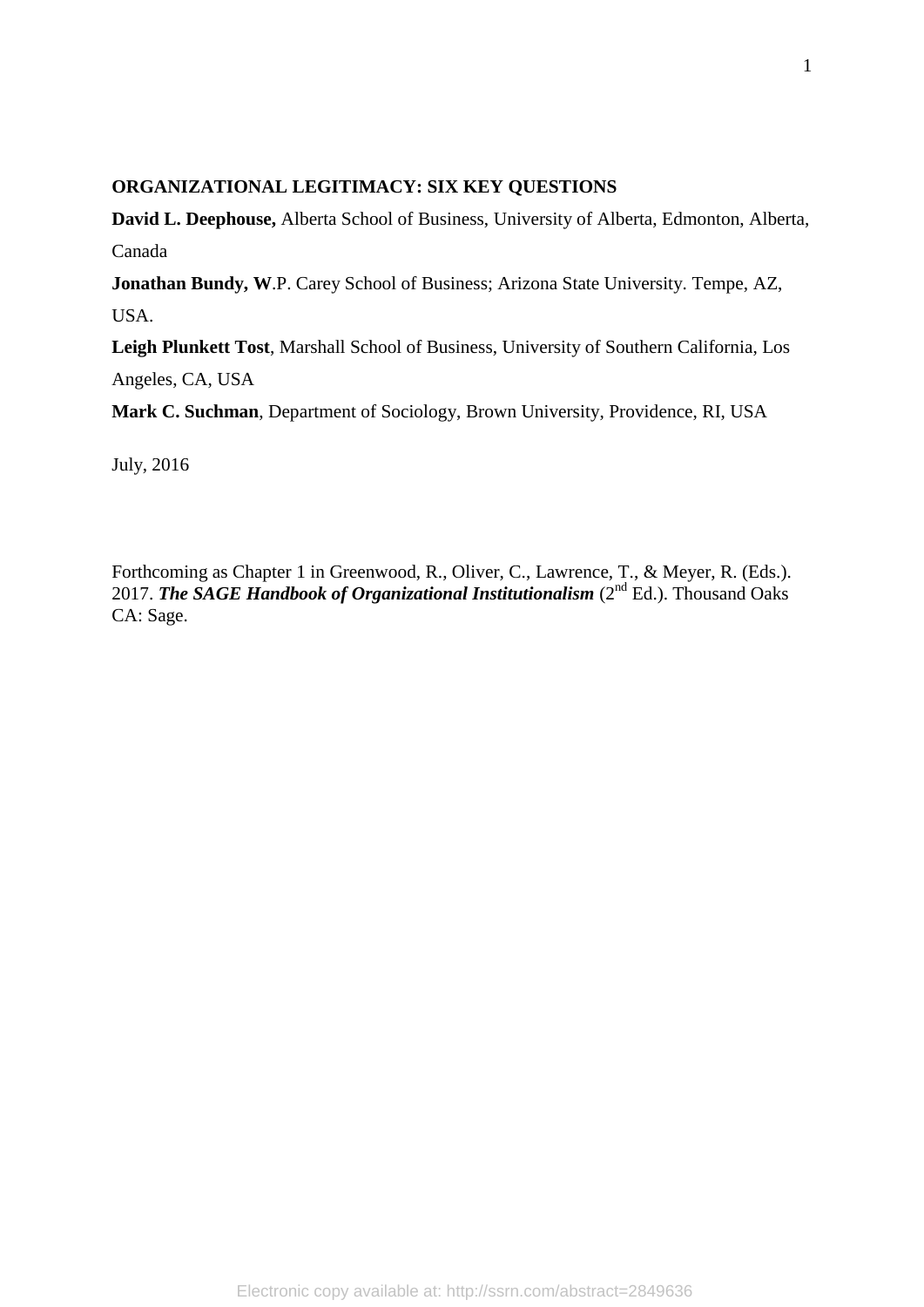### **ORGANIZATIONAL LEGITIMACY: SIX KEY QUESTIONS**

**David L. Deephouse,** Alberta School of Business, University of Alberta, Edmonton, Alberta, Canada

**Jonathan Bundy, W**.P. Carey School of Business; Arizona State University. Tempe, AZ, USA.

**Leigh Plunkett Tost**, Marshall School of Business, University of Southern California, Los Angeles, CA, USA

**Mark C. Suchman**, Department of Sociology, Brown University, Providence, RI, USA

July, 2016

Forthcoming as Chapter 1 in Greenwood, R., Oliver, C., Lawrence, T., & Meyer, R. (Eds.). 2017. *The SAGE Handbook of Organizational Institutionalism* (2<sup>nd</sup> Ed.). Thousand Oaks CA: Sage.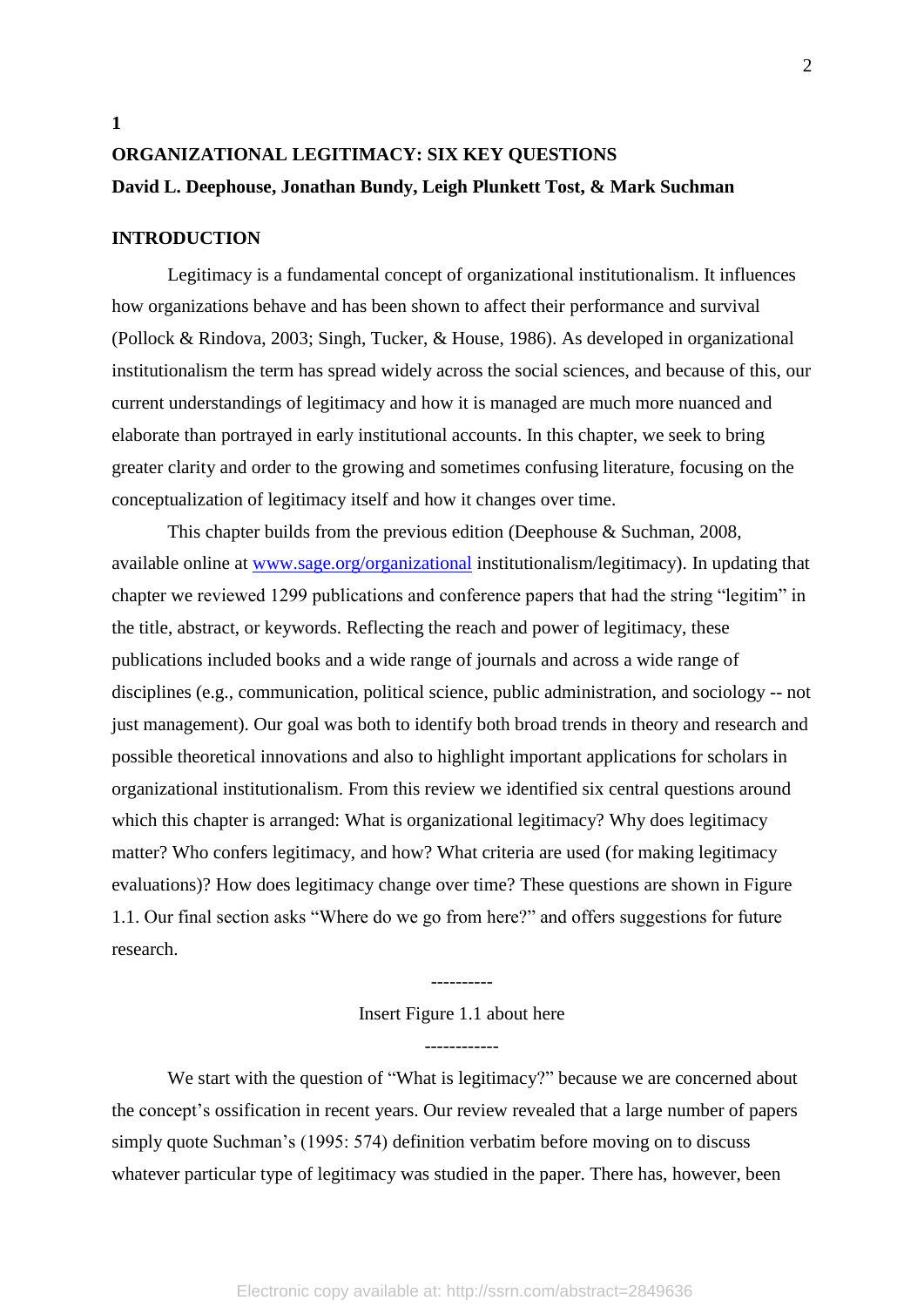# **ORGANIZATIONAL LEGITIMACY: SIX KEY QUESTIONS David L. Deephouse, Jonathan Bundy, Leigh Plunkett Tost, & Mark Suchman**

#### **INTRODUCTION**

**1**

Legitimacy is a fundamental concept of organizational institutionalism. It influences how organizations behave and has been shown to affect their performance and survival (Pollock & Rindova, 2003; Singh, Tucker, & House, 1986). As developed in organizational institutionalism the term has spread widely across the social sciences, and because of this, our current understandings of legitimacy and how it is managed are much more nuanced and elaborate than portrayed in early institutional accounts. In this chapter, we seek to bring greater clarity and order to the growing and sometimes confusing literature, focusing on the conceptualization of legitimacy itself and how it changes over time.

This chapter builds from the previous edition (Deephouse & Suchman, 2008, available online at [www.sage.org/organizational](http://www.sage.org/organizational) institutionalism/legitimacy). In updating that chapter we reviewed 1299 publications and conference papers that had the string "legitim" in the title, abstract, or keywords. Reflecting the reach and power of legitimacy, these publications included books and a wide range of journals and across a wide range of disciplines (e.g., communication, political science, public administration, and sociology -- not just management). Our goal was both to identify both broad trends in theory and research and possible theoretical innovations and also to highlight important applications for scholars in organizational institutionalism. From this review we identified six central questions around which this chapter is arranged: What is organizational legitimacy? Why does legitimacy matter? Who confers legitimacy, and how? What criteria are used (for making legitimacy evaluations)? How does legitimacy change over time? These questions are shown in Figure 1.1. Our final section asks "Where do we go from here?" and offers suggestions for future research.

# Insert Figure 1.1 about here ------------

----------

We start with the question of "What is legitimacy?" because we are concerned about the concept's ossification in recent years. Our review revealed that a large number of papers simply quote Suchman's (1995: 574) definition verbatim before moving on to discuss whatever particular type of legitimacy was studied in the paper. There has, however, been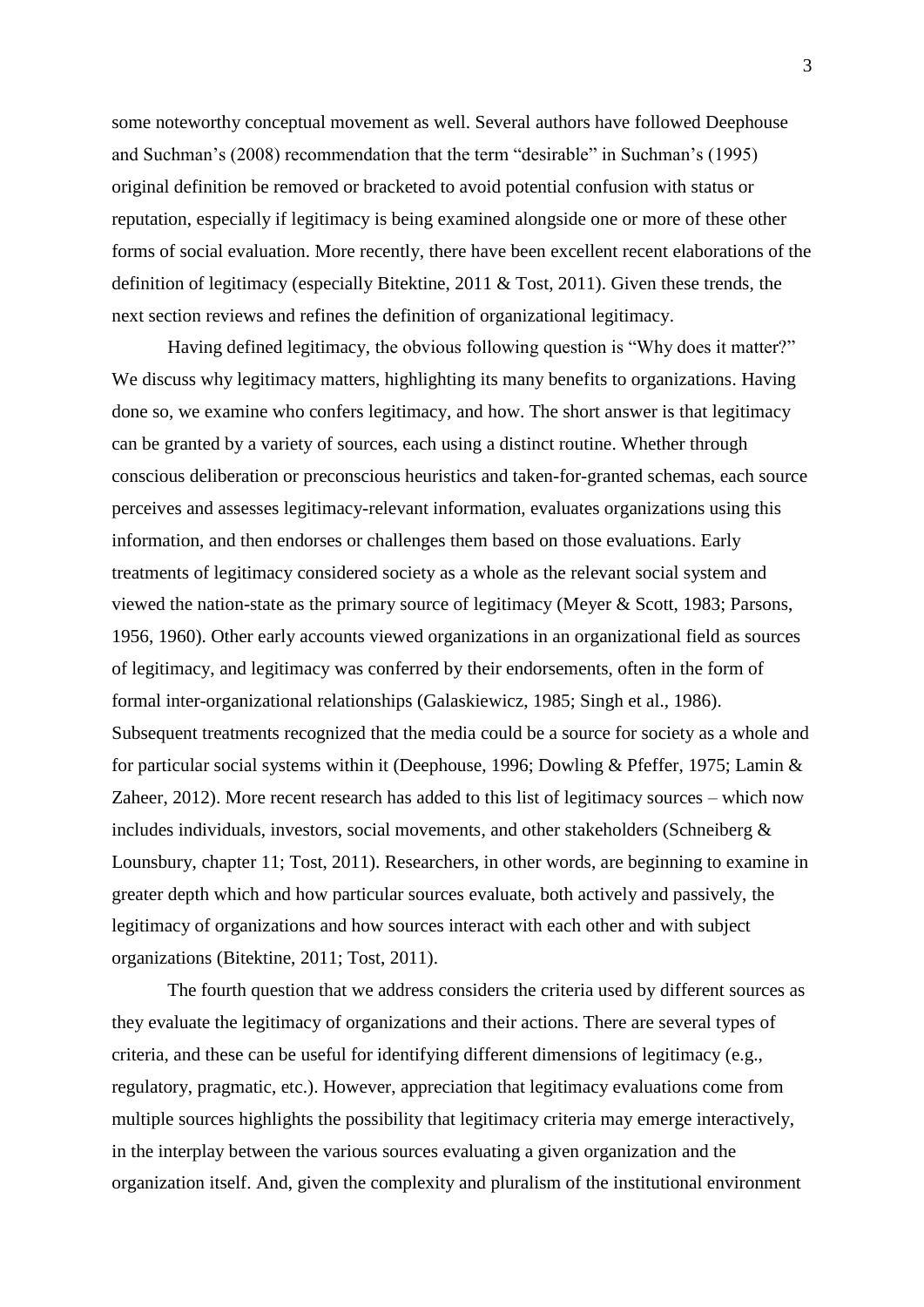some noteworthy conceptual movement as well. Several authors have followed Deephouse and Suchman's (2008) recommendation that the term "desirable" in Suchman's (1995) original definition be removed or bracketed to avoid potential confusion with status or reputation, especially if legitimacy is being examined alongside one or more of these other forms of social evaluation. More recently, there have been excellent recent elaborations of the definition of legitimacy (especially Bitektine, 2011 & Tost, 2011). Given these trends, the next section reviews and refines the definition of organizational legitimacy.

Having defined legitimacy, the obvious following question is "Why does it matter?" We discuss why legitimacy matters, highlighting its many benefits to organizations. Having done so, we examine who confers legitimacy, and how. The short answer is that legitimacy can be granted by a variety of sources, each using a distinct routine. Whether through conscious deliberation or preconscious heuristics and taken-for-granted schemas, each source perceives and assesses legitimacy-relevant information, evaluates organizations using this information, and then endorses or challenges them based on those evaluations. Early treatments of legitimacy considered society as a whole as the relevant social system and viewed the nation-state as the primary source of legitimacy (Meyer & Scott, 1983; Parsons, 1956, 1960). Other early accounts viewed organizations in an organizational field as sources of legitimacy, and legitimacy was conferred by their endorsements, often in the form of formal inter-organizational relationships (Galaskiewicz, 1985; Singh et al., 1986). Subsequent treatments recognized that the media could be a source for society as a whole and for particular social systems within it (Deephouse, 1996; Dowling & Pfeffer, 1975; Lamin & Zaheer, 2012). More recent research has added to this list of legitimacy sources – which now includes individuals, investors, social movements, and other stakeholders (Schneiberg & Lounsbury, chapter 11; Tost, 2011). Researchers, in other words, are beginning to examine in greater depth which and how particular sources evaluate, both actively and passively, the legitimacy of organizations and how sources interact with each other and with subject organizations (Bitektine, 2011; Tost, 2011).

The fourth question that we address considers the criteria used by different sources as they evaluate the legitimacy of organizations and their actions. There are several types of criteria, and these can be useful for identifying different dimensions of legitimacy (e.g., regulatory, pragmatic, etc.). However, appreciation that legitimacy evaluations come from multiple sources highlights the possibility that legitimacy criteria may emerge interactively, in the interplay between the various sources evaluating a given organization and the organization itself. And, given the complexity and pluralism of the institutional environment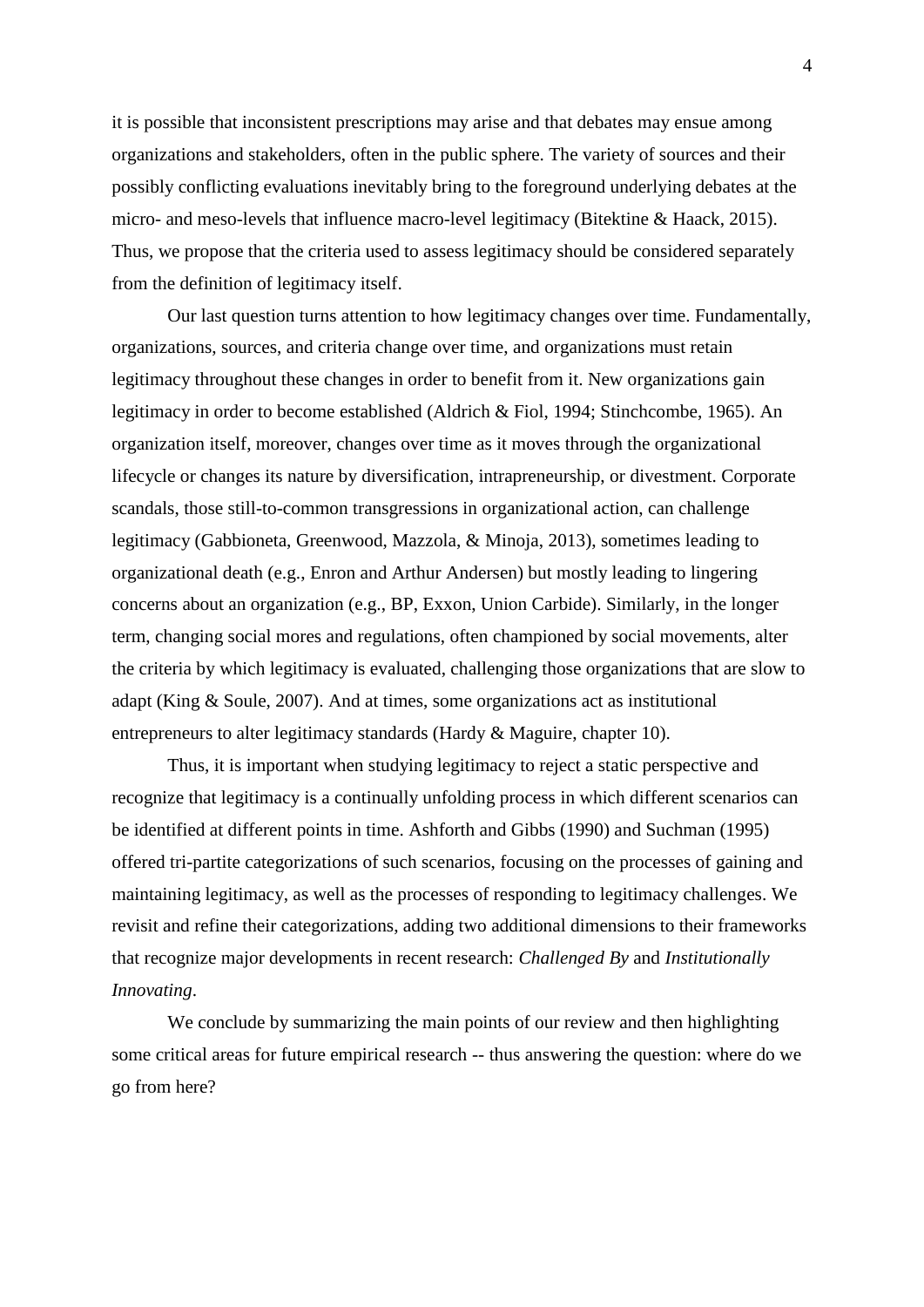it is possible that inconsistent prescriptions may arise and that debates may ensue among organizations and stakeholders, often in the public sphere. The variety of sources and their possibly conflicting evaluations inevitably bring to the foreground underlying debates at the micro- and meso-levels that influence macro-level legitimacy (Bitektine & Haack, 2015). Thus, we propose that the criteria used to assess legitimacy should be considered separately from the definition of legitimacy itself.

Our last question turns attention to how legitimacy changes over time. Fundamentally, organizations, sources, and criteria change over time, and organizations must retain legitimacy throughout these changes in order to benefit from it. New organizations gain legitimacy in order to become established (Aldrich & Fiol, 1994; Stinchcombe, 1965). An organization itself, moreover, changes over time as it moves through the organizational lifecycle or changes its nature by diversification, intrapreneurship, or divestment. Corporate scandals, those still-to-common transgressions in organizational action, can challenge legitimacy (Gabbioneta, Greenwood, Mazzola, & Minoja, 2013), sometimes leading to organizational death (e.g., Enron and Arthur Andersen) but mostly leading to lingering concerns about an organization (e.g., BP, Exxon, Union Carbide). Similarly, in the longer term, changing social mores and regulations, often championed by social movements, alter the criteria by which legitimacy is evaluated, challenging those organizations that are slow to adapt (King & Soule, 2007). And at times, some organizations act as institutional entrepreneurs to alter legitimacy standards (Hardy & Maguire, chapter 10).

Thus, it is important when studying legitimacy to reject a static perspective and recognize that legitimacy is a continually unfolding process in which different scenarios can be identified at different points in time. Ashforth and Gibbs (1990) and Suchman (1995) offered tri-partite categorizations of such scenarios, focusing on the processes of gaining and maintaining legitimacy, as well as the processes of responding to legitimacy challenges. We revisit and refine their categorizations, adding two additional dimensions to their frameworks that recognize major developments in recent research: *Challenged By* and *Institutionally Innovating*.

We conclude by summarizing the main points of our review and then highlighting some critical areas for future empirical research -- thus answering the question: where do we go from here?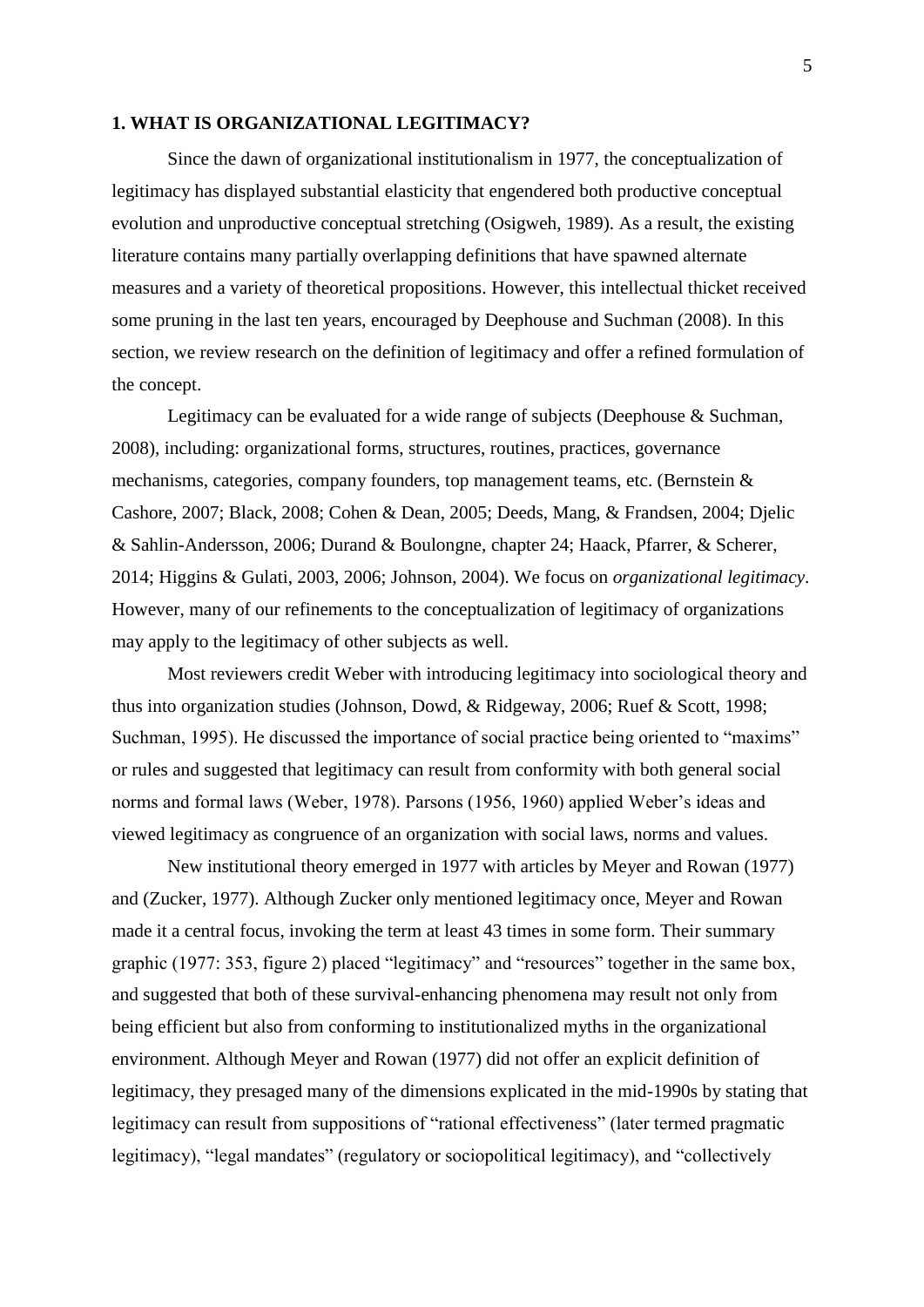#### **1. WHAT IS ORGANIZATIONAL LEGITIMACY?**

Since the dawn of organizational institutionalism in 1977, the conceptualization of legitimacy has displayed substantial elasticity that engendered both productive conceptual evolution and unproductive conceptual stretching (Osigweh, 1989). As a result, the existing literature contains many partially overlapping definitions that have spawned alternate measures and a variety of theoretical propositions. However, this intellectual thicket received some pruning in the last ten years, encouraged by Deephouse and Suchman (2008). In this section, we review research on the definition of legitimacy and offer a refined formulation of the concept.

Legitimacy can be evaluated for a wide range of subjects (Deephouse & Suchman, 2008), including: organizational forms, structures, routines, practices, governance mechanisms, categories, company founders, top management teams, etc. (Bernstein & Cashore, 2007; Black, 2008; Cohen & Dean, 2005; Deeds, Mang, & Frandsen, 2004; Djelic & Sahlin-Andersson, 2006; Durand & Boulongne, chapter 24; Haack, Pfarrer, & Scherer, 2014; Higgins & Gulati, 2003, 2006; Johnson, 2004). We focus on *organizational legitimacy*. However, many of our refinements to the conceptualization of legitimacy of organizations may apply to the legitimacy of other subjects as well.

Most reviewers credit Weber with introducing legitimacy into sociological theory and thus into organization studies (Johnson, Dowd, & Ridgeway, 2006; Ruef & Scott, 1998; Suchman, 1995). He discussed the importance of social practice being oriented to "maxims" or rules and suggested that legitimacy can result from conformity with both general social norms and formal laws (Weber, 1978). Parsons (1956, 1960) applied Weber's ideas and viewed legitimacy as congruence of an organization with social laws, norms and values.

New institutional theory emerged in 1977 with articles by Meyer and Rowan (1977) and (Zucker, 1977). Although Zucker only mentioned legitimacy once, Meyer and Rowan made it a central focus, invoking the term at least 43 times in some form. Their summary graphic (1977: 353, figure 2) placed "legitimacy" and "resources" together in the same box, and suggested that both of these survival-enhancing phenomena may result not only from being efficient but also from conforming to institutionalized myths in the organizational environment. Although Meyer and Rowan (1977) did not offer an explicit definition of legitimacy, they presaged many of the dimensions explicated in the mid-1990s by stating that legitimacy can result from suppositions of "rational effectiveness" (later termed pragmatic legitimacy), "legal mandates" (regulatory or sociopolitical legitimacy), and "collectively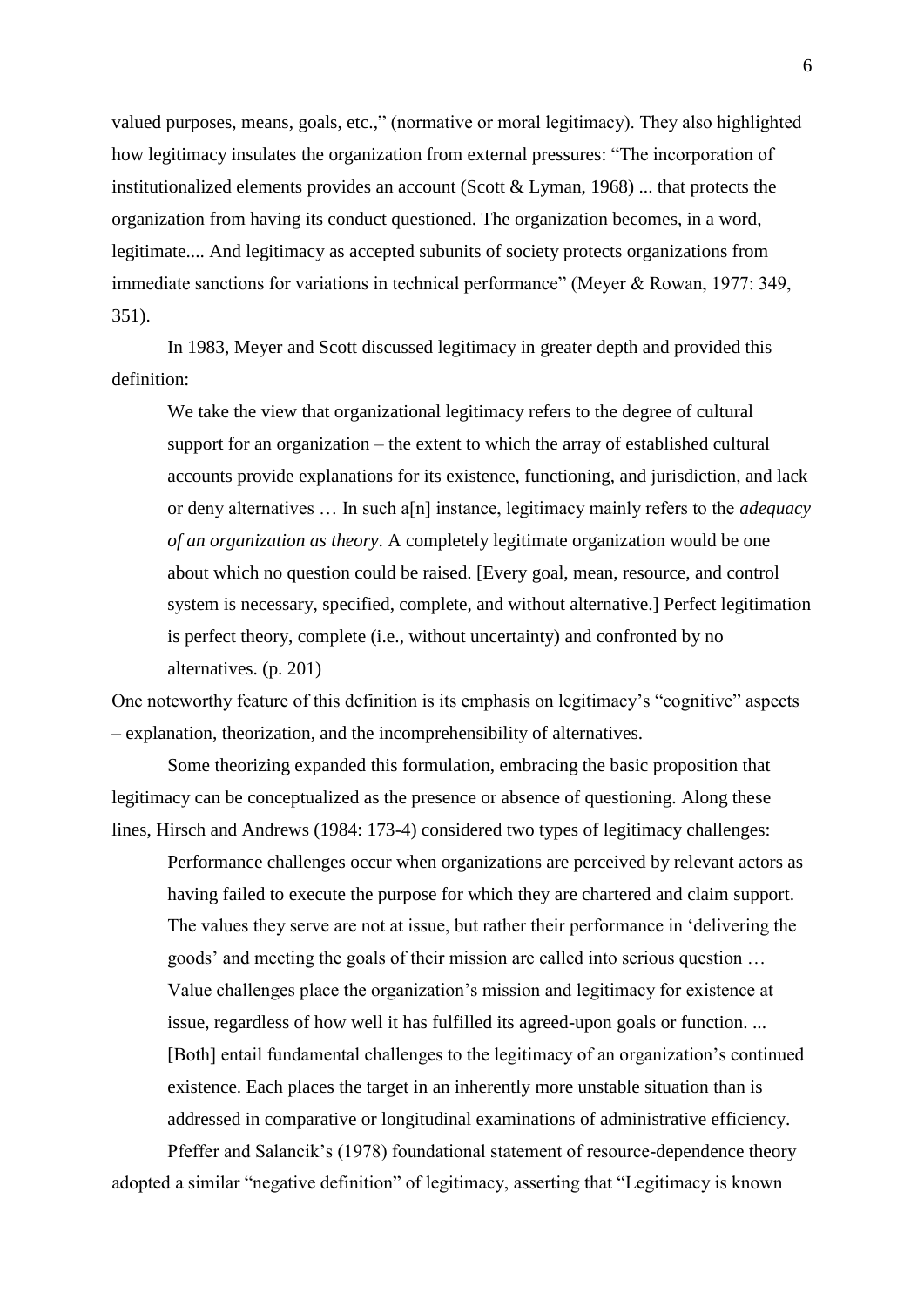valued purposes, means, goals, etc.," (normative or moral legitimacy). They also highlighted how legitimacy insulates the organization from external pressures: "The incorporation of institutionalized elements provides an account (Scott & Lyman, 1968) ... that protects the organization from having its conduct questioned. The organization becomes, in a word, legitimate.... And legitimacy as accepted subunits of society protects organizations from immediate sanctions for variations in technical performance" (Meyer & Rowan, 1977: 349, 351).

In 1983, Meyer and Scott discussed legitimacy in greater depth and provided this definition:

We take the view that organizational legitimacy refers to the degree of cultural support for an organization – the extent to which the array of established cultural accounts provide explanations for its existence, functioning, and jurisdiction, and lack or deny alternatives … In such a[n] instance, legitimacy mainly refers to the *adequacy of an organization as theory*. A completely legitimate organization would be one about which no question could be raised. [Every goal, mean, resource, and control system is necessary, specified, complete, and without alternative.] Perfect legitimation is perfect theory, complete (i.e., without uncertainty) and confronted by no alternatives. (p. 201)

One noteworthy feature of this definition is its emphasis on legitimacy's "cognitive" aspects – explanation, theorization, and the incomprehensibility of alternatives.

Some theorizing expanded this formulation, embracing the basic proposition that legitimacy can be conceptualized as the presence or absence of questioning. Along these lines, Hirsch and Andrews (1984: 173-4) considered two types of legitimacy challenges:

Performance challenges occur when organizations are perceived by relevant actors as having failed to execute the purpose for which they are chartered and claim support. The values they serve are not at issue, but rather their performance in 'delivering the goods' and meeting the goals of their mission are called into serious question … Value challenges place the organization's mission and legitimacy for existence at issue, regardless of how well it has fulfilled its agreed-upon goals or function. ... [Both] entail fundamental challenges to the legitimacy of an organization's continued existence. Each places the target in an inherently more unstable situation than is addressed in comparative or longitudinal examinations of administrative efficiency.

Pfeffer and Salancik's (1978) foundational statement of resource-dependence theory adopted a similar "negative definition" of legitimacy, asserting that "Legitimacy is known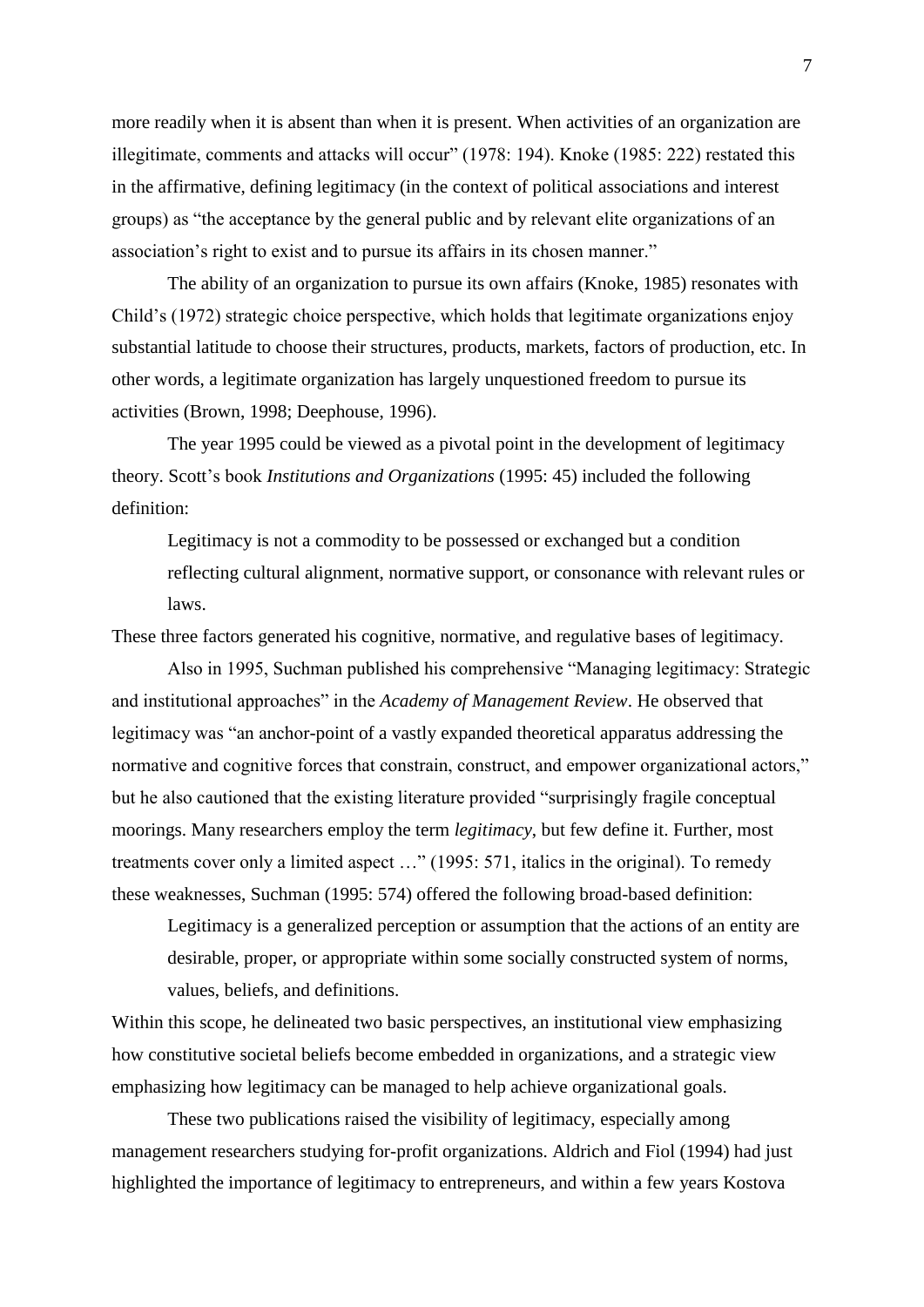more readily when it is absent than when it is present. When activities of an organization are illegitimate, comments and attacks will occur" (1978: 194). Knoke (1985: 222) restated this in the affirmative, defining legitimacy (in the context of political associations and interest groups) as "the acceptance by the general public and by relevant elite organizations of an association's right to exist and to pursue its affairs in its chosen manner."

The ability of an organization to pursue its own affairs (Knoke, 1985) resonates with Child's (1972) strategic choice perspective, which holds that legitimate organizations enjoy substantial latitude to choose their structures, products, markets, factors of production, etc. In other words, a legitimate organization has largely unquestioned freedom to pursue its activities (Brown, 1998; Deephouse, 1996).

The year 1995 could be viewed as a pivotal point in the development of legitimacy theory. Scott's book *Institutions and Organizations* (1995: 45) included the following definition:

Legitimacy is not a commodity to be possessed or exchanged but a condition reflecting cultural alignment, normative support, or consonance with relevant rules or laws.

These three factors generated his cognitive, normative, and regulative bases of legitimacy.

Also in 1995, Suchman published his comprehensive "Managing legitimacy: Strategic and institutional approaches" in the *Academy of Management Review*. He observed that legitimacy was "an anchor-point of a vastly expanded theoretical apparatus addressing the normative and cognitive forces that constrain, construct, and empower organizational actors," but he also cautioned that the existing literature provided "surprisingly fragile conceptual moorings. Many researchers employ the term *legitimacy*, but few define it. Further, most treatments cover only a limited aspect …" (1995: 571, italics in the original). To remedy these weaknesses, Suchman (1995: 574) offered the following broad-based definition:

Legitimacy is a generalized perception or assumption that the actions of an entity are desirable, proper, or appropriate within some socially constructed system of norms, values, beliefs, and definitions.

Within this scope, he delineated two basic perspectives, an institutional view emphasizing how constitutive societal beliefs become embedded in organizations, and a strategic view emphasizing how legitimacy can be managed to help achieve organizational goals.

These two publications raised the visibility of legitimacy, especially among management researchers studying for-profit organizations. Aldrich and Fiol (1994) had just highlighted the importance of legitimacy to entrepreneurs, and within a few years Kostova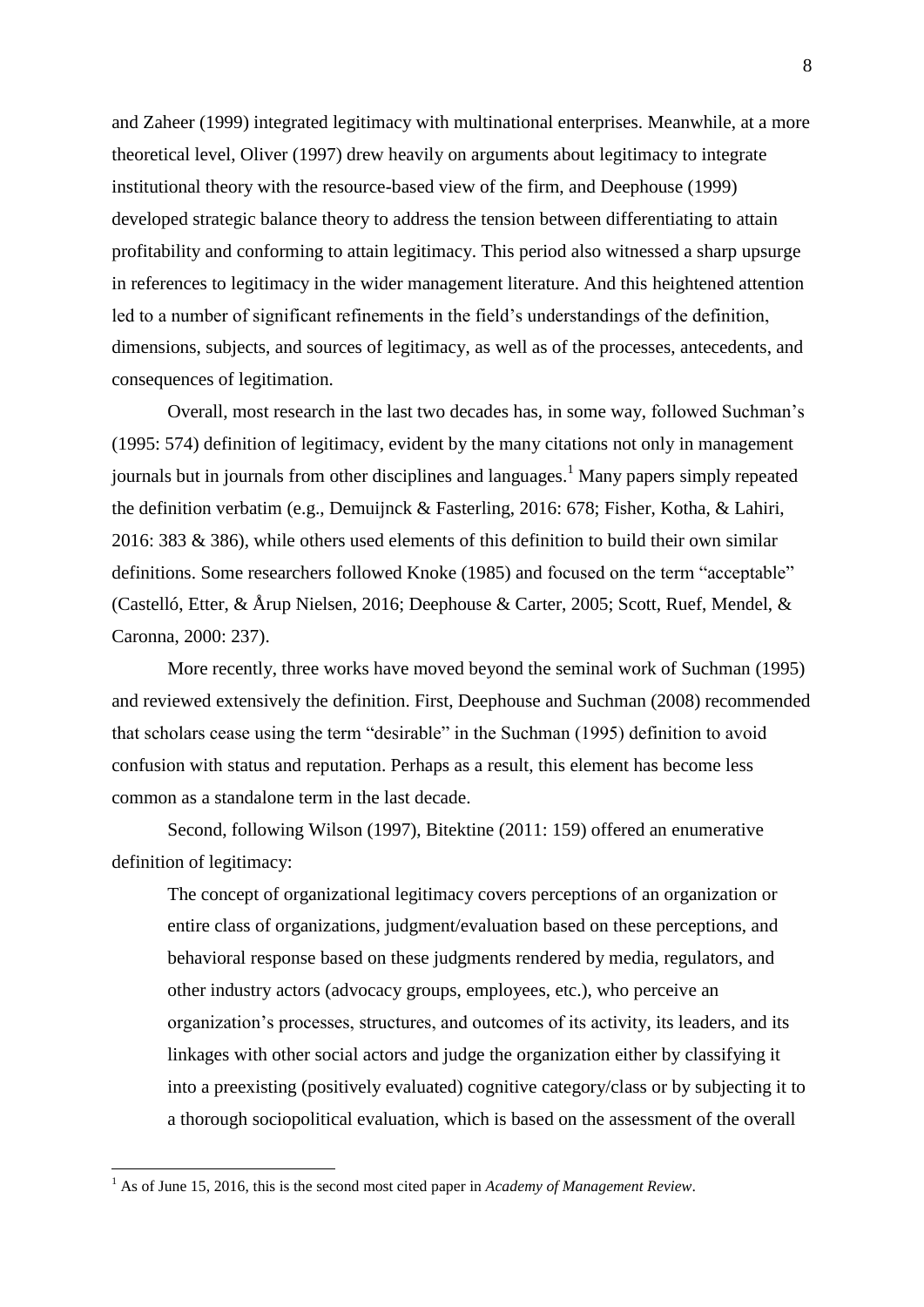and Zaheer (1999) integrated legitimacy with multinational enterprises. Meanwhile, at a more theoretical level, Oliver (1997) drew heavily on arguments about legitimacy to integrate institutional theory with the resource-based view of the firm, and Deephouse (1999) developed strategic balance theory to address the tension between differentiating to attain profitability and conforming to attain legitimacy. This period also witnessed a sharp upsurge in references to legitimacy in the wider management literature. And this heightened attention led to a number of significant refinements in the field's understandings of the definition, dimensions, subjects, and sources of legitimacy, as well as of the processes, antecedents, and consequences of legitimation.

Overall, most research in the last two decades has, in some way, followed Suchman's (1995: 574) definition of legitimacy, evident by the many citations not only in management journals but in journals from other disciplines and languages.<sup>1</sup> Many papers simply repeated the definition verbatim (e.g., Demuijnck & Fasterling, 2016: 678; Fisher, Kotha, & Lahiri, 2016: 383 & 386), while others used elements of this definition to build their own similar definitions. Some researchers followed Knoke (1985) and focused on the term "acceptable" (Castelló, Etter, & Årup Nielsen, 2016; Deephouse & Carter, 2005; Scott, Ruef, Mendel, & Caronna, 2000: 237).

More recently, three works have moved beyond the seminal work of Suchman (1995) and reviewed extensively the definition. First, Deephouse and Suchman (2008) recommended that scholars cease using the term "desirable" in the Suchman (1995) definition to avoid confusion with status and reputation. Perhaps as a result, this element has become less common as a standalone term in the last decade.

Second, following Wilson (1997), Bitektine (2011: 159) offered an enumerative definition of legitimacy:

The concept of organizational legitimacy covers perceptions of an organization or entire class of organizations, judgment/evaluation based on these perceptions, and behavioral response based on these judgments rendered by media, regulators, and other industry actors (advocacy groups, employees, etc.), who perceive an organization's processes, structures, and outcomes of its activity, its leaders, and its linkages with other social actors and judge the organization either by classifying it into a preexisting (positively evaluated) cognitive category/class or by subjecting it to a thorough sociopolitical evaluation, which is based on the assessment of the overall

1

<sup>&</sup>lt;sup>1</sup> As of June 15, 2016, this is the second most cited paper in *Academy of Management Review*.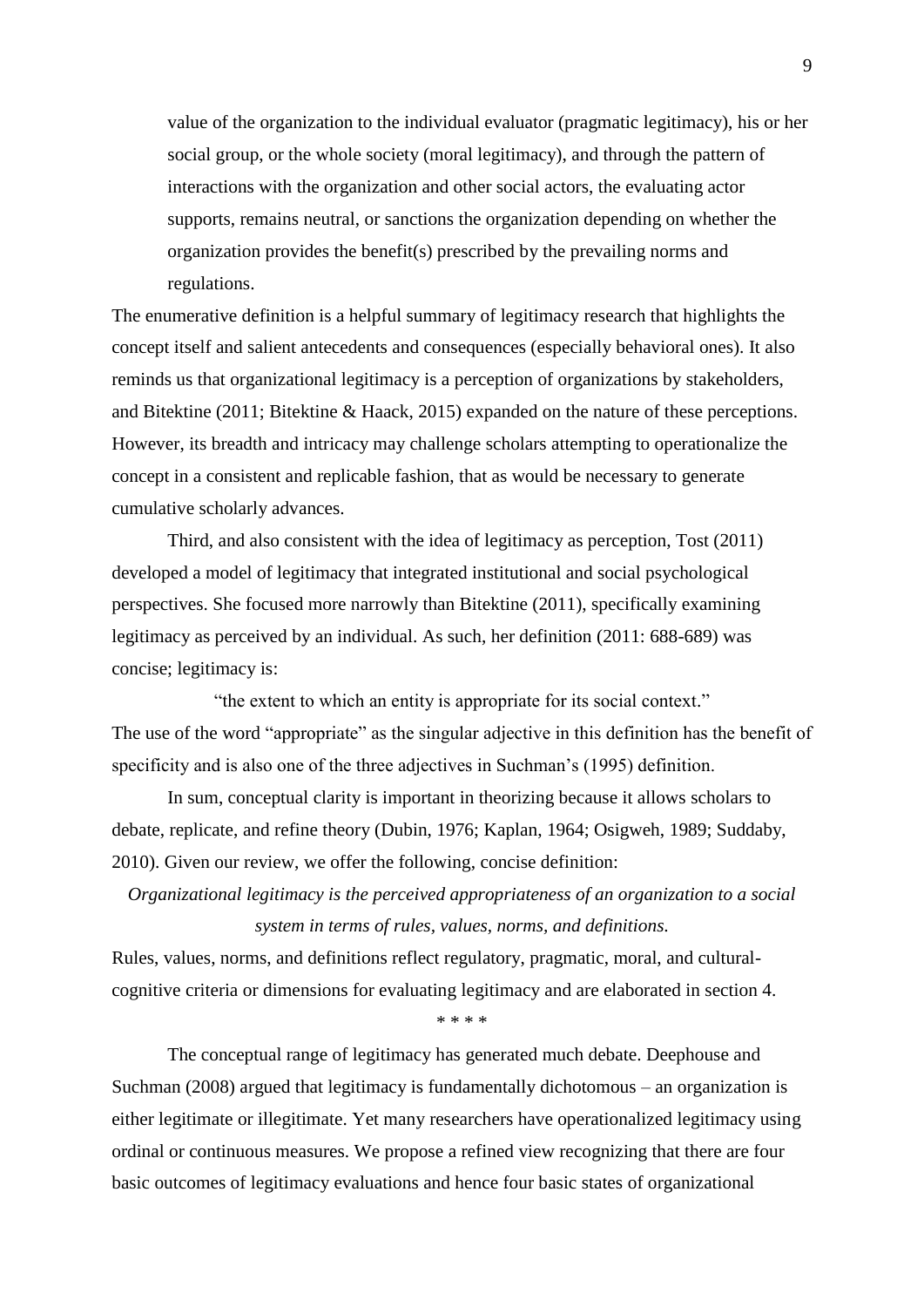value of the organization to the individual evaluator (pragmatic legitimacy), his or her social group, or the whole society (moral legitimacy), and through the pattern of interactions with the organization and other social actors, the evaluating actor supports, remains neutral, or sanctions the organization depending on whether the organization provides the benefit(s) prescribed by the prevailing norms and regulations.

The enumerative definition is a helpful summary of legitimacy research that highlights the concept itself and salient antecedents and consequences (especially behavioral ones). It also reminds us that organizational legitimacy is a perception of organizations by stakeholders, and Bitektine (2011; Bitektine & Haack, 2015) expanded on the nature of these perceptions. However, its breadth and intricacy may challenge scholars attempting to operationalize the concept in a consistent and replicable fashion, that as would be necessary to generate cumulative scholarly advances.

Third, and also consistent with the idea of legitimacy as perception, Tost (2011) developed a model of legitimacy that integrated institutional and social psychological perspectives. She focused more narrowly than Bitektine (2011), specifically examining legitimacy as perceived by an individual. As such, her definition (2011: 688-689) was concise; legitimacy is:

"the extent to which an entity is appropriate for its social context." The use of the word "appropriate" as the singular adjective in this definition has the benefit of specificity and is also one of the three adjectives in Suchman's (1995) definition.

In sum, conceptual clarity is important in theorizing because it allows scholars to debate, replicate, and refine theory (Dubin, 1976; Kaplan, 1964; Osigweh, 1989; Suddaby, 2010). Given our review, we offer the following, concise definition:

*Organizational legitimacy is the perceived appropriateness of an organization to a social system in terms of rules, values, norms, and definitions.*

Rules, values, norms, and definitions reflect regulatory, pragmatic, moral, and culturalcognitive criteria or dimensions for evaluating legitimacy and are elaborated in section 4.

\* \* \* \*

The conceptual range of legitimacy has generated much debate. Deephouse and Suchman (2008) argued that legitimacy is fundamentally dichotomous – an organization is either legitimate or illegitimate. Yet many researchers have operationalized legitimacy using ordinal or continuous measures. We propose a refined view recognizing that there are four basic outcomes of legitimacy evaluations and hence four basic states of organizational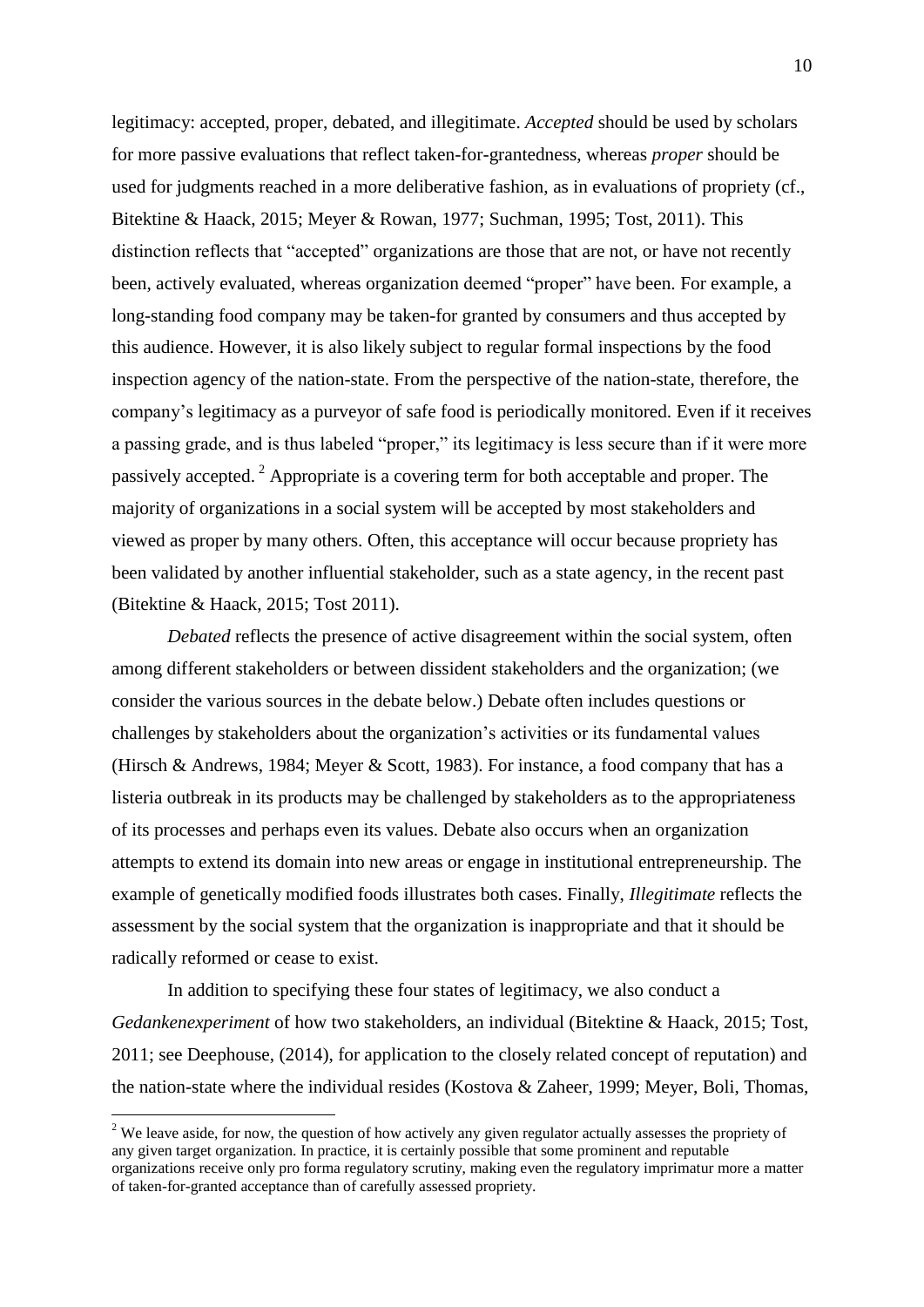legitimacy: accepted, proper, debated, and illegitimate. *Accepted* should be used by scholars for more passive evaluations that reflect taken-for-grantedness, whereas *proper* should be used for judgments reached in a more deliberative fashion, as in evaluations of propriety (cf., Bitektine & Haack, 2015; Meyer & Rowan, 1977; Suchman, 1995; Tost, 2011). This distinction reflects that "accepted" organizations are those that are not, or have not recently been, actively evaluated, whereas organization deemed "proper" have been. For example, a long-standing food company may be taken-for granted by consumers and thus accepted by this audience. However, it is also likely subject to regular formal inspections by the food inspection agency of the nation-state. From the perspective of the nation-state, therefore, the company's legitimacy as a purveyor of safe food is periodically monitored. Even if it receives a passing grade, and is thus labeled "proper," its legitimacy is less secure than if it were more passively accepted. <sup>2</sup> Appropriate is a covering term for both acceptable and proper. The majority of organizations in a social system will be accepted by most stakeholders and viewed as proper by many others. Often, this acceptance will occur because propriety has been validated by another influential stakeholder, such as a state agency, in the recent past (Bitektine & Haack, 2015; Tost 2011).

*Debated* reflects the presence of active disagreement within the social system, often among different stakeholders or between dissident stakeholders and the organization; (we consider the various sources in the debate below.) Debate often includes questions or challenges by stakeholders about the organization's activities or its fundamental values (Hirsch & Andrews, 1984; Meyer & Scott, 1983). For instance, a food company that has a listeria outbreak in its products may be challenged by stakeholders as to the appropriateness of its processes and perhaps even its values. Debate also occurs when an organization attempts to extend its domain into new areas or engage in institutional entrepreneurship. The example of genetically modified foods illustrates both cases. Finally, *Illegitimate* reflects the assessment by the social system that the organization is inappropriate and that it should be radically reformed or cease to exist.

In addition to specifying these four states of legitimacy, we also conduct a *Gedankenexperiment* of how two stakeholders, an individual (Bitektine & Haack, 2015; Tost, 2011; see Deephouse, (2014), for application to the closely related concept of reputation) and the nation-state where the individual resides (Kostova & Zaheer, 1999; Meyer, Boli, Thomas,

1

<sup>&</sup>lt;sup>2</sup> We leave aside, for now, the question of how actively any given regulator actually assesses the propriety of any given target organization. In practice, it is certainly possible that some prominent and reputable organizations receive only pro forma regulatory scrutiny, making even the regulatory imprimatur more a matter of taken-for-granted acceptance than of carefully assessed propriety.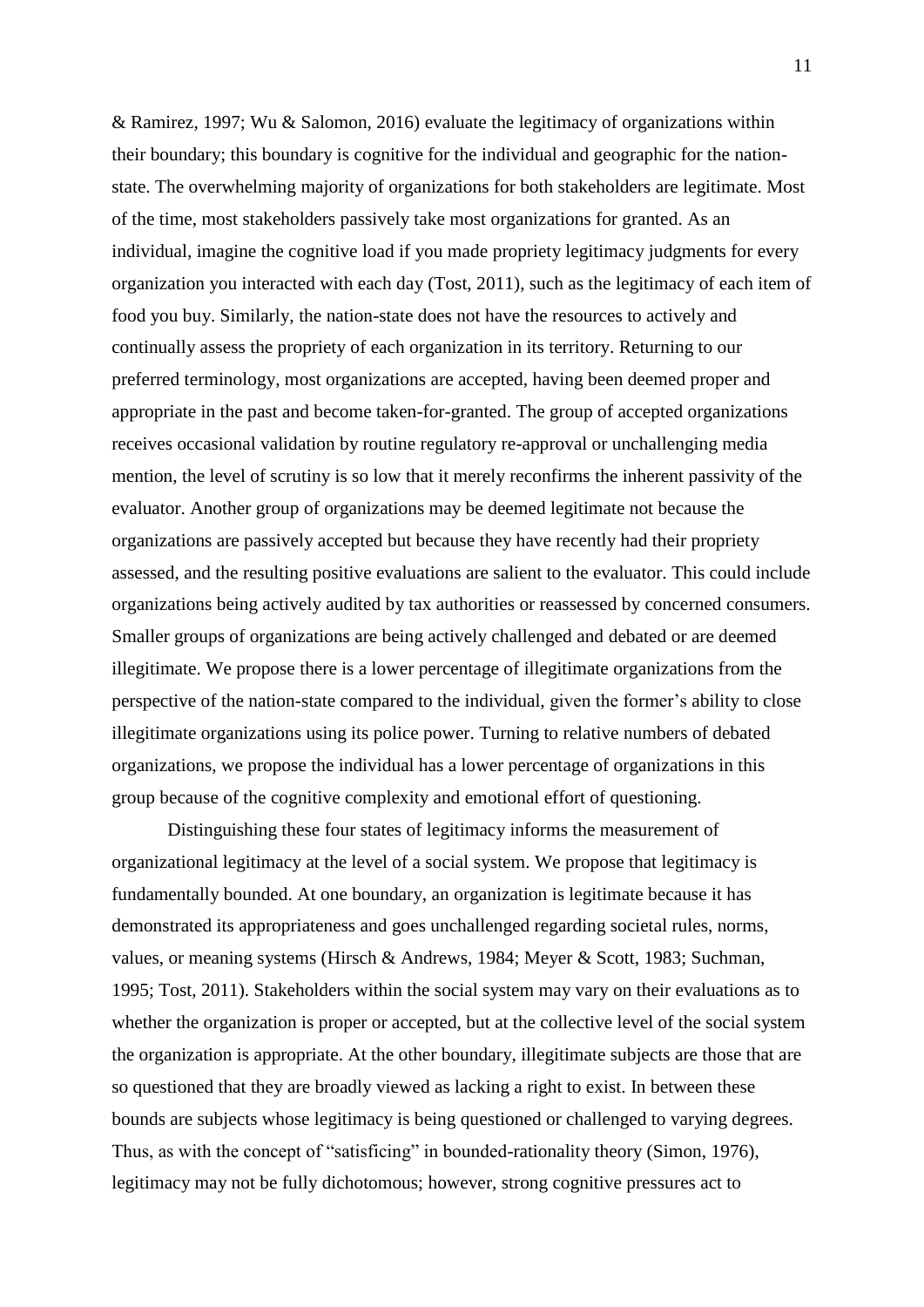& Ramirez, 1997; Wu & Salomon, 2016) evaluate the legitimacy of organizations within their boundary; this boundary is cognitive for the individual and geographic for the nationstate. The overwhelming majority of organizations for both stakeholders are legitimate. Most of the time, most stakeholders passively take most organizations for granted. As an individual, imagine the cognitive load if you made propriety legitimacy judgments for every organization you interacted with each day (Tost, 2011), such as the legitimacy of each item of food you buy. Similarly, the nation-state does not have the resources to actively and continually assess the propriety of each organization in its territory. Returning to our preferred terminology, most organizations are accepted, having been deemed proper and appropriate in the past and become taken-for-granted. The group of accepted organizations receives occasional validation by routine regulatory re-approval or unchallenging media mention, the level of scrutiny is so low that it merely reconfirms the inherent passivity of the evaluator. Another group of organizations may be deemed legitimate not because the organizations are passively accepted but because they have recently had their propriety assessed, and the resulting positive evaluations are salient to the evaluator. This could include organizations being actively audited by tax authorities or reassessed by concerned consumers. Smaller groups of organizations are being actively challenged and debated or are deemed illegitimate. We propose there is a lower percentage of illegitimate organizations from the perspective of the nation-state compared to the individual, given the former's ability to close illegitimate organizations using its police power. Turning to relative numbers of debated organizations, we propose the individual has a lower percentage of organizations in this group because of the cognitive complexity and emotional effort of questioning.

Distinguishing these four states of legitimacy informs the measurement of organizational legitimacy at the level of a social system. We propose that legitimacy is fundamentally bounded. At one boundary, an organization is legitimate because it has demonstrated its appropriateness and goes unchallenged regarding societal rules, norms, values, or meaning systems (Hirsch & Andrews, 1984; Meyer & Scott, 1983; Suchman, 1995; Tost, 2011). Stakeholders within the social system may vary on their evaluations as to whether the organization is proper or accepted, but at the collective level of the social system the organization is appropriate. At the other boundary, illegitimate subjects are those that are so questioned that they are broadly viewed as lacking a right to exist. In between these bounds are subjects whose legitimacy is being questioned or challenged to varying degrees. Thus, as with the concept of "satisficing" in bounded-rationality theory (Simon, 1976), legitimacy may not be fully dichotomous; however, strong cognitive pressures act to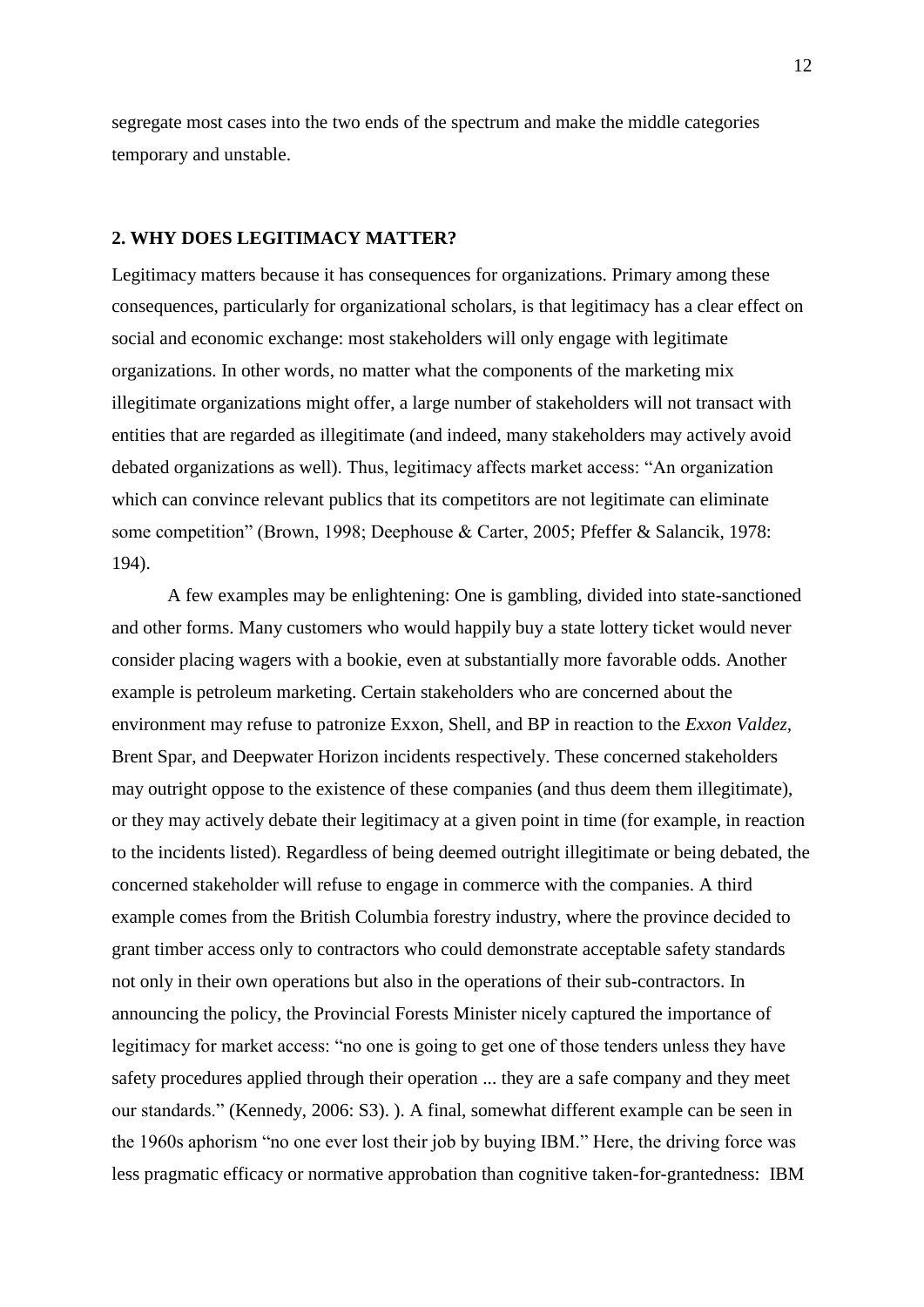segregate most cases into the two ends of the spectrum and make the middle categories temporary and unstable.

#### **2. WHY DOES LEGITIMACY MATTER?**

Legitimacy matters because it has consequences for organizations. Primary among these consequences, particularly for organizational scholars, is that legitimacy has a clear effect on social and economic exchange: most stakeholders will only engage with legitimate organizations. In other words, no matter what the components of the marketing mix illegitimate organizations might offer, a large number of stakeholders will not transact with entities that are regarded as illegitimate (and indeed, many stakeholders may actively avoid debated organizations as well). Thus, legitimacy affects market access: "An organization which can convince relevant publics that its competitors are not legitimate can eliminate some competition" (Brown, 1998; Deephouse & Carter, 2005; Pfeffer & Salancik, 1978: 194).

A few examples may be enlightening: One is gambling, divided into state-sanctioned and other forms. Many customers who would happily buy a state lottery ticket would never consider placing wagers with a bookie, even at substantially more favorable odds. Another example is petroleum marketing. Certain stakeholders who are concerned about the environment may refuse to patronize Exxon, Shell, and BP in reaction to the *Exxon Valdez,* Brent Spar, and Deepwater Horizon incidents respectively. These concerned stakeholders may outright oppose to the existence of these companies (and thus deem them illegitimate), or they may actively debate their legitimacy at a given point in time (for example, in reaction to the incidents listed). Regardless of being deemed outright illegitimate or being debated, the concerned stakeholder will refuse to engage in commerce with the companies. A third example comes from the British Columbia forestry industry, where the province decided to grant timber access only to contractors who could demonstrate acceptable safety standards not only in their own operations but also in the operations of their sub-contractors. In announcing the policy, the Provincial Forests Minister nicely captured the importance of legitimacy for market access: "no one is going to get one of those tenders unless they have safety procedures applied through their operation ... they are a safe company and they meet our standards." (Kennedy, 2006: S3). ). A final, somewhat different example can be seen in the 1960s aphorism "no one ever lost their job by buying IBM." Here, the driving force was less pragmatic efficacy or normative approbation than cognitive taken-for-grantedness: IBM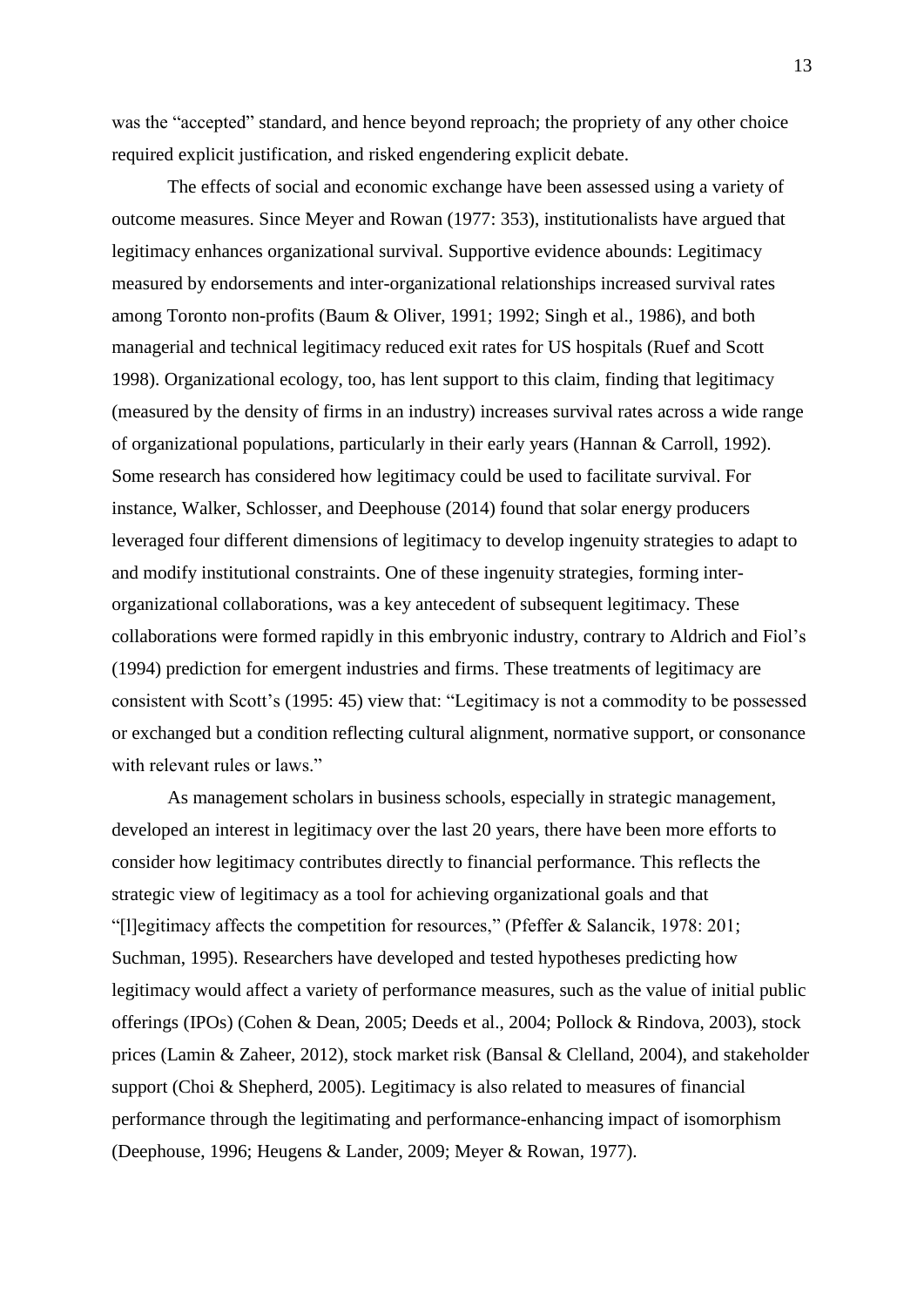was the "accepted" standard, and hence beyond reproach; the propriety of any other choice required explicit justification, and risked engendering explicit debate.

The effects of social and economic exchange have been assessed using a variety of outcome measures. Since Meyer and Rowan (1977: 353), institutionalists have argued that legitimacy enhances organizational survival. Supportive evidence abounds: Legitimacy measured by endorsements and inter-organizational relationships increased survival rates among Toronto non-profits (Baum & Oliver, 1991; 1992; Singh et al., 1986), and both managerial and technical legitimacy reduced exit rates for US hospitals (Ruef and Scott 1998). Organizational ecology, too, has lent support to this claim, finding that legitimacy (measured by the density of firms in an industry) increases survival rates across a wide range of organizational populations, particularly in their early years (Hannan & Carroll, 1992). Some research has considered how legitimacy could be used to facilitate survival. For instance, Walker, Schlosser, and Deephouse (2014) found that solar energy producers leveraged four different dimensions of legitimacy to develop ingenuity strategies to adapt to and modify institutional constraints. One of these ingenuity strategies, forming interorganizational collaborations, was a key antecedent of subsequent legitimacy. These collaborations were formed rapidly in this embryonic industry, contrary to Aldrich and Fiol's (1994) prediction for emergent industries and firms. These treatments of legitimacy are consistent with Scott's (1995: 45) view that: "Legitimacy is not a commodity to be possessed or exchanged but a condition reflecting cultural alignment, normative support, or consonance with relevant rules or laws."

As management scholars in business schools, especially in strategic management, developed an interest in legitimacy over the last 20 years, there have been more efforts to consider how legitimacy contributes directly to financial performance. This reflects the strategic view of legitimacy as a tool for achieving organizational goals and that "[l]egitimacy affects the competition for resources," (Pfeffer & Salancik, 1978: 201; Suchman, 1995). Researchers have developed and tested hypotheses predicting how legitimacy would affect a variety of performance measures, such as the value of initial public offerings (IPOs) (Cohen & Dean, 2005; Deeds et al., 2004; Pollock & Rindova, 2003), stock prices (Lamin & Zaheer, 2012), stock market risk (Bansal & Clelland, 2004), and stakeholder support (Choi & Shepherd, 2005). Legitimacy is also related to measures of financial performance through the legitimating and performance-enhancing impact of isomorphism (Deephouse, 1996; Heugens & Lander, 2009; Meyer & Rowan, 1977).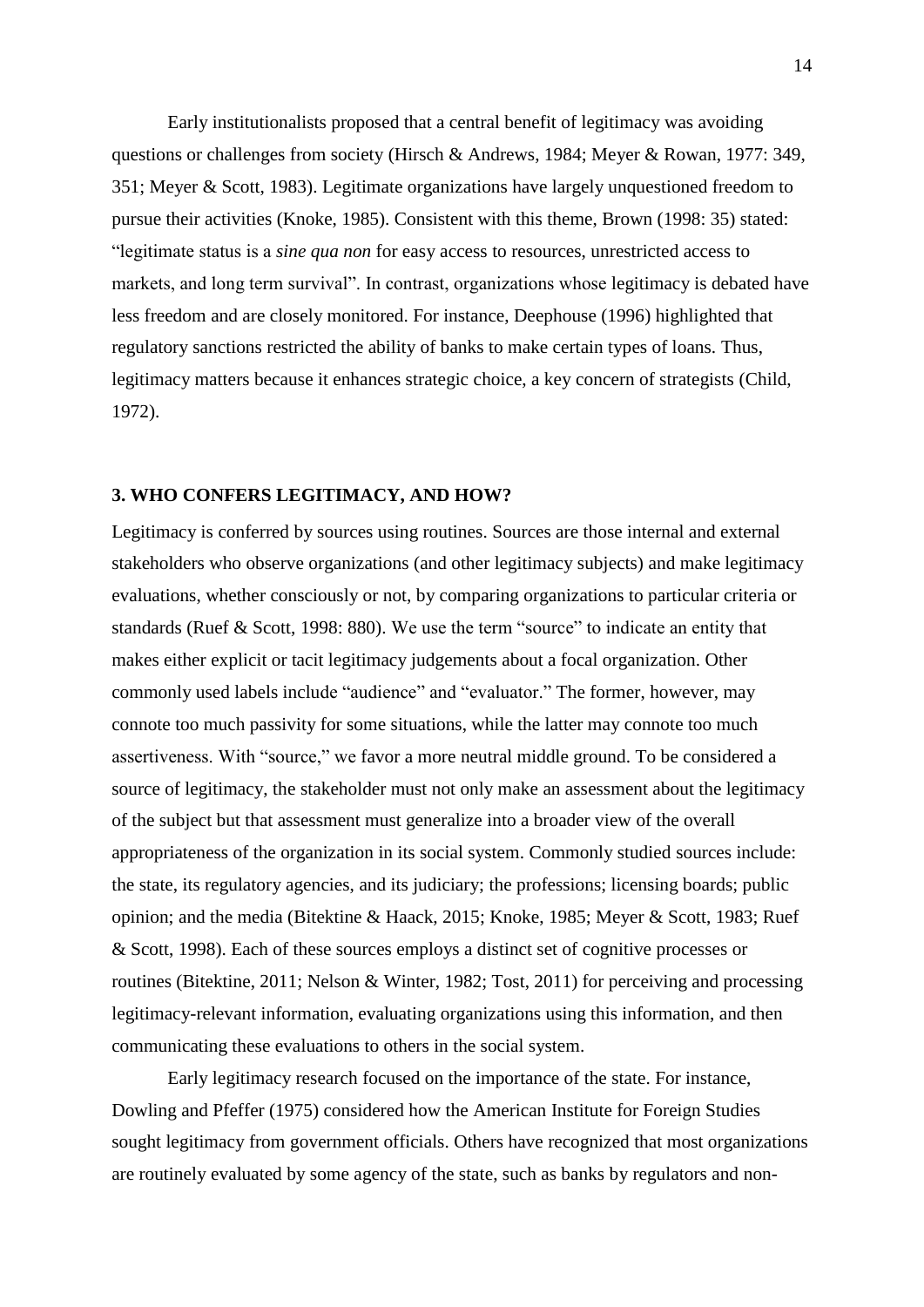Early institutionalists proposed that a central benefit of legitimacy was avoiding questions or challenges from society (Hirsch & Andrews, 1984; Meyer & Rowan, 1977: 349, 351; Meyer & Scott, 1983). Legitimate organizations have largely unquestioned freedom to pursue their activities (Knoke, 1985). Consistent with this theme, Brown (1998: 35) stated: "legitimate status is a *sine qua non* for easy access to resources, unrestricted access to markets, and long term survival". In contrast, organizations whose legitimacy is debated have less freedom and are closely monitored. For instance, Deephouse (1996) highlighted that regulatory sanctions restricted the ability of banks to make certain types of loans. Thus, legitimacy matters because it enhances strategic choice, a key concern of strategists (Child, 1972).

#### **3. WHO CONFERS LEGITIMACY, AND HOW?**

Legitimacy is conferred by sources using routines. Sources are those internal and external stakeholders who observe organizations (and other legitimacy subjects) and make legitimacy evaluations, whether consciously or not, by comparing organizations to particular criteria or standards (Ruef & Scott, 1998: 880). We use the term "source" to indicate an entity that makes either explicit or tacit legitimacy judgements about a focal organization. Other commonly used labels include "audience" and "evaluator." The former, however, may connote too much passivity for some situations, while the latter may connote too much assertiveness. With "source," we favor a more neutral middle ground. To be considered a source of legitimacy, the stakeholder must not only make an assessment about the legitimacy of the subject but that assessment must generalize into a broader view of the overall appropriateness of the organization in its social system. Commonly studied sources include: the state, its regulatory agencies, and its judiciary; the professions; licensing boards; public opinion; and the media (Bitektine & Haack, 2015; Knoke, 1985; Meyer & Scott, 1983; Ruef & Scott, 1998). Each of these sources employs a distinct set of cognitive processes or routines (Bitektine, 2011; Nelson & Winter, 1982; Tost, 2011) for perceiving and processing legitimacy-relevant information, evaluating organizations using this information, and then communicating these evaluations to others in the social system.

Early legitimacy research focused on the importance of the state. For instance, Dowling and Pfeffer (1975) considered how the American Institute for Foreign Studies sought legitimacy from government officials. Others have recognized that most organizations are routinely evaluated by some agency of the state, such as banks by regulators and non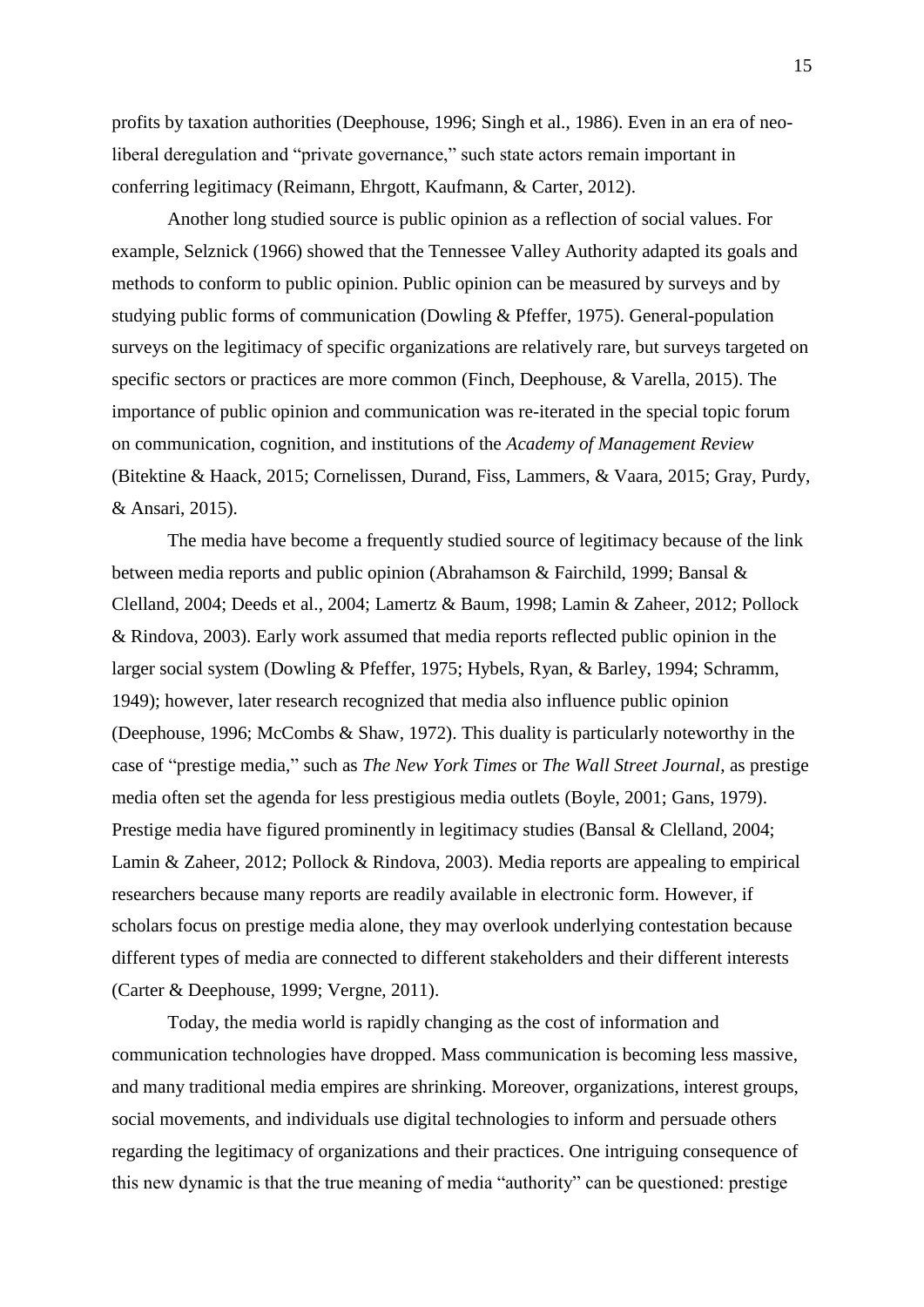profits by taxation authorities (Deephouse, 1996; Singh et al., 1986). Even in an era of neoliberal deregulation and "private governance," such state actors remain important in conferring legitimacy (Reimann, Ehrgott, Kaufmann, & Carter, 2012).

Another long studied source is public opinion as a reflection of social values. For example, Selznick (1966) showed that the Tennessee Valley Authority adapted its goals and methods to conform to public opinion. Public opinion can be measured by surveys and by studying public forms of communication (Dowling & Pfeffer, 1975). General-population surveys on the legitimacy of specific organizations are relatively rare, but surveys targeted on specific sectors or practices are more common (Finch, Deephouse, & Varella, 2015). The importance of public opinion and communication was re-iterated in the special topic forum on communication, cognition, and institutions of the *Academy of Management Review* (Bitektine & Haack, 2015; Cornelissen, Durand, Fiss, Lammers, & Vaara, 2015; Gray, Purdy, & Ansari, 2015).

The media have become a frequently studied source of legitimacy because of the link between media reports and public opinion (Abrahamson & Fairchild, 1999; Bansal & Clelland, 2004; Deeds et al., 2004; Lamertz & Baum, 1998; Lamin & Zaheer, 2012; Pollock & Rindova, 2003). Early work assumed that media reports reflected public opinion in the larger social system (Dowling & Pfeffer, 1975; Hybels, Ryan, & Barley, 1994; Schramm, 1949); however, later research recognized that media also influence public opinion (Deephouse, 1996; McCombs & Shaw, 1972). This duality is particularly noteworthy in the case of "prestige media," such as *The New York Times* or *The Wall Street Journal*, as prestige media often set the agenda for less prestigious media outlets (Boyle, 2001; Gans, 1979). Prestige media have figured prominently in legitimacy studies (Bansal & Clelland, 2004; Lamin & Zaheer, 2012; Pollock & Rindova, 2003). Media reports are appealing to empirical researchers because many reports are readily available in electronic form. However, if scholars focus on prestige media alone, they may overlook underlying contestation because different types of media are connected to different stakeholders and their different interests (Carter & Deephouse, 1999; Vergne, 2011).

Today, the media world is rapidly changing as the cost of information and communication technologies have dropped. Mass communication is becoming less massive, and many traditional media empires are shrinking. Moreover, organizations, interest groups, social movements, and individuals use digital technologies to inform and persuade others regarding the legitimacy of organizations and their practices. One intriguing consequence of this new dynamic is that the true meaning of media "authority" can be questioned: prestige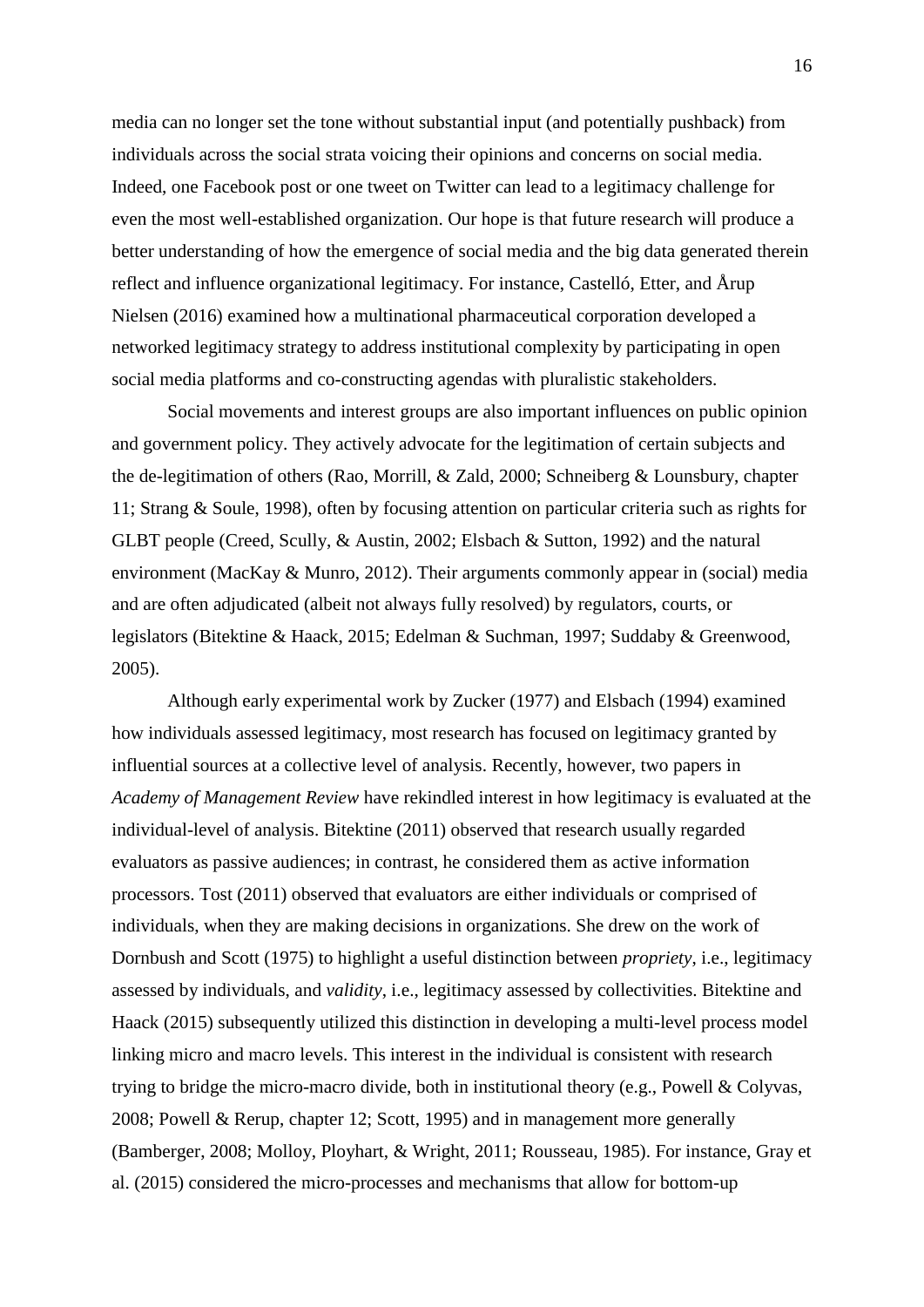media can no longer set the tone without substantial input (and potentially pushback) from individuals across the social strata voicing their opinions and concerns on social media. Indeed, one Facebook post or one tweet on Twitter can lead to a legitimacy challenge for even the most well-established organization. Our hope is that future research will produce a better understanding of how the emergence of social media and the big data generated therein reflect and influence organizational legitimacy. For instance, Castelló, Etter, and Årup Nielsen (2016) examined how a multinational pharmaceutical corporation developed a networked legitimacy strategy to address institutional complexity by participating in open social media platforms and co-constructing agendas with pluralistic stakeholders.

Social movements and interest groups are also important influences on public opinion and government policy. They actively advocate for the legitimation of certain subjects and the de-legitimation of others (Rao, Morrill, & Zald, 2000; Schneiberg & Lounsbury, chapter 11; Strang & Soule, 1998), often by focusing attention on particular criteria such as rights for GLBT people (Creed, Scully, & Austin, 2002; Elsbach & Sutton, 1992) and the natural environment (MacKay & Munro, 2012). Their arguments commonly appear in (social) media and are often adjudicated (albeit not always fully resolved) by regulators, courts, or legislators (Bitektine & Haack, 2015; Edelman & Suchman, 1997; Suddaby & Greenwood, 2005).

Although early experimental work by Zucker (1977) and Elsbach (1994) examined how individuals assessed legitimacy, most research has focused on legitimacy granted by influential sources at a collective level of analysis. Recently, however, two papers in *Academy of Management Review* have rekindled interest in how legitimacy is evaluated at the individual-level of analysis. Bitektine (2011) observed that research usually regarded evaluators as passive audiences; in contrast, he considered them as active information processors. Tost (2011) observed that evaluators are either individuals or comprised of individuals, when they are making decisions in organizations. She drew on the work of Dornbush and Scott (1975) to highlight a useful distinction between *propriety*, i.e., legitimacy assessed by individuals, and *validity*, i.e., legitimacy assessed by collectivities. Bitektine and Haack (2015) subsequently utilized this distinction in developing a multi-level process model linking micro and macro levels. This interest in the individual is consistent with research trying to bridge the micro-macro divide, both in institutional theory (e.g., Powell & Colyvas, 2008; Powell & Rerup, chapter 12; Scott, 1995) and in management more generally (Bamberger, 2008; Molloy, Ployhart, & Wright, 2011; Rousseau, 1985). For instance, Gray et al. (2015) considered the micro-processes and mechanisms that allow for bottom-up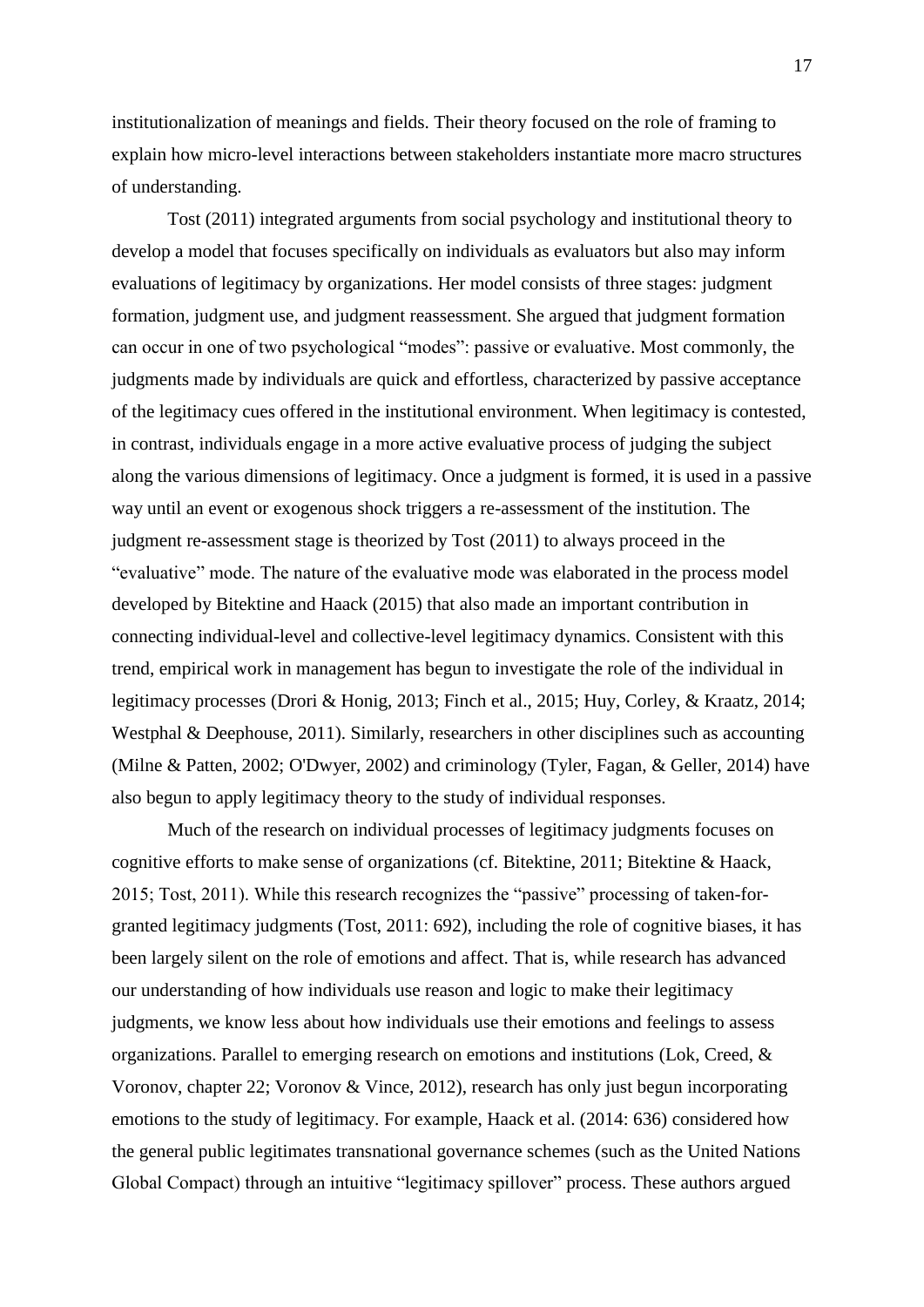institutionalization of meanings and fields. Their theory focused on the role of framing to explain how micro-level interactions between stakeholders instantiate more macro structures of understanding.

Tost (2011) integrated arguments from social psychology and institutional theory to develop a model that focuses specifically on individuals as evaluators but also may inform evaluations of legitimacy by organizations. Her model consists of three stages: judgment formation, judgment use, and judgment reassessment. She argued that judgment formation can occur in one of two psychological "modes": passive or evaluative. Most commonly, the judgments made by individuals are quick and effortless, characterized by passive acceptance of the legitimacy cues offered in the institutional environment. When legitimacy is contested, in contrast, individuals engage in a more active evaluative process of judging the subject along the various dimensions of legitimacy. Once a judgment is formed, it is used in a passive way until an event or exogenous shock triggers a re-assessment of the institution. The judgment re-assessment stage is theorized by Tost (2011) to always proceed in the "evaluative" mode. The nature of the evaluative mode was elaborated in the process model developed by Bitektine and Haack (2015) that also made an important contribution in connecting individual-level and collective-level legitimacy dynamics. Consistent with this trend, empirical work in management has begun to investigate the role of the individual in legitimacy processes (Drori & Honig, 2013; Finch et al., 2015; Huy, Corley, & Kraatz, 2014; Westphal & Deephouse, 2011). Similarly, researchers in other disciplines such as accounting (Milne & Patten, 2002; O'Dwyer, 2002) and criminology (Tyler, Fagan, & Geller, 2014) have also begun to apply legitimacy theory to the study of individual responses.

Much of the research on individual processes of legitimacy judgments focuses on cognitive efforts to make sense of organizations (cf. Bitektine, 2011; Bitektine & Haack, 2015; Tost, 2011). While this research recognizes the "passive" processing of taken-forgranted legitimacy judgments (Tost, 2011: 692), including the role of cognitive biases, it has been largely silent on the role of emotions and affect. That is, while research has advanced our understanding of how individuals use reason and logic to make their legitimacy judgments, we know less about how individuals use their emotions and feelings to assess organizations. Parallel to emerging research on emotions and institutions (Lok, Creed, & Voronov, chapter 22; Voronov & Vince, 2012), research has only just begun incorporating emotions to the study of legitimacy. For example, Haack et al. (2014: 636) considered how the general public legitimates transnational governance schemes (such as the United Nations Global Compact) through an intuitive "legitimacy spillover" process. These authors argued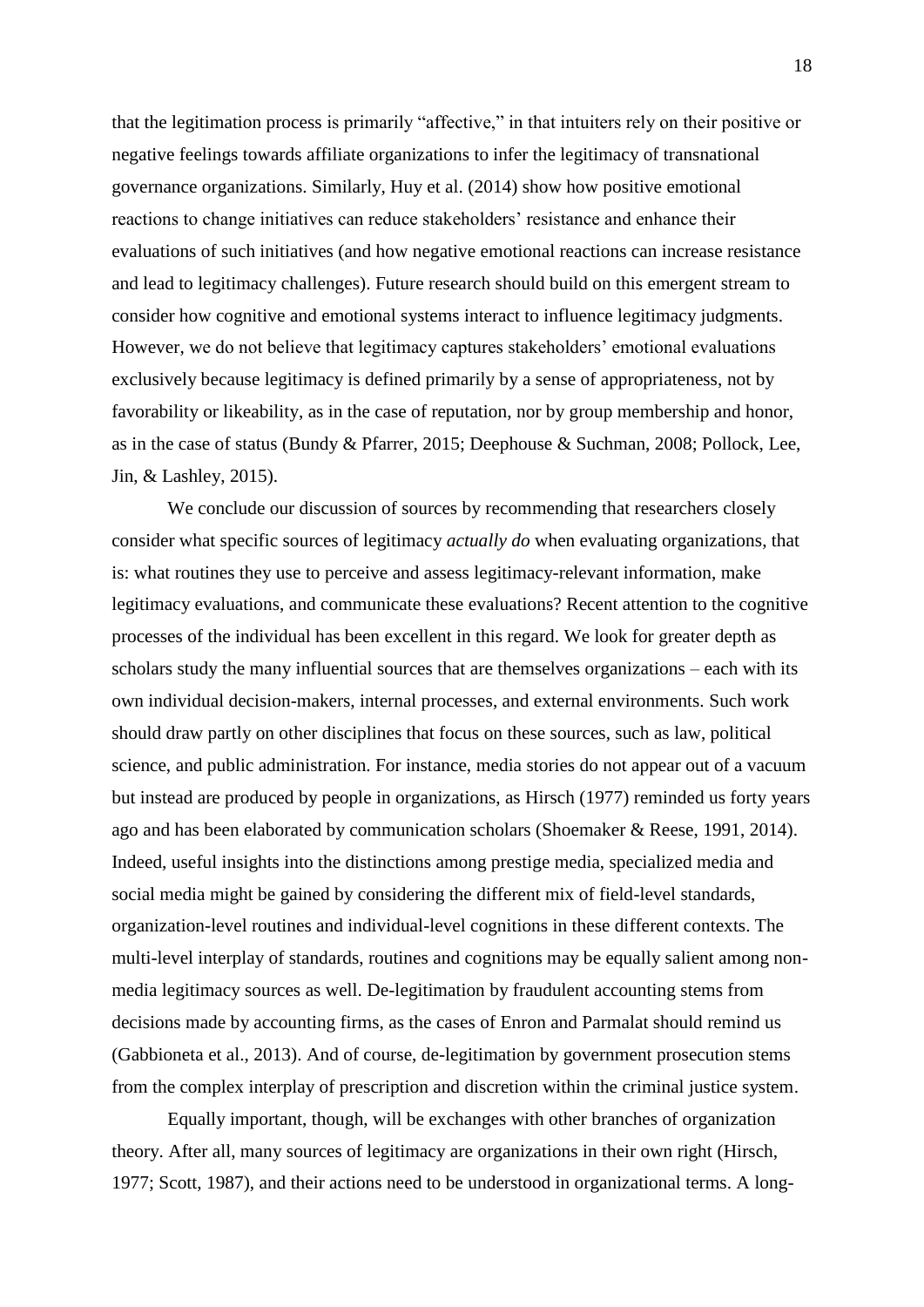that the legitimation process is primarily "affective," in that intuiters rely on their positive or negative feelings towards affiliate organizations to infer the legitimacy of transnational governance organizations. Similarly, Huy et al. (2014) show how positive emotional reactions to change initiatives can reduce stakeholders' resistance and enhance their evaluations of such initiatives (and how negative emotional reactions can increase resistance and lead to legitimacy challenges). Future research should build on this emergent stream to consider how cognitive and emotional systems interact to influence legitimacy judgments. However, we do not believe that legitimacy captures stakeholders' emotional evaluations exclusively because legitimacy is defined primarily by a sense of appropriateness, not by favorability or likeability, as in the case of reputation, nor by group membership and honor, as in the case of status (Bundy & Pfarrer, 2015; Deephouse & Suchman, 2008; Pollock, Lee, Jin, & Lashley, 2015).

We conclude our discussion of sources by recommending that researchers closely consider what specific sources of legitimacy *actually do* when evaluating organizations, that is: what routines they use to perceive and assess legitimacy-relevant information, make legitimacy evaluations, and communicate these evaluations? Recent attention to the cognitive processes of the individual has been excellent in this regard. We look for greater depth as scholars study the many influential sources that are themselves organizations – each with its own individual decision-makers, internal processes, and external environments. Such work should draw partly on other disciplines that focus on these sources, such as law, political science, and public administration. For instance, media stories do not appear out of a vacuum but instead are produced by people in organizations, as Hirsch (1977) reminded us forty years ago and has been elaborated by communication scholars (Shoemaker & Reese, 1991, 2014). Indeed, useful insights into the distinctions among prestige media, specialized media and social media might be gained by considering the different mix of field-level standards, organization-level routines and individual-level cognitions in these different contexts. The multi-level interplay of standards, routines and cognitions may be equally salient among nonmedia legitimacy sources as well. De-legitimation by fraudulent accounting stems from decisions made by accounting firms, as the cases of Enron and Parmalat should remind us (Gabbioneta et al., 2013). And of course, de-legitimation by government prosecution stems from the complex interplay of prescription and discretion within the criminal justice system.

Equally important, though, will be exchanges with other branches of organization theory. After all, many sources of legitimacy are organizations in their own right (Hirsch, 1977; Scott, 1987), and their actions need to be understood in organizational terms. A long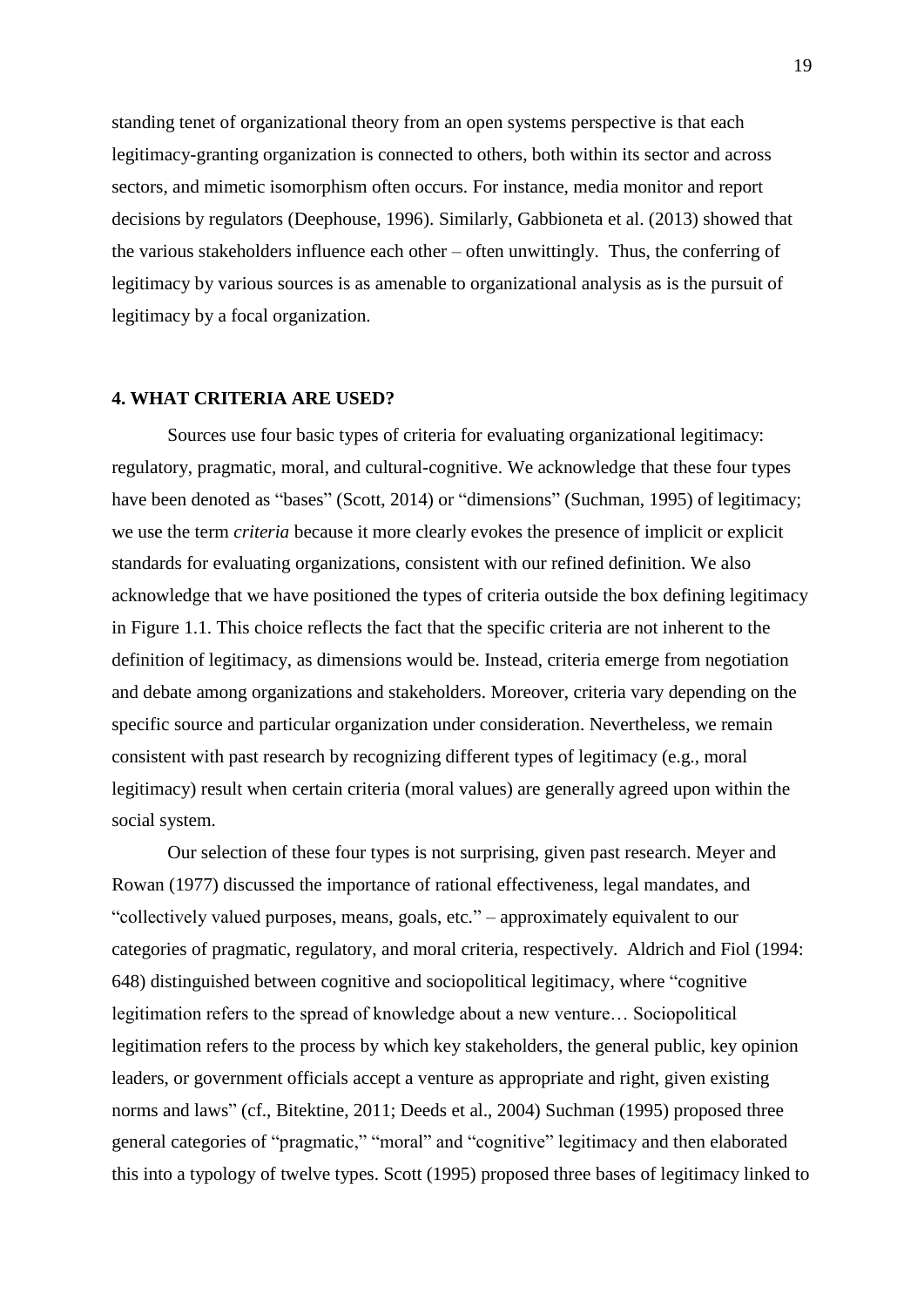standing tenet of organizational theory from an open systems perspective is that each legitimacy-granting organization is connected to others, both within its sector and across sectors, and mimetic isomorphism often occurs. For instance, media monitor and report decisions by regulators (Deephouse, 1996). Similarly, Gabbioneta et al. (2013) showed that the various stakeholders influence each other – often unwittingly. Thus, the conferring of legitimacy by various sources is as amenable to organizational analysis as is the pursuit of legitimacy by a focal organization.

#### **4. WHAT CRITERIA ARE USED?**

Sources use four basic types of criteria for evaluating organizational legitimacy: regulatory, pragmatic, moral, and cultural-cognitive. We acknowledge that these four types have been denoted as "bases" (Scott, 2014) or "dimensions" (Suchman, 1995) of legitimacy; we use the term *criteria* because it more clearly evokes the presence of implicit or explicit standards for evaluating organizations, consistent with our refined definition. We also acknowledge that we have positioned the types of criteria outside the box defining legitimacy in Figure 1.1. This choice reflects the fact that the specific criteria are not inherent to the definition of legitimacy, as dimensions would be. Instead, criteria emerge from negotiation and debate among organizations and stakeholders. Moreover, criteria vary depending on the specific source and particular organization under consideration. Nevertheless, we remain consistent with past research by recognizing different types of legitimacy (e.g., moral legitimacy) result when certain criteria (moral values) are generally agreed upon within the social system.

Our selection of these four types is not surprising, given past research. Meyer and Rowan (1977) discussed the importance of rational effectiveness, legal mandates, and "collectively valued purposes, means, goals, etc." – approximately equivalent to our categories of pragmatic, regulatory, and moral criteria, respectively. Aldrich and Fiol (1994: 648) distinguished between cognitive and sociopolitical legitimacy, where "cognitive legitimation refers to the spread of knowledge about a new venture… Sociopolitical legitimation refers to the process by which key stakeholders, the general public, key opinion leaders, or government officials accept a venture as appropriate and right, given existing norms and laws" (cf., Bitektine, 2011; Deeds et al., 2004) Suchman (1995) proposed three general categories of "pragmatic," "moral" and "cognitive" legitimacy and then elaborated this into a typology of twelve types. Scott (1995) proposed three bases of legitimacy linked to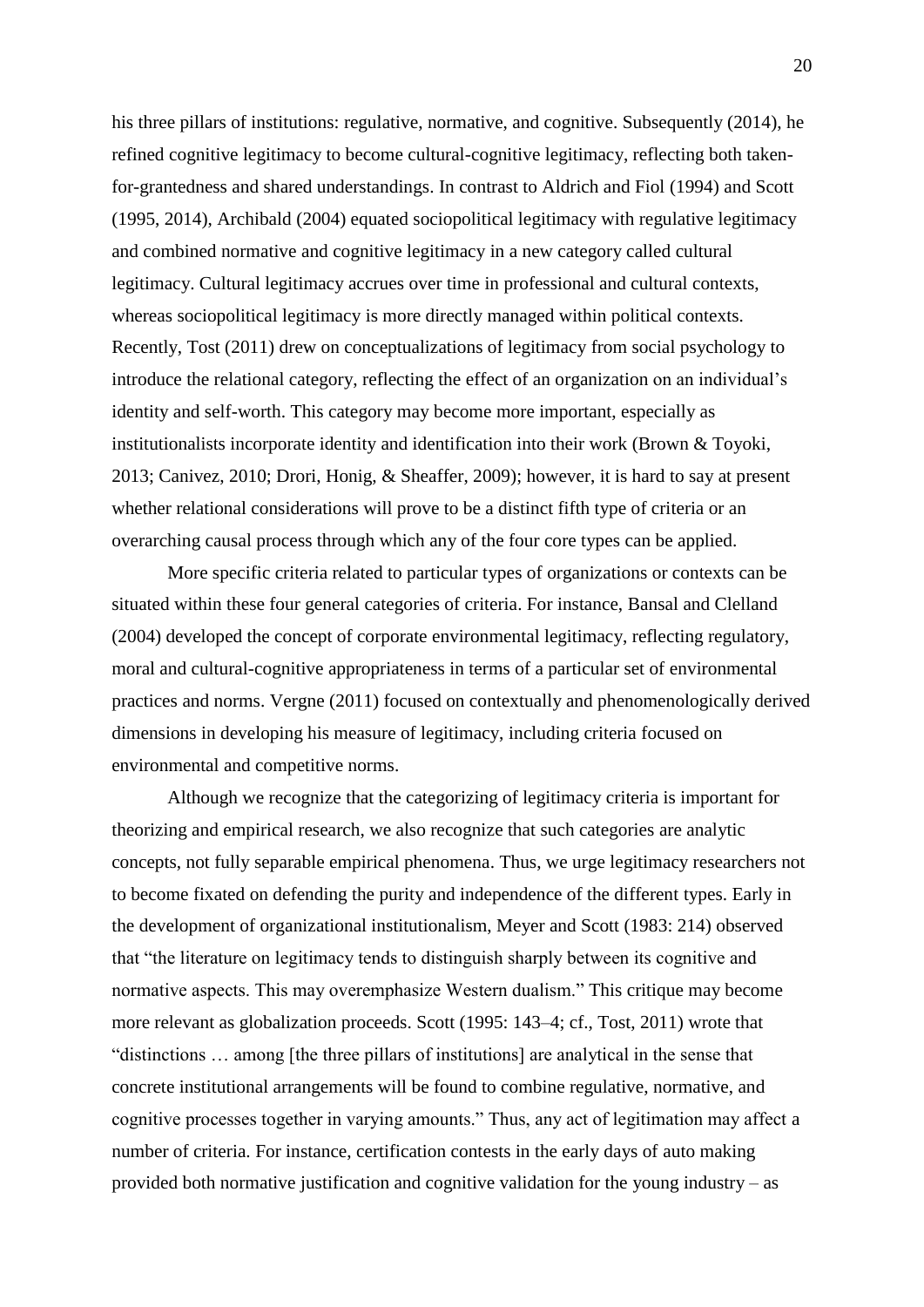his three pillars of institutions: regulative, normative, and cognitive. Subsequently (2014), he refined cognitive legitimacy to become cultural-cognitive legitimacy, reflecting both takenfor-grantedness and shared understandings. In contrast to Aldrich and Fiol (1994) and Scott (1995, 2014), Archibald (2004) equated sociopolitical legitimacy with regulative legitimacy and combined normative and cognitive legitimacy in a new category called cultural legitimacy. Cultural legitimacy accrues over time in professional and cultural contexts, whereas sociopolitical legitimacy is more directly managed within political contexts. Recently, Tost (2011) drew on conceptualizations of legitimacy from social psychology to introduce the relational category, reflecting the effect of an organization on an individual's identity and self-worth. This category may become more important, especially as institutionalists incorporate identity and identification into their work (Brown & Toyoki, 2013; Canivez, 2010; Drori, Honig, & Sheaffer, 2009); however, it is hard to say at present whether relational considerations will prove to be a distinct fifth type of criteria or an overarching causal process through which any of the four core types can be applied.

More specific criteria related to particular types of organizations or contexts can be situated within these four general categories of criteria. For instance, Bansal and Clelland (2004) developed the concept of corporate environmental legitimacy, reflecting regulatory, moral and cultural-cognitive appropriateness in terms of a particular set of environmental practices and norms. Vergne (2011) focused on contextually and phenomenologically derived dimensions in developing his measure of legitimacy, including criteria focused on environmental and competitive norms.

Although we recognize that the categorizing of legitimacy criteria is important for theorizing and empirical research, we also recognize that such categories are analytic concepts, not fully separable empirical phenomena. Thus, we urge legitimacy researchers not to become fixated on defending the purity and independence of the different types. Early in the development of organizational institutionalism, Meyer and Scott (1983: 214) observed that "the literature on legitimacy tends to distinguish sharply between its cognitive and normative aspects. This may overemphasize Western dualism." This critique may become more relevant as globalization proceeds. Scott (1995: 143–4; cf., Tost, 2011) wrote that "distinctions … among [the three pillars of institutions] are analytical in the sense that concrete institutional arrangements will be found to combine regulative, normative, and cognitive processes together in varying amounts." Thus, any act of legitimation may affect a number of criteria. For instance, certification contests in the early days of auto making provided both normative justification and cognitive validation for the young industry – as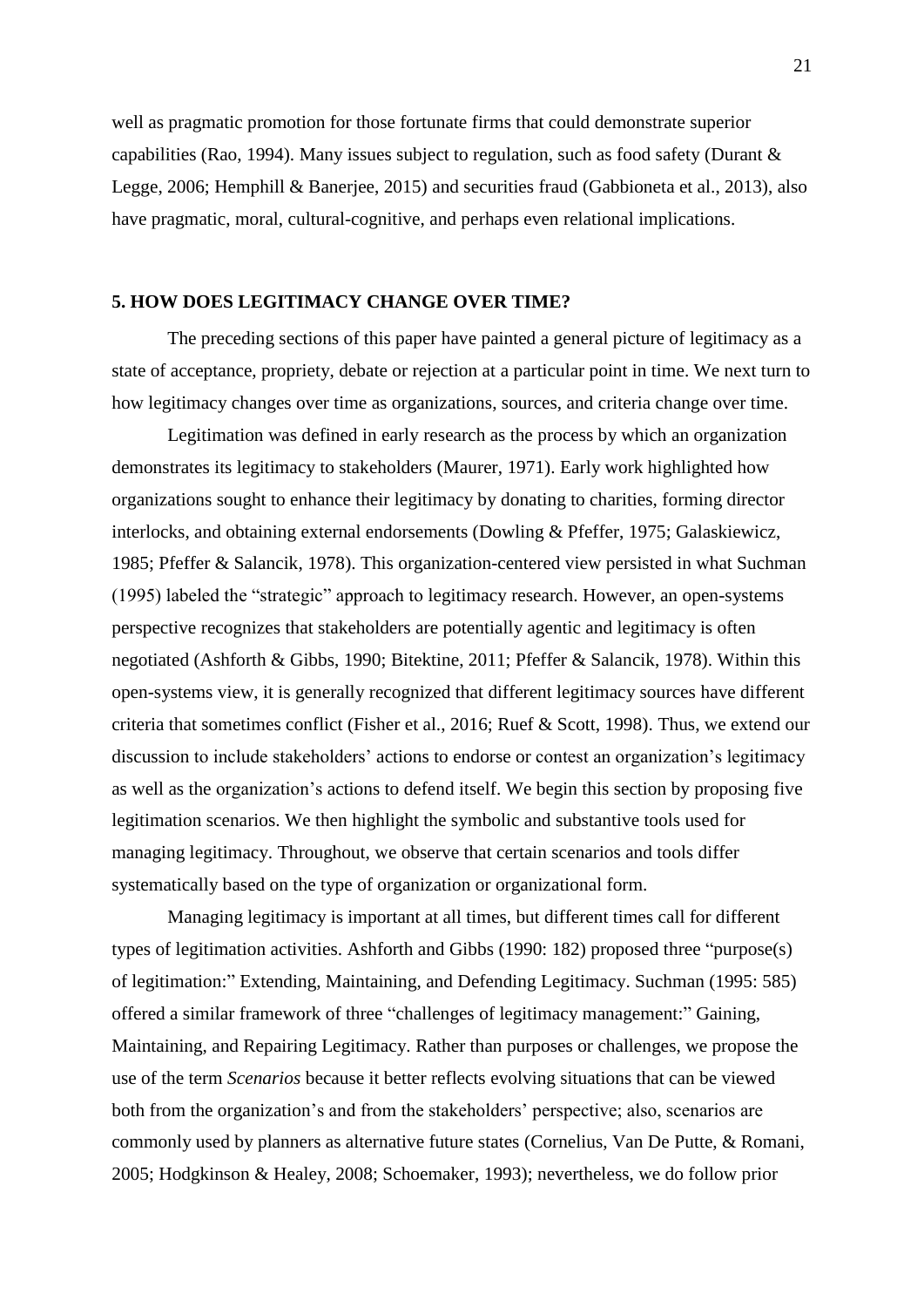well as pragmatic promotion for those fortunate firms that could demonstrate superior capabilities (Rao, 1994). Many issues subject to regulation, such as food safety (Durant & Legge, 2006; Hemphill & Banerjee, 2015) and securities fraud (Gabbioneta et al., 2013), also have pragmatic, moral, cultural-cognitive, and perhaps even relational implications.

#### **5. HOW DOES LEGITIMACY CHANGE OVER TIME?**

The preceding sections of this paper have painted a general picture of legitimacy as a state of acceptance, propriety, debate or rejection at a particular point in time. We next turn to how legitimacy changes over time as organizations, sources, and criteria change over time.

Legitimation was defined in early research as the process by which an organization demonstrates its legitimacy to stakeholders (Maurer, 1971). Early work highlighted how organizations sought to enhance their legitimacy by donating to charities, forming director interlocks, and obtaining external endorsements (Dowling & Pfeffer, 1975; Galaskiewicz, 1985; Pfeffer & Salancik, 1978). This organization-centered view persisted in what Suchman (1995) labeled the "strategic" approach to legitimacy research. However, an open-systems perspective recognizes that stakeholders are potentially agentic and legitimacy is often negotiated (Ashforth & Gibbs, 1990; Bitektine, 2011; Pfeffer & Salancik, 1978). Within this open-systems view, it is generally recognized that different legitimacy sources have different criteria that sometimes conflict (Fisher et al., 2016; Ruef & Scott, 1998). Thus, we extend our discussion to include stakeholders' actions to endorse or contest an organization's legitimacy as well as the organization's actions to defend itself. We begin this section by proposing five legitimation scenarios. We then highlight the symbolic and substantive tools used for managing legitimacy. Throughout, we observe that certain scenarios and tools differ systematically based on the type of organization or organizational form.

Managing legitimacy is important at all times, but different times call for different types of legitimation activities. Ashforth and Gibbs (1990: 182) proposed three "purpose(s) of legitimation:" Extending, Maintaining, and Defending Legitimacy. Suchman (1995: 585) offered a similar framework of three "challenges of legitimacy management:" Gaining, Maintaining, and Repairing Legitimacy. Rather than purposes or challenges, we propose the use of the term *Scenarios* because it better reflects evolving situations that can be viewed both from the organization's and from the stakeholders' perspective; also, scenarios are commonly used by planners as alternative future states (Cornelius, Van De Putte, & Romani, 2005; Hodgkinson & Healey, 2008; Schoemaker, 1993); nevertheless, we do follow prior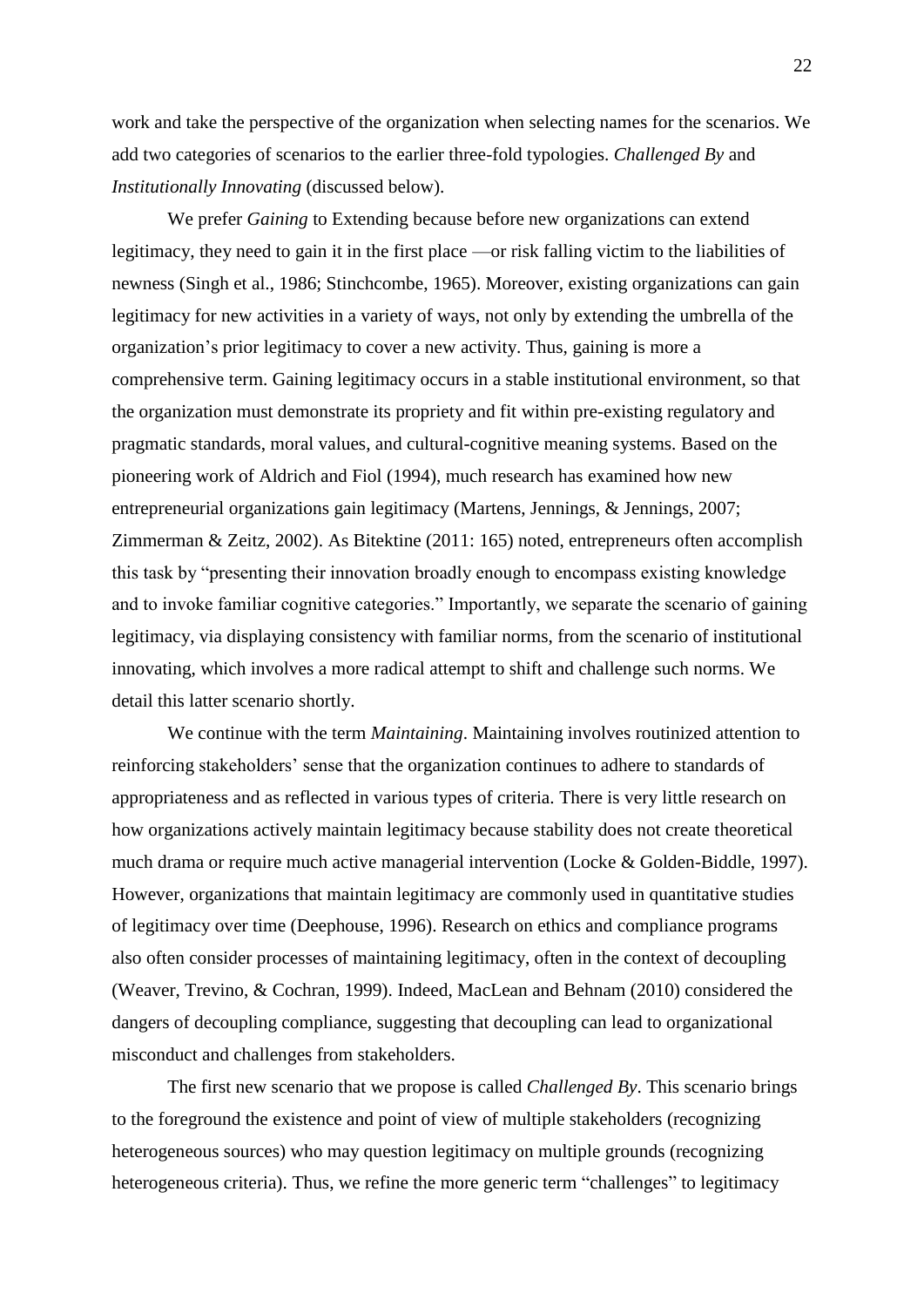work and take the perspective of the organization when selecting names for the scenarios. We add two categories of scenarios to the earlier three-fold typologies. *Challenged By* and *Institutionally Innovating* (discussed below).

We prefer *Gaining* to Extending because before new organizations can extend legitimacy, they need to gain it in the first place —or risk falling victim to the liabilities of newness (Singh et al., 1986; Stinchcombe, 1965). Moreover, existing organizations can gain legitimacy for new activities in a variety of ways, not only by extending the umbrella of the organization's prior legitimacy to cover a new activity. Thus, gaining is more a comprehensive term. Gaining legitimacy occurs in a stable institutional environment, so that the organization must demonstrate its propriety and fit within pre-existing regulatory and pragmatic standards, moral values, and cultural-cognitive meaning systems. Based on the pioneering work of Aldrich and Fiol (1994), much research has examined how new entrepreneurial organizations gain legitimacy (Martens, Jennings, & Jennings, 2007; Zimmerman & Zeitz, 2002). As Bitektine (2011: 165) noted, entrepreneurs often accomplish this task by "presenting their innovation broadly enough to encompass existing knowledge and to invoke familiar cognitive categories." Importantly, we separate the scenario of gaining legitimacy, via displaying consistency with familiar norms, from the scenario of institutional innovating, which involves a more radical attempt to shift and challenge such norms. We detail this latter scenario shortly.

We continue with the term *Maintaining*. Maintaining involves routinized attention to reinforcing stakeholders' sense that the organization continues to adhere to standards of appropriateness and as reflected in various types of criteria. There is very little research on how organizations actively maintain legitimacy because stability does not create theoretical much drama or require much active managerial intervention (Locke & Golden-Biddle, 1997). However, organizations that maintain legitimacy are commonly used in quantitative studies of legitimacy over time (Deephouse, 1996). Research on ethics and compliance programs also often consider processes of maintaining legitimacy, often in the context of decoupling (Weaver, Trevino, & Cochran, 1999). Indeed, MacLean and Behnam (2010) considered the dangers of decoupling compliance, suggesting that decoupling can lead to organizational misconduct and challenges from stakeholders.

The first new scenario that we propose is called *Challenged By*. This scenario brings to the foreground the existence and point of view of multiple stakeholders (recognizing heterogeneous sources) who may question legitimacy on multiple grounds (recognizing heterogeneous criteria). Thus, we refine the more generic term "challenges" to legitimacy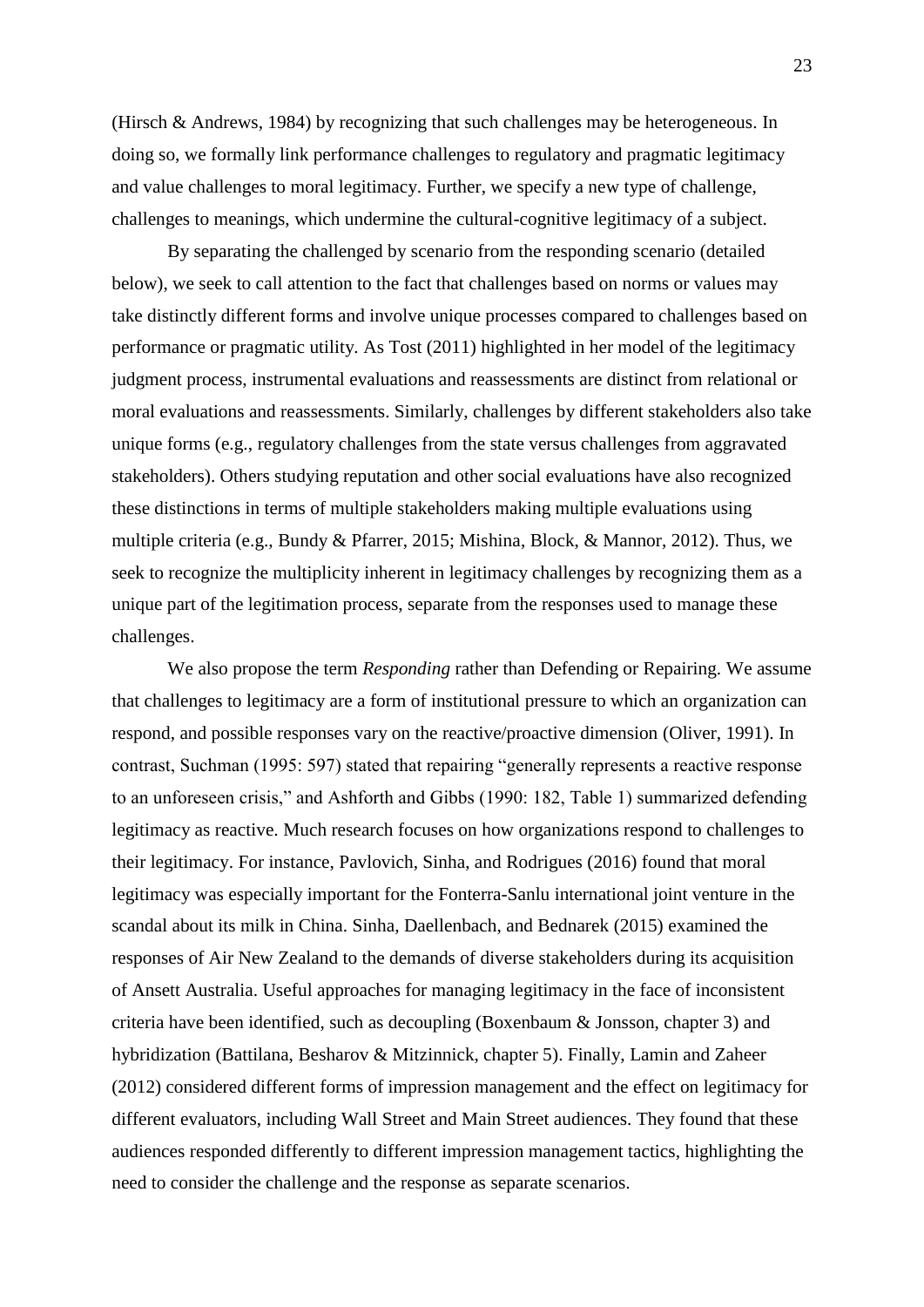(Hirsch & Andrews, 1984) by recognizing that such challenges may be heterogeneous. In doing so, we formally link performance challenges to regulatory and pragmatic legitimacy and value challenges to moral legitimacy. Further, we specify a new type of challenge, challenges to meanings, which undermine the cultural-cognitive legitimacy of a subject.

By separating the challenged by scenario from the responding scenario (detailed below), we seek to call attention to the fact that challenges based on norms or values may take distinctly different forms and involve unique processes compared to challenges based on performance or pragmatic utility. As Tost (2011) highlighted in her model of the legitimacy judgment process, instrumental evaluations and reassessments are distinct from relational or moral evaluations and reassessments. Similarly, challenges by different stakeholders also take unique forms (e.g., regulatory challenges from the state versus challenges from aggravated stakeholders). Others studying reputation and other social evaluations have also recognized these distinctions in terms of multiple stakeholders making multiple evaluations using multiple criteria (e.g., Bundy & Pfarrer, 2015; Mishina, Block, & Mannor, 2012). Thus, we seek to recognize the multiplicity inherent in legitimacy challenges by recognizing them as a unique part of the legitimation process, separate from the responses used to manage these challenges.

We also propose the term *Responding* rather than Defending or Repairing. We assume that challenges to legitimacy are a form of institutional pressure to which an organization can respond, and possible responses vary on the reactive/proactive dimension (Oliver, 1991). In contrast, Suchman (1995: 597) stated that repairing "generally represents a reactive response to an unforeseen crisis," and Ashforth and Gibbs (1990: 182, Table 1) summarized defending legitimacy as reactive. Much research focuses on how organizations respond to challenges to their legitimacy. For instance, Pavlovich, Sinha, and Rodrigues (2016) found that moral legitimacy was especially important for the Fonterra-Sanlu international joint venture in the scandal about its milk in China. Sinha, Daellenbach, and Bednarek (2015) examined the responses of Air New Zealand to the demands of diverse stakeholders during its acquisition of Ansett Australia. Useful approaches for managing legitimacy in the face of inconsistent criteria have been identified, such as decoupling (Boxenbaum & Jonsson, chapter 3) and hybridization (Battilana, Besharov & Mitzinnick, chapter 5). Finally, Lamin and Zaheer (2012) considered different forms of impression management and the effect on legitimacy for different evaluators, including Wall Street and Main Street audiences. They found that these audiences responded differently to different impression management tactics, highlighting the need to consider the challenge and the response as separate scenarios.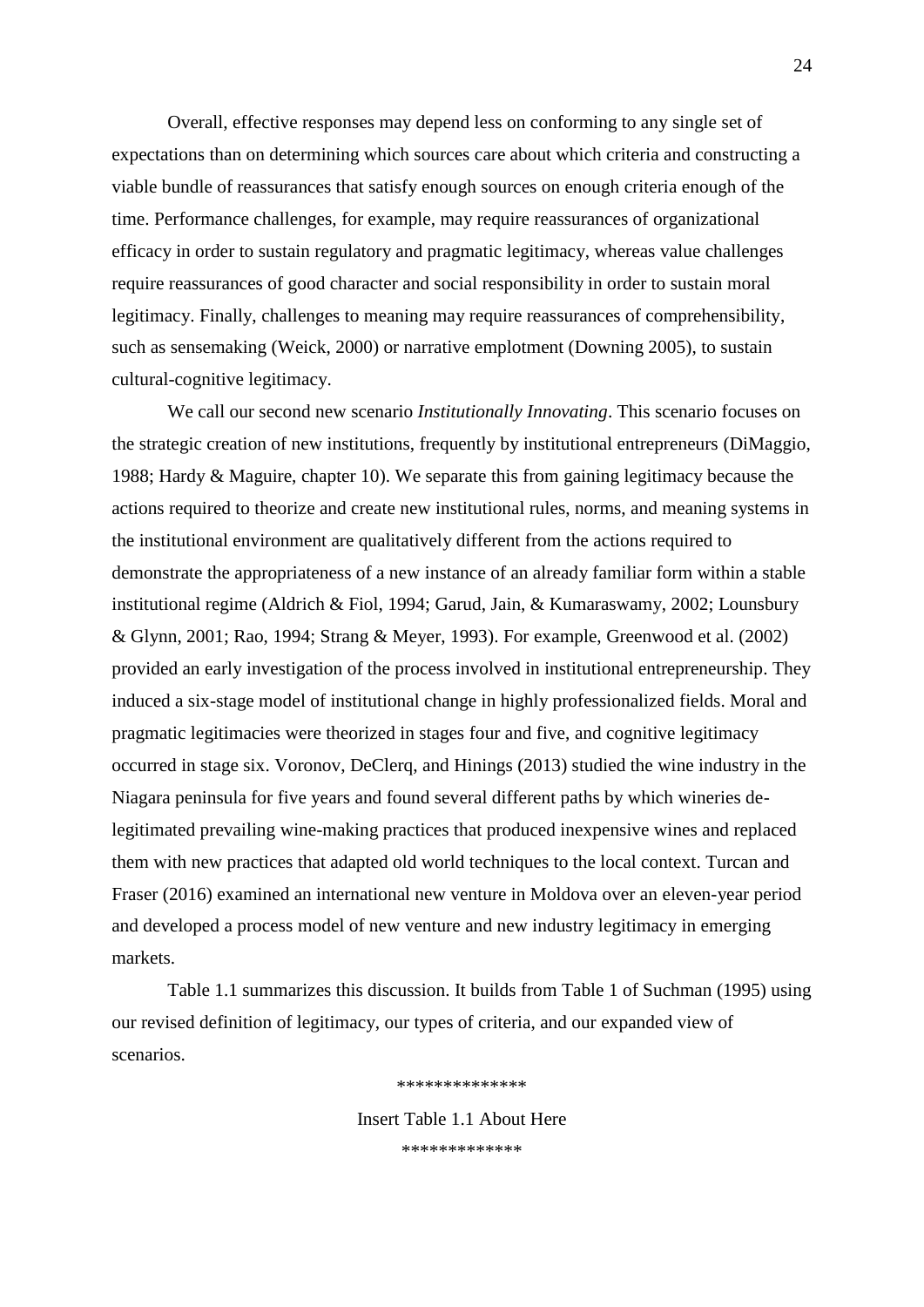Overall, effective responses may depend less on conforming to any single set of expectations than on determining which sources care about which criteria and constructing a viable bundle of reassurances that satisfy enough sources on enough criteria enough of the time. Performance challenges, for example, may require reassurances of organizational efficacy in order to sustain regulatory and pragmatic legitimacy, whereas value challenges require reassurances of good character and social responsibility in order to sustain moral legitimacy. Finally, challenges to meaning may require reassurances of comprehensibility, such as sensemaking (Weick, 2000) or narrative emplotment (Downing 2005), to sustain cultural-cognitive legitimacy.

We call our second new scenario *Institutionally Innovating*. This scenario focuses on the strategic creation of new institutions, frequently by institutional entrepreneurs (DiMaggio, 1988; Hardy & Maguire, chapter 10). We separate this from gaining legitimacy because the actions required to theorize and create new institutional rules, norms, and meaning systems in the institutional environment are qualitatively different from the actions required to demonstrate the appropriateness of a new instance of an already familiar form within a stable institutional regime (Aldrich & Fiol, 1994; Garud, Jain, & Kumaraswamy, 2002; Lounsbury & Glynn, 2001; Rao, 1994; Strang & Meyer, 1993). For example, Greenwood et al. (2002) provided an early investigation of the process involved in institutional entrepreneurship. They induced a six-stage model of institutional change in highly professionalized fields. Moral and pragmatic legitimacies were theorized in stages four and five, and cognitive legitimacy occurred in stage six. Voronov, DeClerq, and Hinings (2013) studied the wine industry in the Niagara peninsula for five years and found several different paths by which wineries delegitimated prevailing wine-making practices that produced inexpensive wines and replaced them with new practices that adapted old world techniques to the local context. Turcan and Fraser (2016) examined an international new venture in Moldova over an eleven-year period and developed a process model of new venture and new industry legitimacy in emerging markets.

Table 1.1 summarizes this discussion. It builds from Table 1 of Suchman (1995) using our revised definition of legitimacy, our types of criteria, and our expanded view of scenarios.

> Insert Table 1.1 About Here \*\*\*\*\*\*\*\*\*\*\*\*\*

\*\*\*\*\*\*\*\*\*\*\*\*\*\*\*\*\*\*\*\*\*\*\*\*\*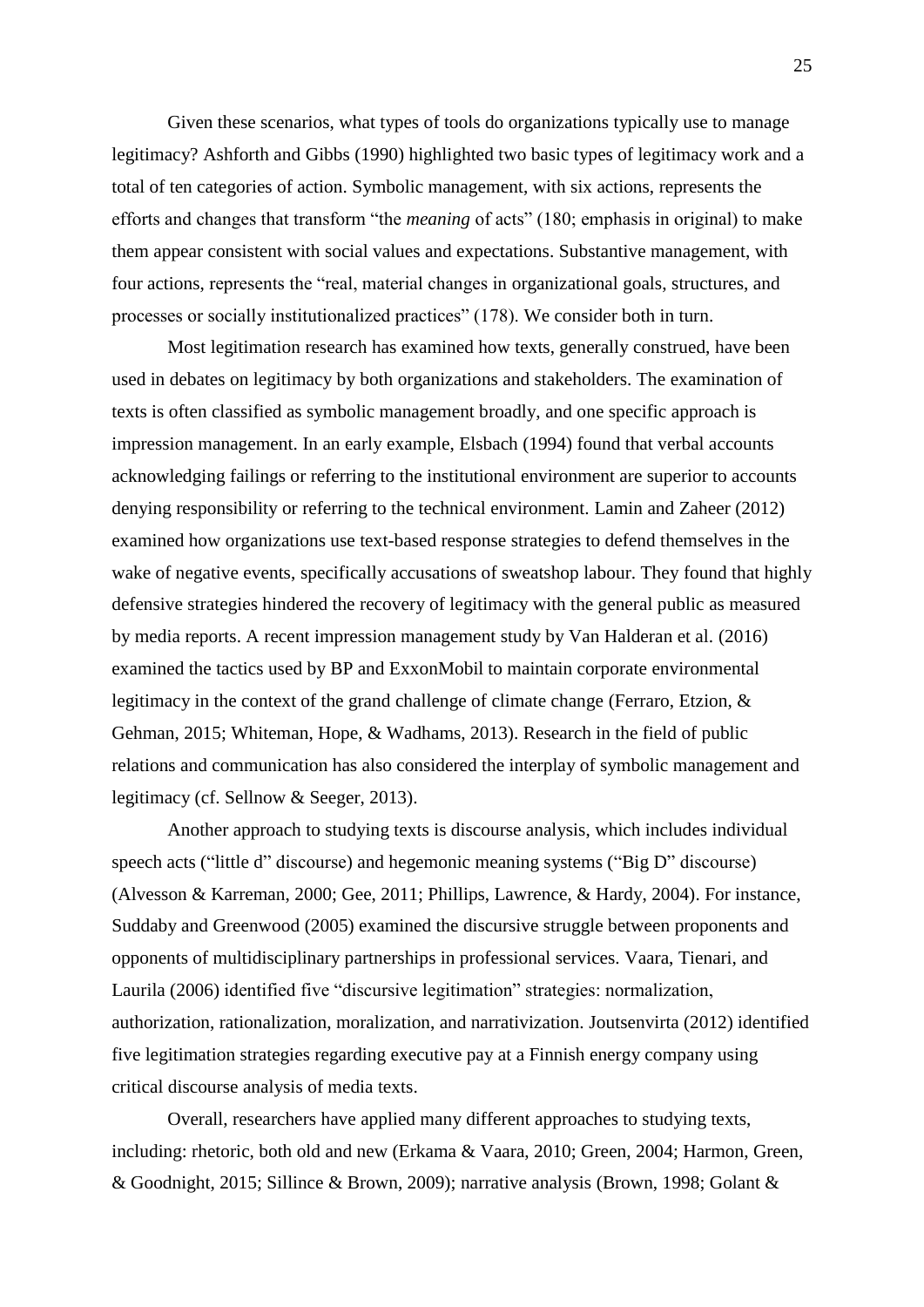Given these scenarios, what types of tools do organizations typically use to manage legitimacy? Ashforth and Gibbs (1990) highlighted two basic types of legitimacy work and a total of ten categories of action. Symbolic management, with six actions, represents the efforts and changes that transform "the *meaning* of acts" (180; emphasis in original) to make them appear consistent with social values and expectations. Substantive management, with four actions, represents the "real, material changes in organizational goals, structures, and processes or socially institutionalized practices" (178). We consider both in turn.

Most legitimation research has examined how texts, generally construed, have been used in debates on legitimacy by both organizations and stakeholders. The examination of texts is often classified as symbolic management broadly, and one specific approach is impression management. In an early example, Elsbach (1994) found that verbal accounts acknowledging failings or referring to the institutional environment are superior to accounts denying responsibility or referring to the technical environment. Lamin and Zaheer (2012) examined how organizations use text-based response strategies to defend themselves in the wake of negative events, specifically accusations of sweatshop labour. They found that highly defensive strategies hindered the recovery of legitimacy with the general public as measured by media reports. A recent impression management study by Van Halderan et al. (2016) examined the tactics used by BP and ExxonMobil to maintain corporate environmental legitimacy in the context of the grand challenge of climate change (Ferraro, Etzion, & Gehman, 2015; Whiteman, Hope, & Wadhams, 2013). Research in the field of public relations and communication has also considered the interplay of symbolic management and legitimacy (cf. Sellnow & Seeger, 2013).

Another approach to studying texts is discourse analysis, which includes individual speech acts ("little d" discourse) and hegemonic meaning systems ("Big D" discourse) (Alvesson & Karreman, 2000; Gee, 2011; Phillips, Lawrence, & Hardy, 2004). For instance, Suddaby and Greenwood (2005) examined the discursive struggle between proponents and opponents of multidisciplinary partnerships in professional services. Vaara, Tienari, and Laurila (2006) identified five "discursive legitimation" strategies: normalization, authorization, rationalization, moralization, and narrativization. Joutsenvirta (2012) identified five legitimation strategies regarding executive pay at a Finnish energy company using critical discourse analysis of media texts.

Overall, researchers have applied many different approaches to studying texts, including: rhetoric, both old and new (Erkama & Vaara, 2010; Green, 2004; Harmon, Green, & Goodnight, 2015; Sillince & Brown, 2009); narrative analysis (Brown, 1998; Golant &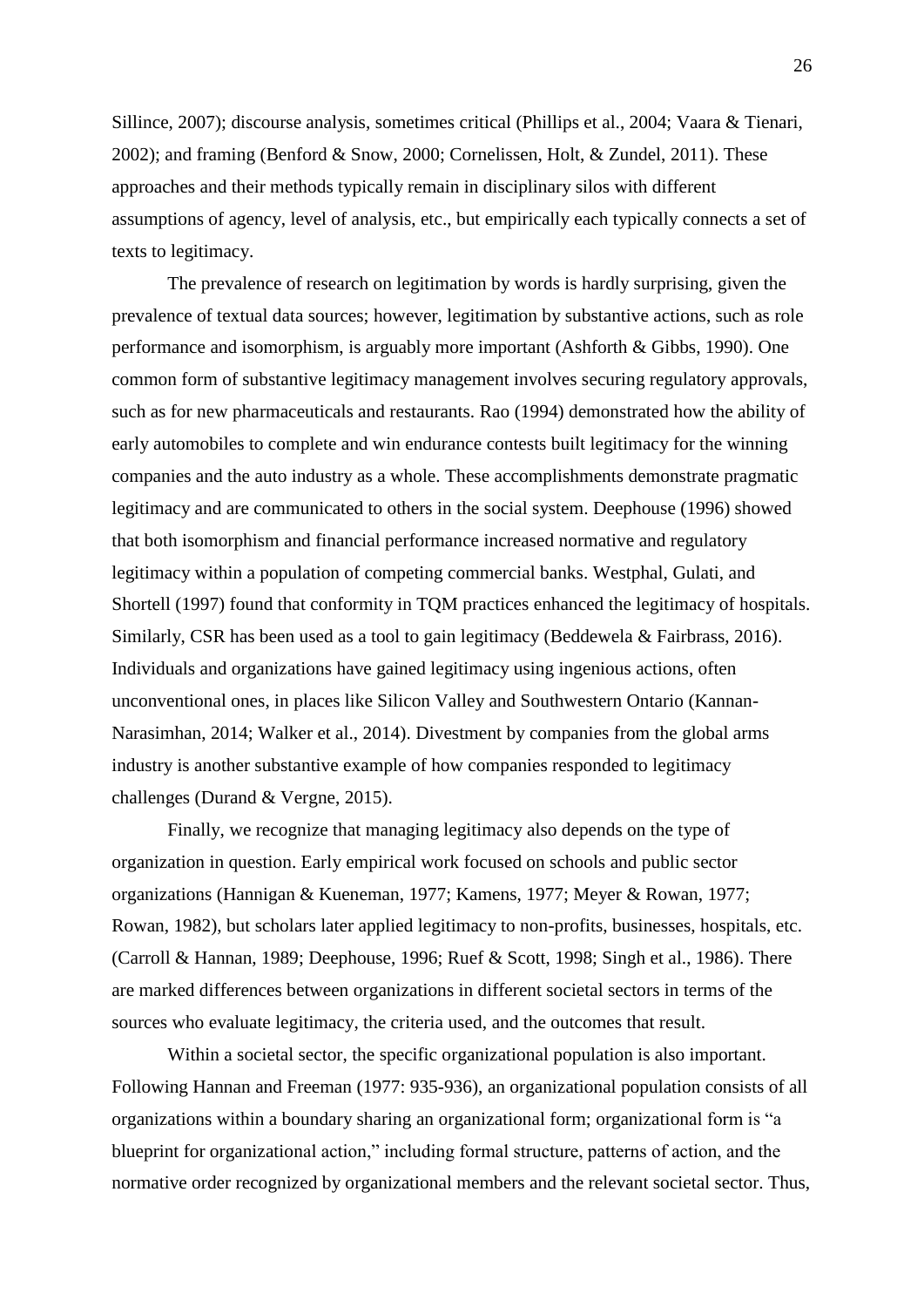Sillince, 2007); discourse analysis, sometimes critical (Phillips et al., 2004; Vaara & Tienari, 2002); and framing (Benford & Snow, 2000; Cornelissen, Holt, & Zundel, 2011). These approaches and their methods typically remain in disciplinary silos with different assumptions of agency, level of analysis, etc., but empirically each typically connects a set of texts to legitimacy.

The prevalence of research on legitimation by words is hardly surprising, given the prevalence of textual data sources; however, legitimation by substantive actions, such as role performance and isomorphism, is arguably more important (Ashforth & Gibbs, 1990). One common form of substantive legitimacy management involves securing regulatory approvals, such as for new pharmaceuticals and restaurants. Rao (1994) demonstrated how the ability of early automobiles to complete and win endurance contests built legitimacy for the winning companies and the auto industry as a whole. These accomplishments demonstrate pragmatic legitimacy and are communicated to others in the social system. Deephouse (1996) showed that both isomorphism and financial performance increased normative and regulatory legitimacy within a population of competing commercial banks. Westphal, Gulati, and Shortell (1997) found that conformity in TQM practices enhanced the legitimacy of hospitals. Similarly, CSR has been used as a tool to gain legitimacy (Beddewela & Fairbrass, 2016). Individuals and organizations have gained legitimacy using ingenious actions, often unconventional ones, in places like Silicon Valley and Southwestern Ontario (Kannan-Narasimhan, 2014; Walker et al., 2014). Divestment by companies from the global arms industry is another substantive example of how companies responded to legitimacy challenges (Durand & Vergne, 2015).

Finally, we recognize that managing legitimacy also depends on the type of organization in question. Early empirical work focused on schools and public sector organizations (Hannigan & Kueneman, 1977; Kamens, 1977; Meyer & Rowan, 1977; Rowan, 1982), but scholars later applied legitimacy to non-profits, businesses, hospitals, etc. (Carroll & Hannan, 1989; Deephouse, 1996; Ruef & Scott, 1998; Singh et al., 1986). There are marked differences between organizations in different societal sectors in terms of the sources who evaluate legitimacy, the criteria used, and the outcomes that result.

Within a societal sector, the specific organizational population is also important. Following Hannan and Freeman (1977: 935-936), an organizational population consists of all organizations within a boundary sharing an organizational form; organizational form is "a blueprint for organizational action," including formal structure, patterns of action, and the normative order recognized by organizational members and the relevant societal sector. Thus,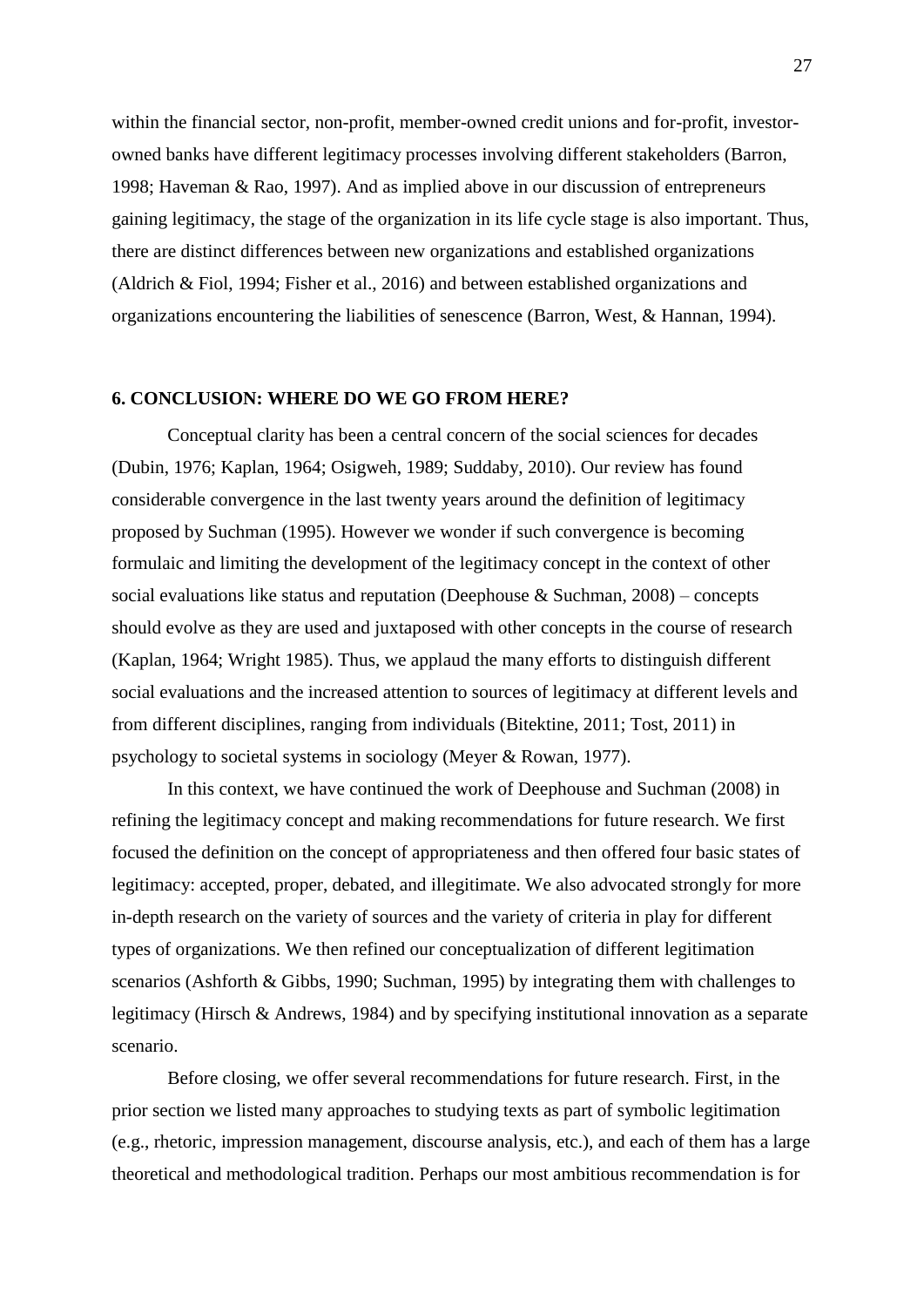within the financial sector, non-profit, member-owned credit unions and for-profit, investorowned banks have different legitimacy processes involving different stakeholders (Barron, 1998; Haveman & Rao, 1997). And as implied above in our discussion of entrepreneurs gaining legitimacy, the stage of the organization in its life cycle stage is also important. Thus, there are distinct differences between new organizations and established organizations (Aldrich & Fiol, 1994; Fisher et al., 2016) and between established organizations and organizations encountering the liabilities of senescence (Barron, West, & Hannan, 1994).

#### **6. CONCLUSION: WHERE DO WE GO FROM HERE?**

Conceptual clarity has been a central concern of the social sciences for decades (Dubin, 1976; Kaplan, 1964; Osigweh, 1989; Suddaby, 2010). Our review has found considerable convergence in the last twenty years around the definition of legitimacy proposed by Suchman (1995). However we wonder if such convergence is becoming formulaic and limiting the development of the legitimacy concept in the context of other social evaluations like status and reputation (Deephouse  $\&$  Suchman, 2008) – concepts should evolve as they are used and juxtaposed with other concepts in the course of research (Kaplan, 1964; Wright 1985). Thus, we applaud the many efforts to distinguish different social evaluations and the increased attention to sources of legitimacy at different levels and from different disciplines, ranging from individuals (Bitektine, 2011; Tost, 2011) in psychology to societal systems in sociology (Meyer & Rowan, 1977).

In this context, we have continued the work of Deephouse and Suchman (2008) in refining the legitimacy concept and making recommendations for future research. We first focused the definition on the concept of appropriateness and then offered four basic states of legitimacy: accepted, proper, debated, and illegitimate. We also advocated strongly for more in-depth research on the variety of sources and the variety of criteria in play for different types of organizations. We then refined our conceptualization of different legitimation scenarios (Ashforth & Gibbs, 1990; Suchman, 1995) by integrating them with challenges to legitimacy (Hirsch & Andrews, 1984) and by specifying institutional innovation as a separate scenario.

Before closing, we offer several recommendations for future research. First, in the prior section we listed many approaches to studying texts as part of symbolic legitimation (e.g., rhetoric, impression management, discourse analysis, etc.), and each of them has a large theoretical and methodological tradition. Perhaps our most ambitious recommendation is for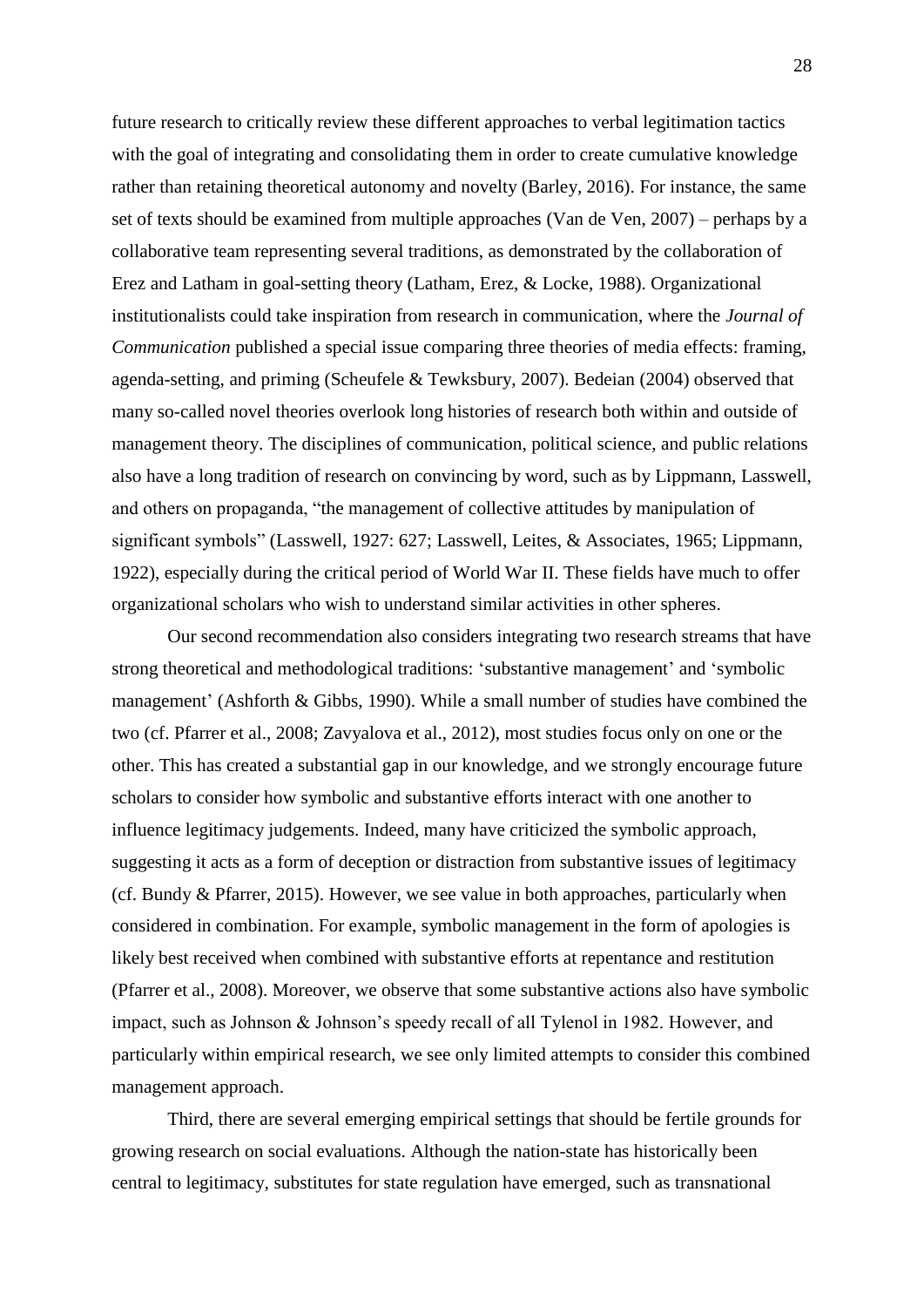future research to critically review these different approaches to verbal legitimation tactics with the goal of integrating and consolidating them in order to create cumulative knowledge rather than retaining theoretical autonomy and novelty (Barley, 2016). For instance, the same set of texts should be examined from multiple approaches (Van de Ven, 2007) – perhaps by a collaborative team representing several traditions, as demonstrated by the collaboration of Erez and Latham in goal-setting theory (Latham, Erez, & Locke, 1988). Organizational institutionalists could take inspiration from research in communication, where the *Journal of Communication* published a special issue comparing three theories of media effects: framing, agenda-setting, and priming (Scheufele & Tewksbury, 2007). Bedeian (2004) observed that many so-called novel theories overlook long histories of research both within and outside of management theory. The disciplines of communication, political science, and public relations also have a long tradition of research on convincing by word, such as by Lippmann, Lasswell, and others on propaganda, "the management of collective attitudes by manipulation of significant symbols" (Lasswell, 1927: 627; Lasswell, Leites, & Associates, 1965; Lippmann, 1922), especially during the critical period of World War II. These fields have much to offer organizational scholars who wish to understand similar activities in other spheres.

Our second recommendation also considers integrating two research streams that have strong theoretical and methodological traditions: 'substantive management' and 'symbolic management' (Ashforth & Gibbs, 1990). While a small number of studies have combined the two (cf. Pfarrer et al., 2008; Zavyalova et al., 2012), most studies focus only on one or the other. This has created a substantial gap in our knowledge, and we strongly encourage future scholars to consider how symbolic and substantive efforts interact with one another to influence legitimacy judgements. Indeed, many have criticized the symbolic approach, suggesting it acts as a form of deception or distraction from substantive issues of legitimacy (cf. Bundy & Pfarrer, 2015). However, we see value in both approaches, particularly when considered in combination. For example, symbolic management in the form of apologies is likely best received when combined with substantive efforts at repentance and restitution (Pfarrer et al., 2008). Moreover, we observe that some substantive actions also have symbolic impact, such as Johnson & Johnson's speedy recall of all Tylenol in 1982. However, and particularly within empirical research, we see only limited attempts to consider this combined management approach.

Third, there are several emerging empirical settings that should be fertile grounds for growing research on social evaluations. Although the nation-state has historically been central to legitimacy, substitutes for state regulation have emerged, such as transnational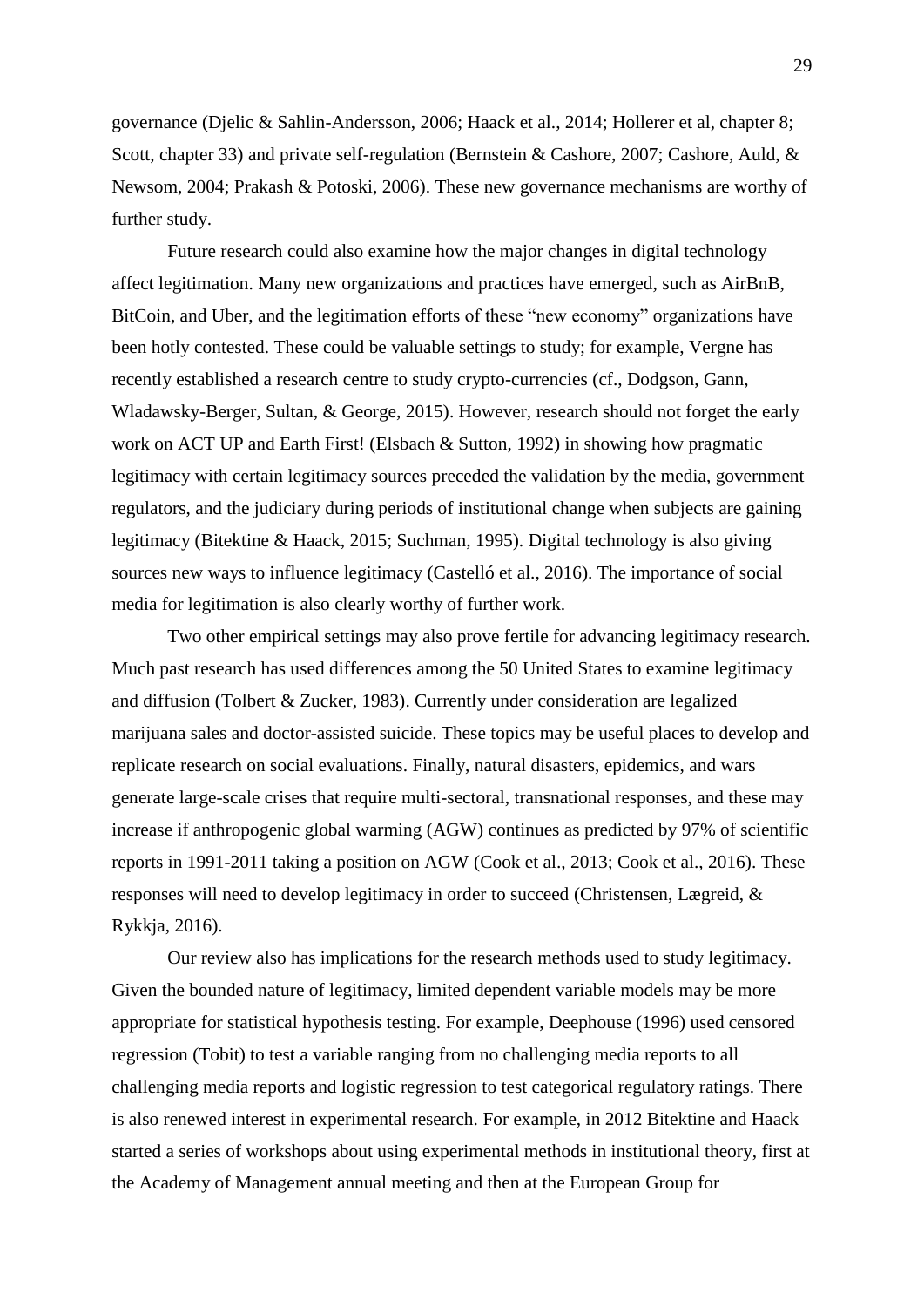governance (Djelic & Sahlin-Andersson, 2006; Haack et al., 2014; Hollerer et al, chapter 8; Scott, chapter 33) and private self-regulation (Bernstein & Cashore, 2007; Cashore, Auld, & Newsom, 2004; Prakash & Potoski, 2006). These new governance mechanisms are worthy of further study.

Future research could also examine how the major changes in digital technology affect legitimation. Many new organizations and practices have emerged, such as AirBnB, BitCoin, and Uber, and the legitimation efforts of these "new economy" organizations have been hotly contested. These could be valuable settings to study; for example, Vergne has recently established a research centre to study crypto-currencies (cf., Dodgson, Gann, Wladawsky-Berger, Sultan, & George, 2015). However, research should not forget the early work on ACT UP and Earth First! (Elsbach & Sutton, 1992) in showing how pragmatic legitimacy with certain legitimacy sources preceded the validation by the media, government regulators, and the judiciary during periods of institutional change when subjects are gaining legitimacy (Bitektine & Haack, 2015; Suchman, 1995). Digital technology is also giving sources new ways to influence legitimacy (Castelló et al., 2016). The importance of social media for legitimation is also clearly worthy of further work.

Two other empirical settings may also prove fertile for advancing legitimacy research. Much past research has used differences among the 50 United States to examine legitimacy and diffusion (Tolbert & Zucker, 1983). Currently under consideration are legalized marijuana sales and doctor-assisted suicide. These topics may be useful places to develop and replicate research on social evaluations. Finally, natural disasters, epidemics, and wars generate large-scale crises that require multi-sectoral, transnational responses, and these may increase if anthropogenic global warming (AGW) continues as predicted by 97% of scientific reports in 1991-2011 taking a position on AGW (Cook et al., 2013; Cook et al., 2016). These responses will need to develop legitimacy in order to succeed (Christensen, Lægreid, & Rykkja, 2016).

Our review also has implications for the research methods used to study legitimacy. Given the bounded nature of legitimacy, limited dependent variable models may be more appropriate for statistical hypothesis testing. For example, Deephouse (1996) used censored regression (Tobit) to test a variable ranging from no challenging media reports to all challenging media reports and logistic regression to test categorical regulatory ratings. There is also renewed interest in experimental research. For example, in 2012 Bitektine and Haack started a series of workshops about using experimental methods in institutional theory, first at the Academy of Management annual meeting and then at the European Group for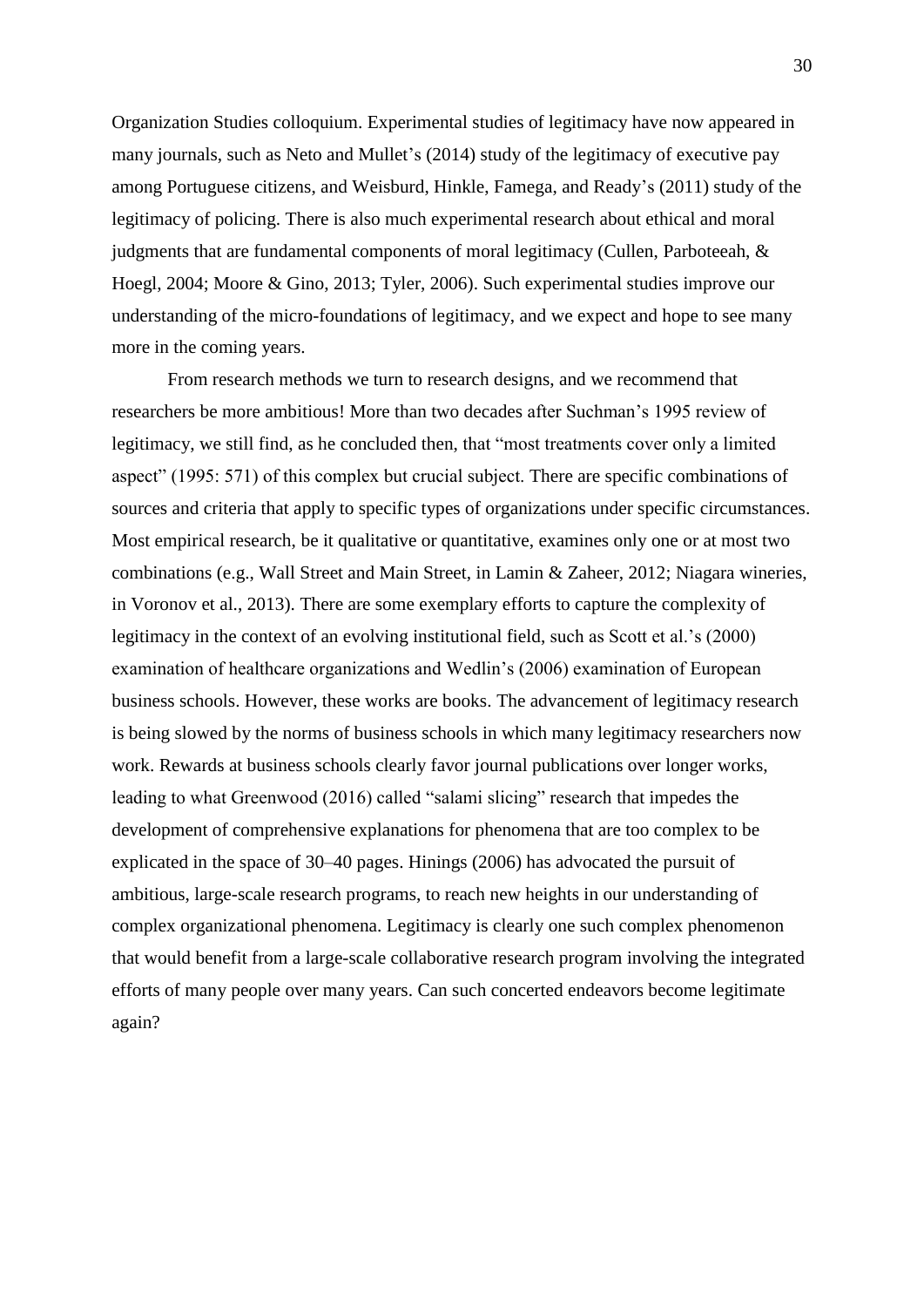Organization Studies colloquium. Experimental studies of legitimacy have now appeared in many journals, such as Neto and Mullet's (2014) study of the legitimacy of executive pay among Portuguese citizens, and Weisburd, Hinkle, Famega, and Ready's (2011) study of the legitimacy of policing. There is also much experimental research about ethical and moral judgments that are fundamental components of moral legitimacy (Cullen, Parboteeah, & Hoegl, 2004; Moore & Gino, 2013; Tyler, 2006). Such experimental studies improve our understanding of the micro-foundations of legitimacy, and we expect and hope to see many more in the coming years.

From research methods we turn to research designs, and we recommend that researchers be more ambitious! More than two decades after Suchman's 1995 review of legitimacy, we still find, as he concluded then, that "most treatments cover only a limited aspect" (1995: 571) of this complex but crucial subject. There are specific combinations of sources and criteria that apply to specific types of organizations under specific circumstances. Most empirical research, be it qualitative or quantitative, examines only one or at most two combinations (e.g., Wall Street and Main Street, in Lamin & Zaheer, 2012; Niagara wineries, in Voronov et al., 2013). There are some exemplary efforts to capture the complexity of legitimacy in the context of an evolving institutional field, such as Scott et al.'s (2000) examination of healthcare organizations and Wedlin's (2006) examination of European business schools. However, these works are books. The advancement of legitimacy research is being slowed by the norms of business schools in which many legitimacy researchers now work. Rewards at business schools clearly favor journal publications over longer works, leading to what Greenwood (2016) called "salami slicing" research that impedes the development of comprehensive explanations for phenomena that are too complex to be explicated in the space of 30–40 pages. Hinings (2006) has advocated the pursuit of ambitious, large-scale research programs, to reach new heights in our understanding of complex organizational phenomena. Legitimacy is clearly one such complex phenomenon that would benefit from a large-scale collaborative research program involving the integrated efforts of many people over many years. Can such concerted endeavors become legitimate again?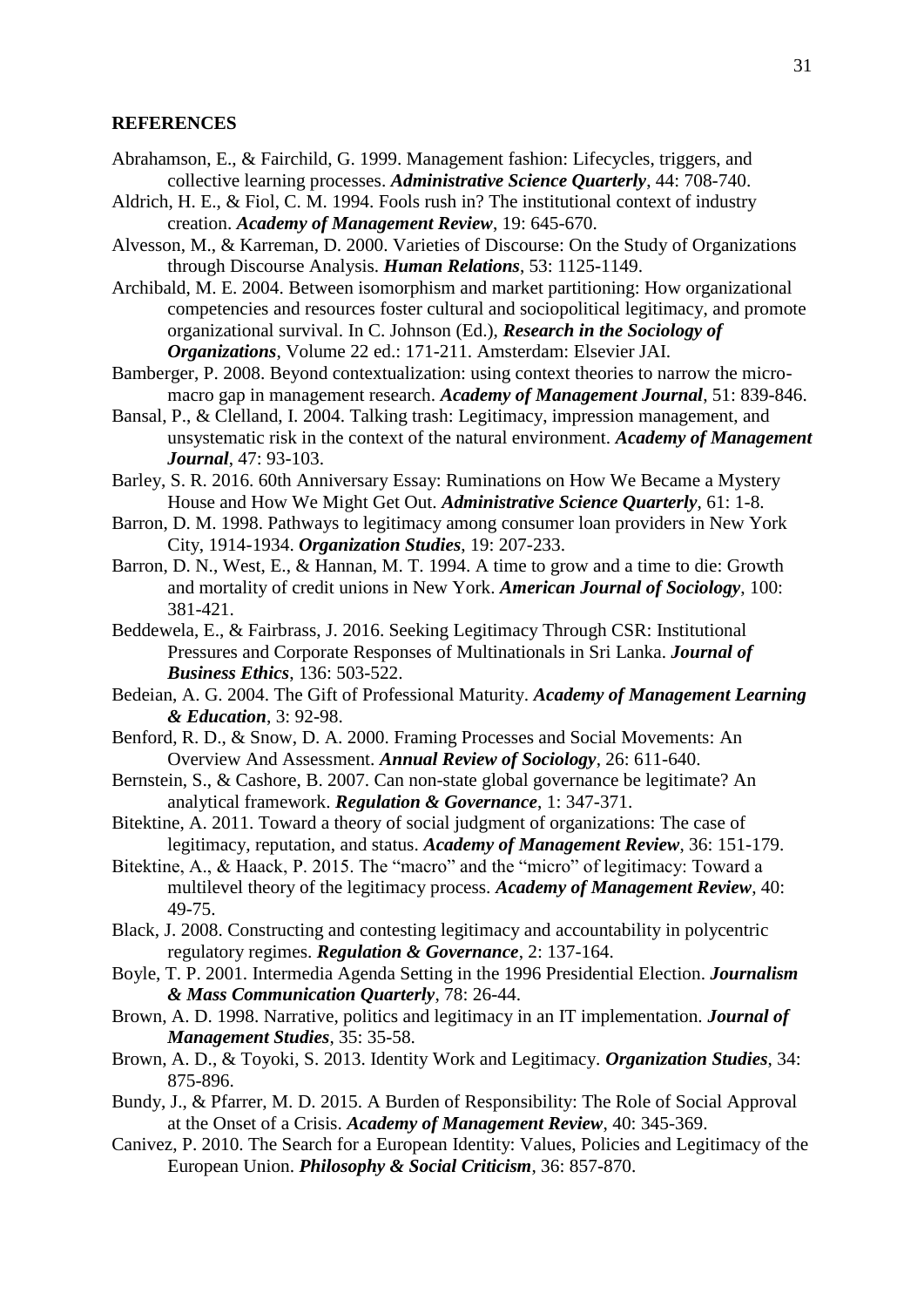#### **REFERENCES**

- Abrahamson, E., & Fairchild, G. 1999. Management fashion: Lifecycles, triggers, and collective learning processes. *Administrative Science Quarterly*, 44: 708-740.
- Aldrich, H. E., & Fiol, C. M. 1994. Fools rush in? The institutional context of industry creation. *Academy of Management Review*, 19: 645-670.
- Alvesson, M., & Karreman, D. 2000. Varieties of Discourse: On the Study of Organizations through Discourse Analysis. *Human Relations*, 53: 1125-1149.
- Archibald, M. E. 2004. Between isomorphism and market partitioning: How organizational competencies and resources foster cultural and sociopolitical legitimacy, and promote organizational survival. In C. Johnson (Ed.), *Research in the Sociology of Organizations*, Volume 22 ed.: 171-211. Amsterdam: Elsevier JAI.
- Bamberger, P. 2008. Beyond contextualization: using context theories to narrow the micromacro gap in management research. *Academy of Management Journal*, 51: 839-846.
- Bansal, P., & Clelland, I. 2004. Talking trash: Legitimacy, impression management, and unsystematic risk in the context of the natural environment. *Academy of Management Journal*, 47: 93-103.
- Barley, S. R. 2016. 60th Anniversary Essay: Ruminations on How We Became a Mystery House and How We Might Get Out. *Administrative Science Quarterly*, 61: 1-8.
- Barron, D. M. 1998. Pathways to legitimacy among consumer loan providers in New York City, 1914-1934. *Organization Studies*, 19: 207-233.
- Barron, D. N., West, E., & Hannan, M. T. 1994. A time to grow and a time to die: Growth and mortality of credit unions in New York. *American Journal of Sociology*, 100: 381-421.
- Beddewela, E., & Fairbrass, J. 2016. Seeking Legitimacy Through CSR: Institutional Pressures and Corporate Responses of Multinationals in Sri Lanka. *Journal of Business Ethics*, 136: 503-522.
- Bedeian, A. G. 2004. The Gift of Professional Maturity. *Academy of Management Learning & Education*, 3: 92-98.
- Benford, R. D., & Snow, D. A. 2000. Framing Processes and Social Movements: An Overview And Assessment. *Annual Review of Sociology*, 26: 611-640.
- Bernstein, S., & Cashore, B. 2007. Can non-state global governance be legitimate? An analytical framework. *Regulation & Governance*, 1: 347-371.
- Bitektine, A. 2011. Toward a theory of social judgment of organizations: The case of legitimacy, reputation, and status. *Academy of Management Review*, 36: 151-179.
- Bitektine, A., & Haack, P. 2015. The "macro" and the "micro" of legitimacy: Toward a multilevel theory of the legitimacy process. *Academy of Management Review*, 40: 49-75.
- Black, J. 2008. Constructing and contesting legitimacy and accountability in polycentric regulatory regimes. *Regulation & Governance*, 2: 137-164.
- Boyle, T. P. 2001. Intermedia Agenda Setting in the 1996 Presidential Election. *Journalism & Mass Communication Quarterly*, 78: 26-44.
- Brown, A. D. 1998. Narrative, politics and legitimacy in an IT implementation. *Journal of Management Studies*, 35: 35-58.
- Brown, A. D., & Toyoki, S. 2013. Identity Work and Legitimacy. *Organization Studies*, 34: 875-896.
- Bundy, J., & Pfarrer, M. D. 2015. A Burden of Responsibility: The Role of Social Approval at the Onset of a Crisis. *Academy of Management Review*, 40: 345-369.
- Canivez, P. 2010. The Search for a European Identity: Values, Policies and Legitimacy of the European Union. *Philosophy & Social Criticism*, 36: 857-870.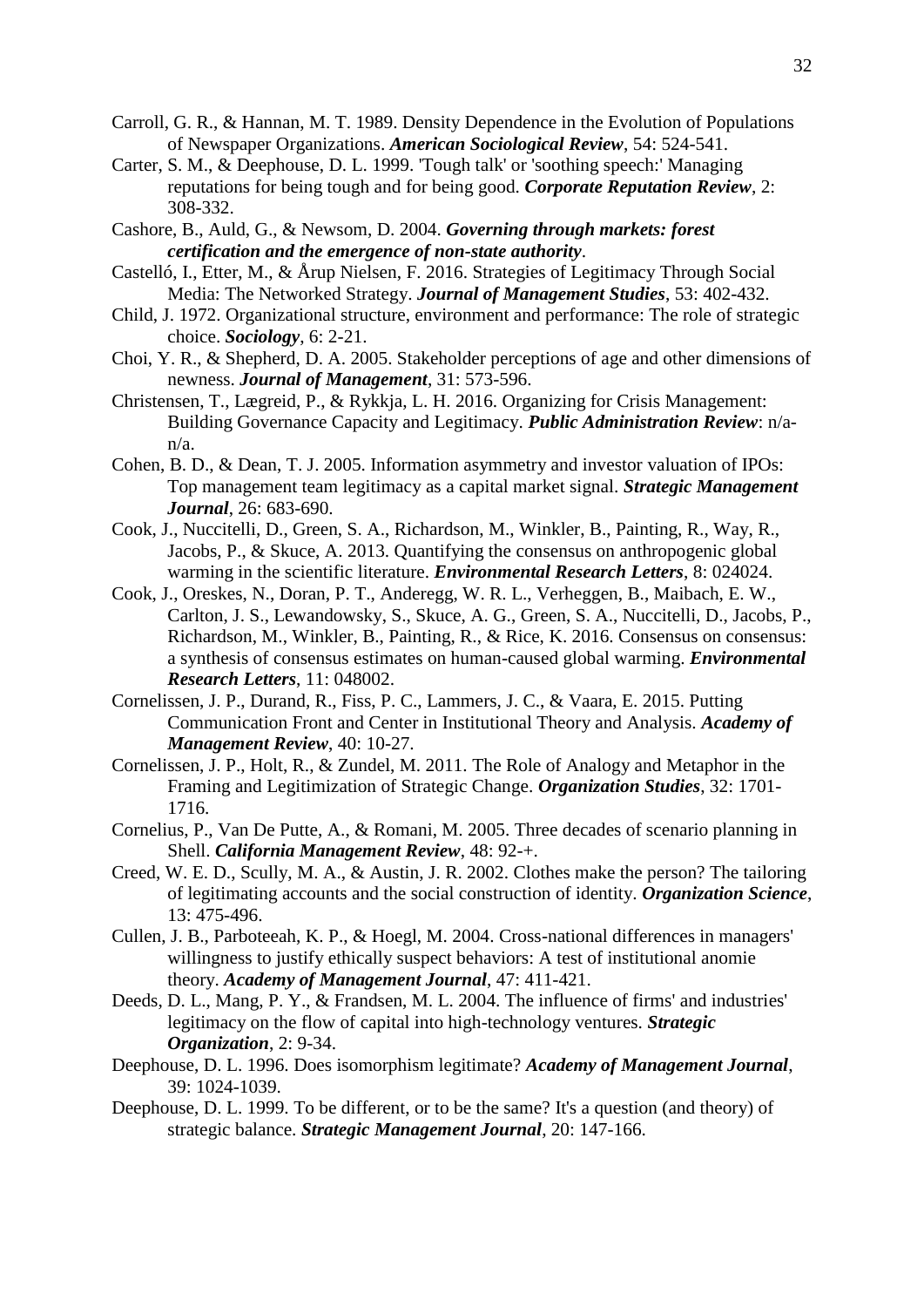- Carroll, G. R., & Hannan, M. T. 1989. Density Dependence in the Evolution of Populations of Newspaper Organizations. *American Sociological Review*, 54: 524-541.
- Carter, S. M., & Deephouse, D. L. 1999. 'Tough talk' or 'soothing speech:' Managing reputations for being tough and for being good. *Corporate Reputation Review*, 2: 308-332.
- Cashore, B., Auld, G., & Newsom, D. 2004. *Governing through markets: forest certification and the emergence of non-state authority*.
- Castelló, I., Etter, M., & Årup Nielsen, F. 2016. Strategies of Legitimacy Through Social Media: The Networked Strategy. *Journal of Management Studies*, 53: 402-432.
- Child, J. 1972. Organizational structure, environment and performance: The role of strategic choice. *Sociology*, 6: 2-21.
- Choi, Y. R., & Shepherd, D. A. 2005. Stakeholder perceptions of age and other dimensions of newness. *Journal of Management*, 31: 573-596.
- Christensen, T., Lægreid, P., & Rykkja, L. H. 2016. Organizing for Crisis Management: Building Governance Capacity and Legitimacy. *Public Administration Review*: n/an/a.
- Cohen, B. D., & Dean, T. J. 2005. Information asymmetry and investor valuation of IPOs: Top management team legitimacy as a capital market signal. *Strategic Management Journal*, 26: 683-690.
- Cook, J., Nuccitelli, D., Green, S. A., Richardson, M., Winkler, B., Painting, R., Way, R., Jacobs, P., & Skuce, A. 2013. Quantifying the consensus on anthropogenic global warming in the scientific literature. *Environmental Research Letters*, 8: 024024.
- Cook, J., Oreskes, N., Doran, P. T., Anderegg, W. R. L., Verheggen, B., Maibach, E. W., Carlton, J. S., Lewandowsky, S., Skuce, A. G., Green, S. A., Nuccitelli, D., Jacobs, P., Richardson, M., Winkler, B., Painting, R., & Rice, K. 2016. Consensus on consensus: a synthesis of consensus estimates on human-caused global warming. *Environmental Research Letters*, 11: 048002.
- Cornelissen, J. P., Durand, R., Fiss, P. C., Lammers, J. C., & Vaara, E. 2015. Putting Communication Front and Center in Institutional Theory and Analysis. *Academy of Management Review*, 40: 10-27.
- Cornelissen, J. P., Holt, R., & Zundel, M. 2011. The Role of Analogy and Metaphor in the Framing and Legitimization of Strategic Change. *Organization Studies*, 32: 1701- 1716.
- Cornelius, P., Van De Putte, A., & Romani, M. 2005. Three decades of scenario planning in Shell. *California Management Review*, 48: 92-+.
- Creed, W. E. D., Scully, M. A., & Austin, J. R. 2002. Clothes make the person? The tailoring of legitimating accounts and the social construction of identity. *Organization Science*, 13: 475-496.
- Cullen, J. B., Parboteeah, K. P., & Hoegl, M. 2004. Cross-national differences in managers' willingness to justify ethically suspect behaviors: A test of institutional anomie theory. *Academy of Management Journal*, 47: 411-421.
- Deeds, D. L., Mang, P. Y., & Frandsen, M. L. 2004. The influence of firms' and industries' legitimacy on the flow of capital into high-technology ventures. *Strategic Organization*, 2: 9-34.
- Deephouse, D. L. 1996. Does isomorphism legitimate? *Academy of Management Journal*, 39: 1024-1039.
- Deephouse, D. L. 1999. To be different, or to be the same? It's a question (and theory) of strategic balance. *Strategic Management Journal*, 20: 147-166.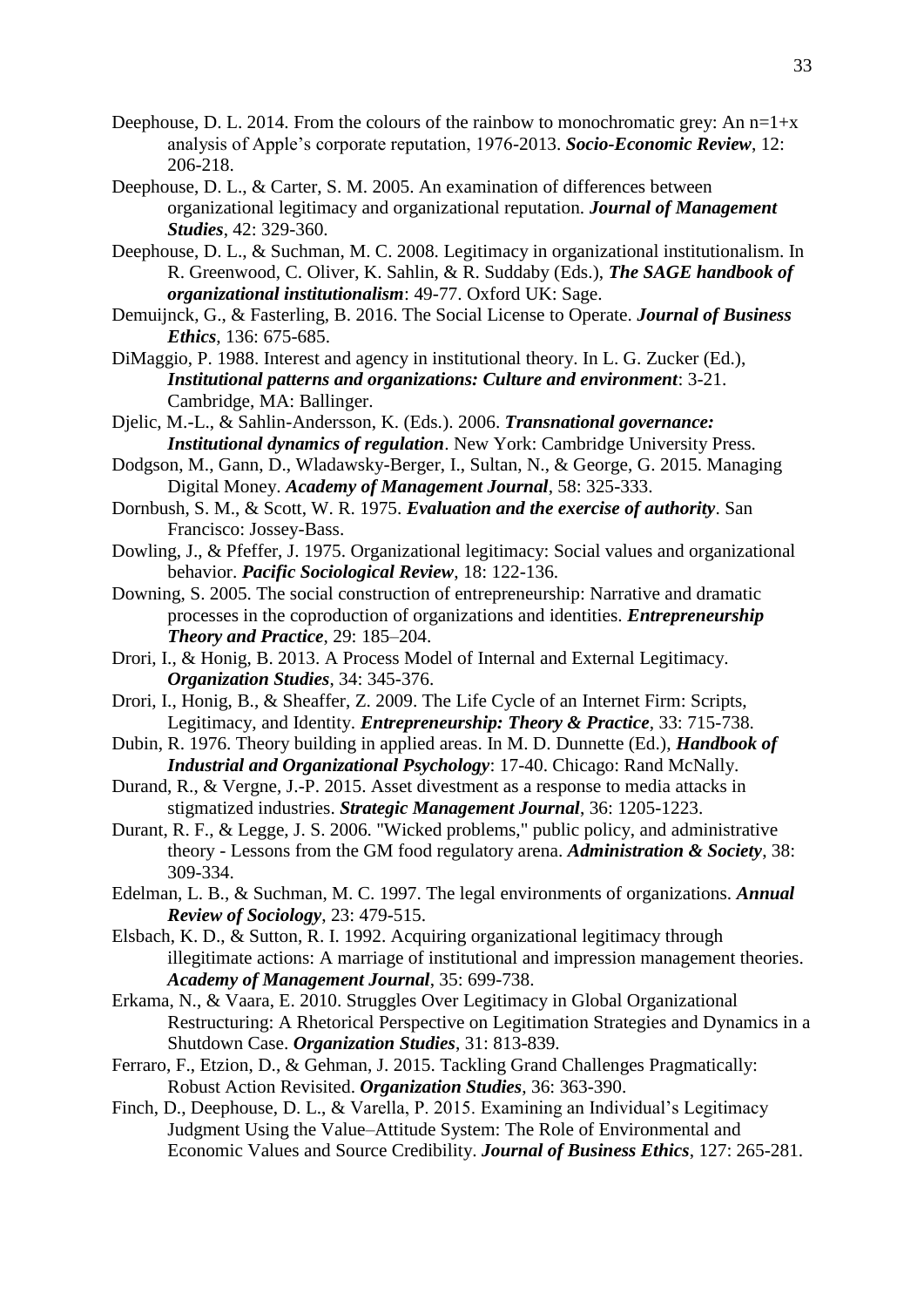- Deephouse, D. L. 2014. From the colours of the rainbow to monochromatic grey: An  $n=1+x$ analysis of Apple's corporate reputation, 1976-2013. *Socio-Economic Review*, 12: 206-218.
- Deephouse, D. L., & Carter, S. M. 2005. An examination of differences between organizational legitimacy and organizational reputation. *Journal of Management Studies*, 42: 329-360.
- Deephouse, D. L., & Suchman, M. C. 2008. Legitimacy in organizational institutionalism. In R. Greenwood, C. Oliver, K. Sahlin, & R. Suddaby (Eds.), *The SAGE handbook of organizational institutionalism*: 49-77. Oxford UK: Sage.
- Demuijnck, G., & Fasterling, B. 2016. The Social License to Operate. *Journal of Business Ethics*, 136: 675-685.
- DiMaggio, P. 1988. Interest and agency in institutional theory. In L. G. Zucker (Ed.), *Institutional patterns and organizations: Culture and environment*: 3-21. Cambridge, MA: Ballinger.
- Djelic, M.-L., & Sahlin-Andersson, K. (Eds.). 2006. *Transnational governance: Institutional dynamics of regulation*. New York: Cambridge University Press.
- Dodgson, M., Gann, D., Wladawsky-Berger, I., Sultan, N., & George, G. 2015. Managing Digital Money. *Academy of Management Journal*, 58: 325-333.
- Dornbush, S. M., & Scott, W. R. 1975. *Evaluation and the exercise of authority*. San Francisco: Jossey-Bass.
- Dowling, J., & Pfeffer, J. 1975. Organizational legitimacy: Social values and organizational behavior. *Pacific Sociological Review*, 18: 122-136.
- Downing, S. 2005. The social construction of entrepreneurship: Narrative and dramatic processes in the coproduction of organizations and identities. *Entrepreneurship Theory and Practice*, 29: 185–204.
- Drori, I., & Honig, B. 2013. A Process Model of Internal and External Legitimacy. *Organization Studies*, 34: 345-376.
- Drori, I., Honig, B., & Sheaffer, Z. 2009. The Life Cycle of an Internet Firm: Scripts, Legitimacy, and Identity. *Entrepreneurship: Theory & Practice*, 33: 715-738.
- Dubin, R. 1976. Theory building in applied areas. In M. D. Dunnette (Ed.), *Handbook of Industrial and Organizational Psychology*: 17-40. Chicago: Rand McNally.
- Durand, R., & Vergne, J.-P. 2015. Asset divestment as a response to media attacks in stigmatized industries. *Strategic Management Journal*, 36: 1205-1223.
- Durant, R. F., & Legge, J. S. 2006. "Wicked problems," public policy, and administrative theory - Lessons from the GM food regulatory arena. *Administration & Society*, 38: 309-334.
- Edelman, L. B., & Suchman, M. C. 1997. The legal environments of organizations. *Annual Review of Sociology*, 23: 479-515.
- Elsbach, K. D., & Sutton, R. I. 1992. Acquiring organizational legitimacy through illegitimate actions: A marriage of institutional and impression management theories. *Academy of Management Journal*, 35: 699-738.
- Erkama, N., & Vaara, E. 2010. Struggles Over Legitimacy in Global Organizational Restructuring: A Rhetorical Perspective on Legitimation Strategies and Dynamics in a Shutdown Case. *Organization Studies*, 31: 813-839.
- Ferraro, F., Etzion, D., & Gehman, J. 2015. Tackling Grand Challenges Pragmatically: Robust Action Revisited. *Organization Studies*, 36: 363-390.
- Finch, D., Deephouse, D. L., & Varella, P. 2015. Examining an Individual's Legitimacy Judgment Using the Value–Attitude System: The Role of Environmental and Economic Values and Source Credibility. *Journal of Business Ethics*, 127: 265-281.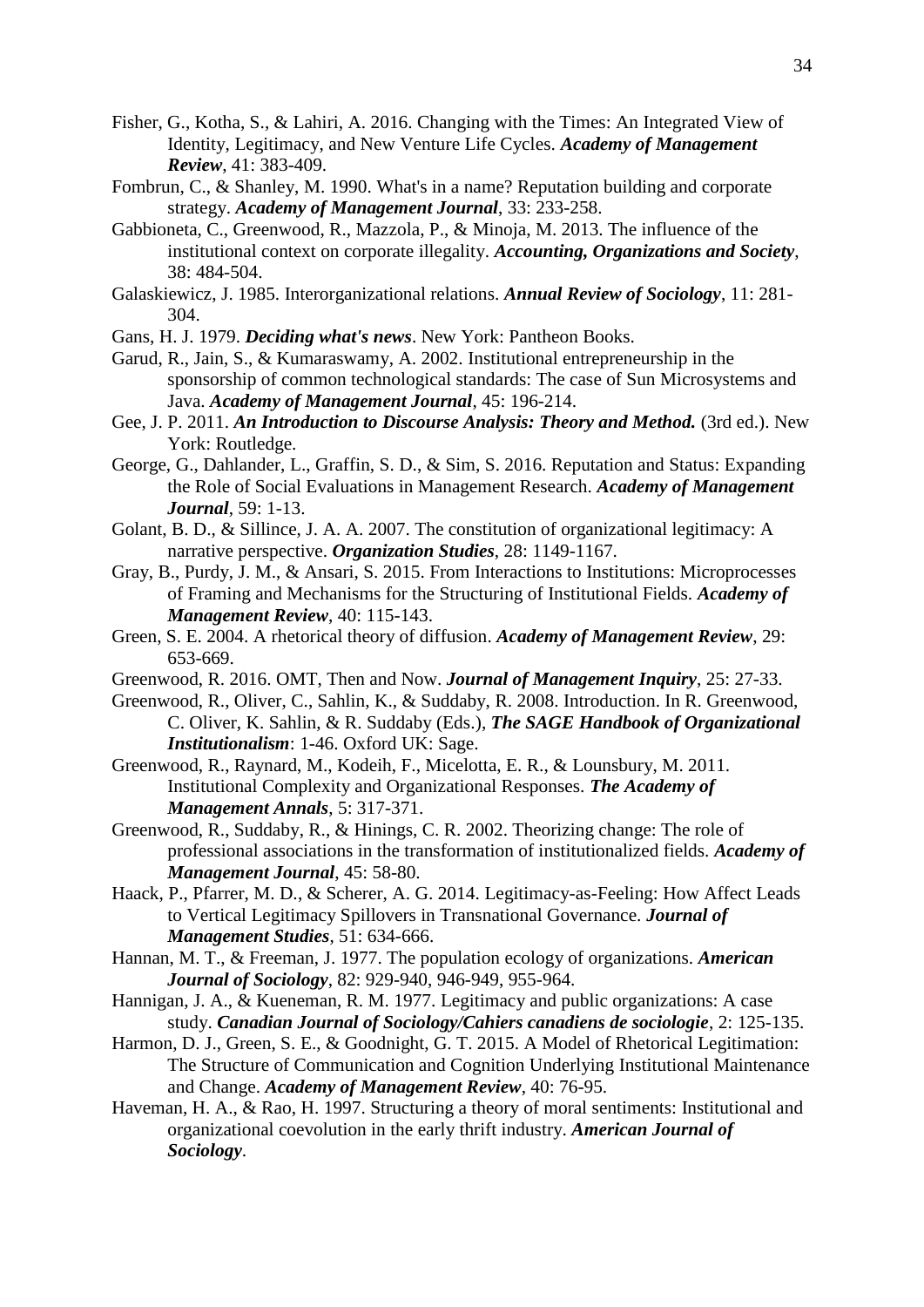- Fisher, G., Kotha, S., & Lahiri, A. 2016. Changing with the Times: An Integrated View of Identity, Legitimacy, and New Venture Life Cycles. *Academy of Management Review*, 41: 383-409.
- Fombrun, C., & Shanley, M. 1990. What's in a name? Reputation building and corporate strategy. *Academy of Management Journal*, 33: 233-258.
- Gabbioneta, C., Greenwood, R., Mazzola, P., & Minoja, M. 2013. The influence of the institutional context on corporate illegality. *Accounting, Organizations and Society*, 38: 484-504.
- Galaskiewicz, J. 1985. Interorganizational relations. *Annual Review of Sociology*, 11: 281- 304.
- Gans, H. J. 1979. *Deciding what's news*. New York: Pantheon Books.
- Garud, R., Jain, S., & Kumaraswamy, A. 2002. Institutional entrepreneurship in the sponsorship of common technological standards: The case of Sun Microsystems and Java. *Academy of Management Journal*, 45: 196-214.
- Gee, J. P. 2011. *An Introduction to Discourse Analysis: Theory and Method.* (3rd ed.). New York: Routledge.
- George, G., Dahlander, L., Graffin, S. D., & Sim, S. 2016. Reputation and Status: Expanding the Role of Social Evaluations in Management Research. *Academy of Management Journal*, 59: 1-13.
- Golant, B. D., & Sillince, J. A. A. 2007. The constitution of organizational legitimacy: A narrative perspective. *Organization Studies*, 28: 1149-1167.
- Gray, B., Purdy, J. M., & Ansari, S. 2015. From Interactions to Institutions: Microprocesses of Framing and Mechanisms for the Structuring of Institutional Fields. *Academy of Management Review*, 40: 115-143.
- Green, S. E. 2004. A rhetorical theory of diffusion. *Academy of Management Review*, 29: 653-669.
- Greenwood, R. 2016. OMT, Then and Now. *Journal of Management Inquiry*, 25: 27-33.
- Greenwood, R., Oliver, C., Sahlin, K., & Suddaby, R. 2008. Introduction. In R. Greenwood, C. Oliver, K. Sahlin, & R. Suddaby (Eds.), *The SAGE Handbook of Organizational Institutionalism*: 1-46. Oxford UK: Sage.
- Greenwood, R., Raynard, M., Kodeih, F., Micelotta, E. R., & Lounsbury, M. 2011. Institutional Complexity and Organizational Responses. *The Academy of Management Annals*, 5: 317-371.
- Greenwood, R., Suddaby, R., & Hinings, C. R. 2002. Theorizing change: The role of professional associations in the transformation of institutionalized fields. *Academy of Management Journal*, 45: 58-80.
- Haack, P., Pfarrer, M. D., & Scherer, A. G. 2014. Legitimacy-as-Feeling: How Affect Leads to Vertical Legitimacy Spillovers in Transnational Governance. *Journal of Management Studies*, 51: 634-666.
- Hannan, M. T., & Freeman, J. 1977. The population ecology of organizations. *American Journal of Sociology*, 82: 929-940, 946-949, 955-964.
- Hannigan, J. A., & Kueneman, R. M. 1977. Legitimacy and public organizations: A case study. *Canadian Journal of Sociology/Cahiers canadiens de sociologie*, 2: 125-135.
- Harmon, D. J., Green, S. E., & Goodnight, G. T. 2015. A Model of Rhetorical Legitimation: The Structure of Communication and Cognition Underlying Institutional Maintenance and Change. *Academy of Management Review*, 40: 76-95.
- Haveman, H. A., & Rao, H. 1997. Structuring a theory of moral sentiments: Institutional and organizational coevolution in the early thrift industry. *American Journal of Sociology*.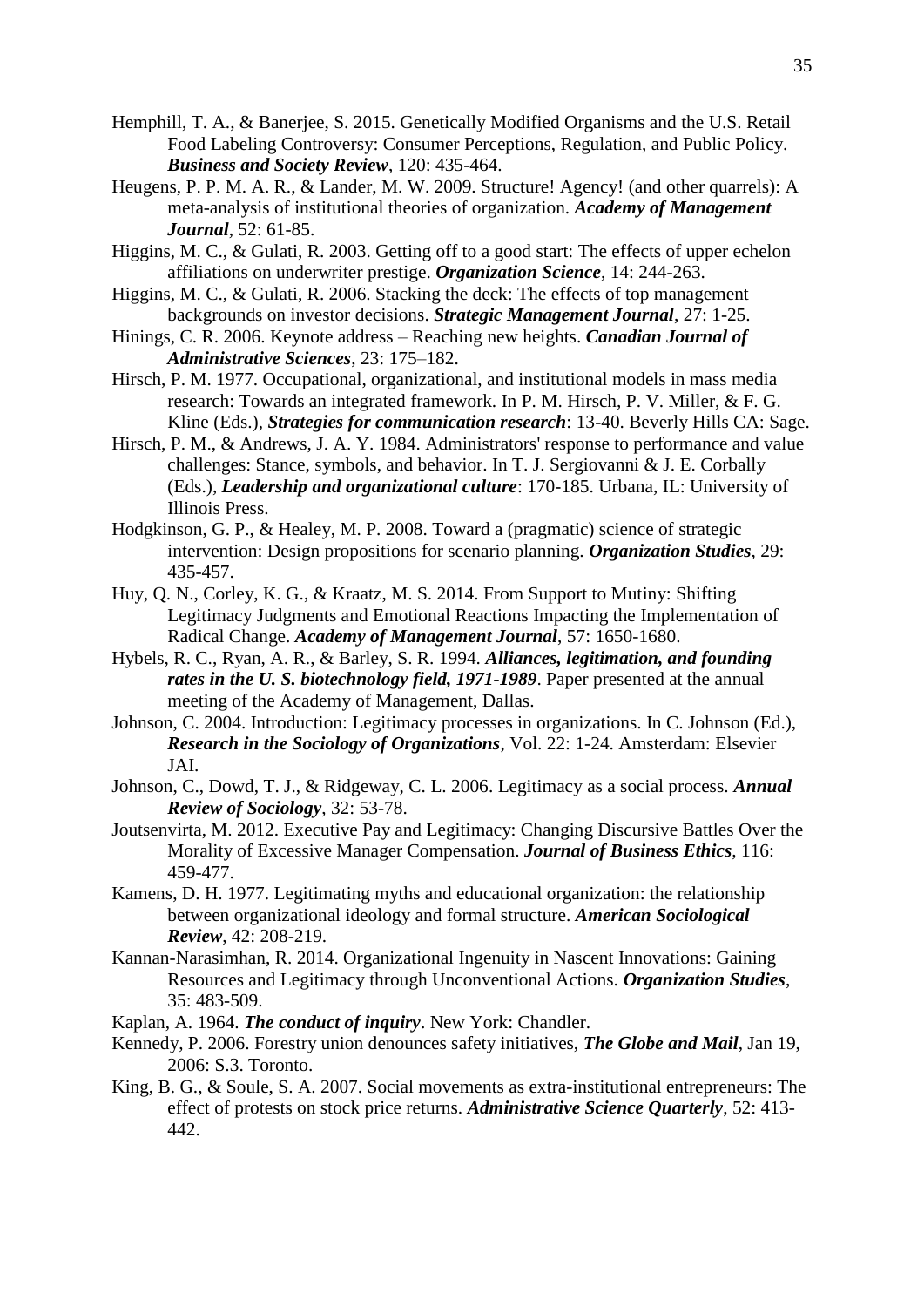- Hemphill, T. A., & Banerjee, S. 2015. Genetically Modified Organisms and the U.S. Retail Food Labeling Controversy: Consumer Perceptions, Regulation, and Public Policy. *Business and Society Review*, 120: 435-464.
- Heugens, P. P. M. A. R., & Lander, M. W. 2009. Structure! Agency! (and other quarrels): A meta-analysis of institutional theories of organization. *Academy of Management Journal*, 52: 61-85.
- Higgins, M. C., & Gulati, R. 2003. Getting off to a good start: The effects of upper echelon affiliations on underwriter prestige. *Organization Science*, 14: 244-263.
- Higgins, M. C., & Gulati, R. 2006. Stacking the deck: The effects of top management backgrounds on investor decisions. *Strategic Management Journal*, 27: 1-25.
- Hinings, C. R. 2006. Keynote address Reaching new heights. *Canadian Journal of Administrative Sciences*, 23: 175–182.
- Hirsch, P. M. 1977. Occupational, organizational, and institutional models in mass media research: Towards an integrated framework. In P. M. Hirsch, P. V. Miller, & F. G. Kline (Eds.), *Strategies for communication research*: 13-40. Beverly Hills CA: Sage.
- Hirsch, P. M., & Andrews, J. A. Y. 1984. Administrators' response to performance and value challenges: Stance, symbols, and behavior. In T. J. Sergiovanni & J. E. Corbally (Eds.), *Leadership and organizational culture*: 170-185. Urbana, IL: University of Illinois Press.
- Hodgkinson, G. P., & Healey, M. P. 2008. Toward a (pragmatic) science of strategic intervention: Design propositions for scenario planning. *Organization Studies*, 29: 435-457.
- Huy, Q. N., Corley, K. G., & Kraatz, M. S. 2014. From Support to Mutiny: Shifting Legitimacy Judgments and Emotional Reactions Impacting the Implementation of Radical Change. *Academy of Management Journal*, 57: 1650-1680.
- Hybels, R. C., Ryan, A. R., & Barley, S. R. 1994. *Alliances, legitimation, and founding rates in the U. S. biotechnology field, 1971-1989*. Paper presented at the annual meeting of the Academy of Management, Dallas.
- Johnson, C. 2004. Introduction: Legitimacy processes in organizations. In C. Johnson (Ed.), *Research in the Sociology of Organizations*, Vol. 22: 1-24. Amsterdam: Elsevier JAI.
- Johnson, C., Dowd, T. J., & Ridgeway, C. L. 2006. Legitimacy as a social process. *Annual Review of Sociology*, 32: 53-78.
- Joutsenvirta, M. 2012. Executive Pay and Legitimacy: Changing Discursive Battles Over the Morality of Excessive Manager Compensation. *Journal of Business Ethics*, 116: 459-477.
- Kamens, D. H. 1977. Legitimating myths and educational organization: the relationship between organizational ideology and formal structure. *American Sociological Review*, 42: 208-219.
- Kannan-Narasimhan, R. 2014. Organizational Ingenuity in Nascent Innovations: Gaining Resources and Legitimacy through Unconventional Actions. *Organization Studies*, 35: 483-509.
- Kaplan, A. 1964. *The conduct of inquiry*. New York: Chandler.
- Kennedy, P. 2006. Forestry union denounces safety initiatives, *The Globe and Mail*, Jan 19, 2006: S.3. Toronto.
- King, B. G., & Soule, S. A. 2007. Social movements as extra-institutional entrepreneurs: The effect of protests on stock price returns. *Administrative Science Quarterly*, 52: 413- 442.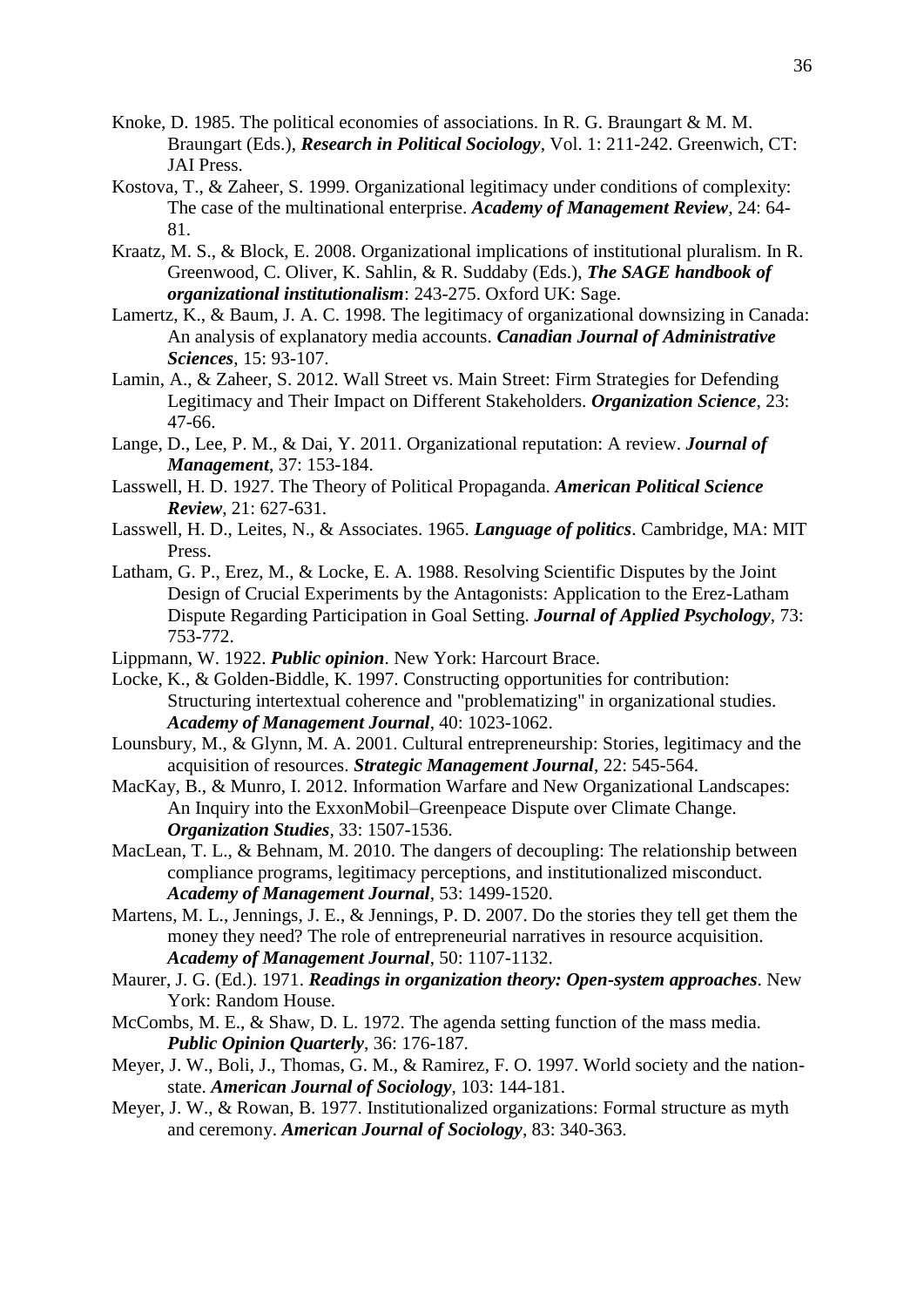- Knoke, D. 1985. The political economies of associations. In R. G. Braungart & M. M. Braungart (Eds.), *Research in Political Sociology*, Vol. 1: 211-242. Greenwich, CT: JAI Press.
- Kostova, T., & Zaheer, S. 1999. Organizational legitimacy under conditions of complexity: The case of the multinational enterprise. *Academy of Management Review*, 24: 64- 81.
- Kraatz, M. S., & Block, E. 2008. Organizational implications of institutional pluralism. In R. Greenwood, C. Oliver, K. Sahlin, & R. Suddaby (Eds.), *The SAGE handbook of organizational institutionalism*: 243-275. Oxford UK: Sage.
- Lamertz, K., & Baum, J. A. C. 1998. The legitimacy of organizational downsizing in Canada: An analysis of explanatory media accounts. *Canadian Journal of Administrative Sciences*, 15: 93-107.
- Lamin, A., & Zaheer, S. 2012. Wall Street vs. Main Street: Firm Strategies for Defending Legitimacy and Their Impact on Different Stakeholders. *Organization Science*, 23: 47-66.
- Lange, D., Lee, P. M., & Dai, Y. 2011. Organizational reputation: A review. *Journal of Management*, 37: 153-184.
- Lasswell, H. D. 1927. The Theory of Political Propaganda. *American Political Science Review*, 21: 627-631.
- Lasswell, H. D., Leites, N., & Associates. 1965. *Language of politics*. Cambridge, MA: MIT Press.
- Latham, G. P., Erez, M., & Locke, E. A. 1988. Resolving Scientific Disputes by the Joint Design of Crucial Experiments by the Antagonists: Application to the Erez-Latham Dispute Regarding Participation in Goal Setting. *Journal of Applied Psychology*, 73: 753-772.
- Lippmann, W. 1922. *Public opinion*. New York: Harcourt Brace.
- Locke, K., & Golden-Biddle, K. 1997. Constructing opportunities for contribution: Structuring intertextual coherence and "problematizing" in organizational studies. *Academy of Management Journal*, 40: 1023-1062.
- Lounsbury, M., & Glynn, M. A. 2001. Cultural entrepreneurship: Stories, legitimacy and the acquisition of resources. *Strategic Management Journal*, 22: 545-564.
- MacKay, B., & Munro, I. 2012. Information Warfare and New Organizational Landscapes: An Inquiry into the ExxonMobil–Greenpeace Dispute over Climate Change. *Organization Studies*, 33: 1507-1536.
- MacLean, T. L., & Behnam, M. 2010. The dangers of decoupling: The relationship between compliance programs, legitimacy perceptions, and institutionalized misconduct. *Academy of Management Journal*, 53: 1499-1520.
- Martens, M. L., Jennings, J. E., & Jennings, P. D. 2007. Do the stories they tell get them the money they need? The role of entrepreneurial narratives in resource acquisition. *Academy of Management Journal*, 50: 1107-1132.
- Maurer, J. G. (Ed.). 1971. *Readings in organization theory: Open-system approaches*. New York: Random House.
- McCombs, M. E., & Shaw, D. L. 1972. The agenda setting function of the mass media. *Public Opinion Quarterly*, 36: 176-187.
- Meyer, J. W., Boli, J., Thomas, G. M., & Ramirez, F. O. 1997. World society and the nationstate. *American Journal of Sociology*, 103: 144-181.
- Meyer, J. W., & Rowan, B. 1977. Institutionalized organizations: Formal structure as myth and ceremony. *American Journal of Sociology*, 83: 340-363.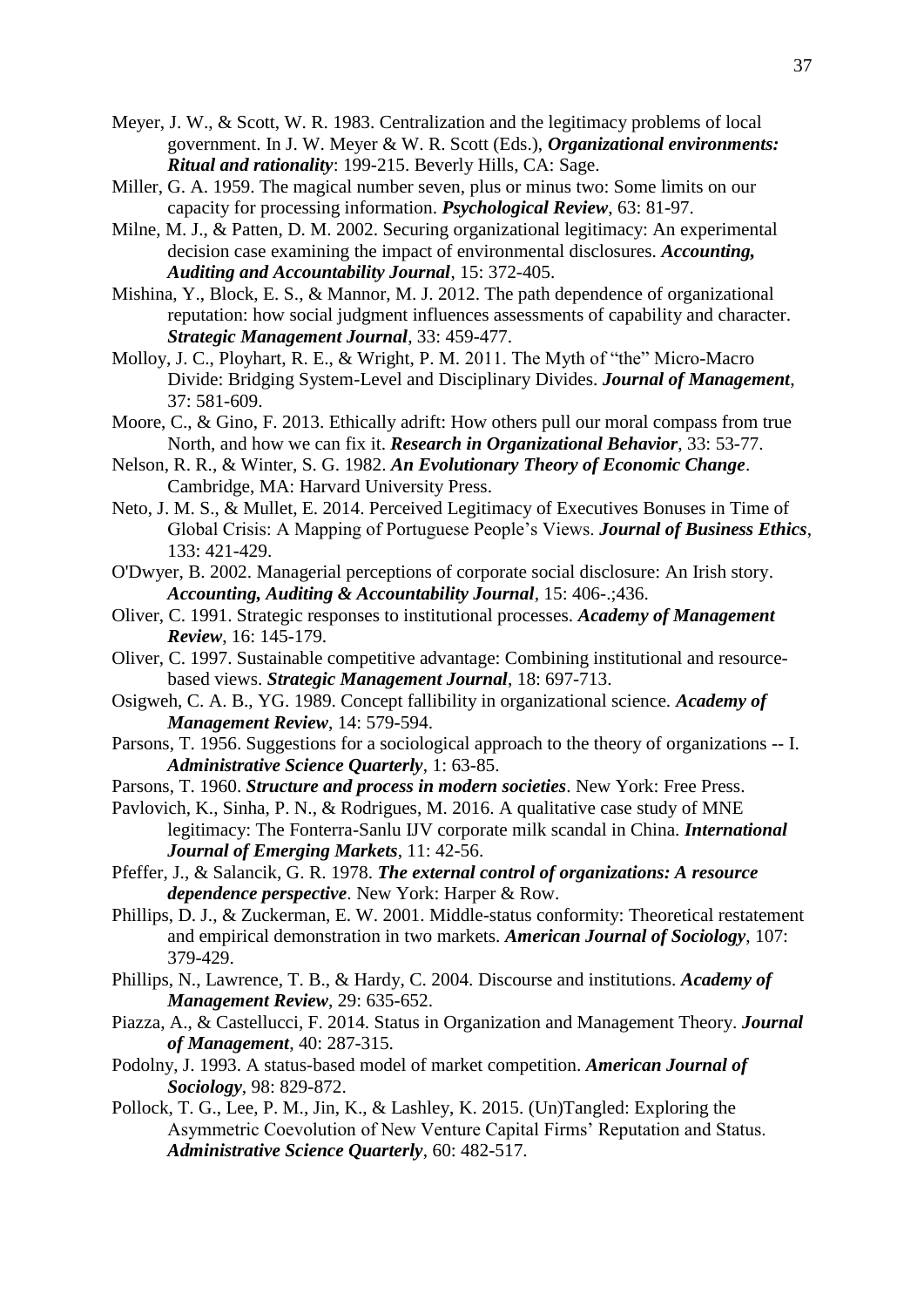- Meyer, J. W., & Scott, W. R. 1983. Centralization and the legitimacy problems of local government. In J. W. Meyer & W. R. Scott (Eds.), *Organizational environments: Ritual and rationality*: 199-215. Beverly Hills, CA: Sage.
- Miller, G. A. 1959. The magical number seven, plus or minus two: Some limits on our capacity for processing information. *Psychological Review*, 63: 81-97.
- Milne, M. J., & Patten, D. M. 2002. Securing organizational legitimacy: An experimental decision case examining the impact of environmental disclosures. *Accounting, Auditing and Accountability Journal*, 15: 372-405.
- Mishina, Y., Block, E. S., & Mannor, M. J. 2012. The path dependence of organizational reputation: how social judgment influences assessments of capability and character. *Strategic Management Journal*, 33: 459-477.
- Molloy, J. C., Ployhart, R. E., & Wright, P. M. 2011. The Myth of "the" Micro-Macro Divide: Bridging System-Level and Disciplinary Divides. *Journal of Management*, 37: 581-609.
- Moore, C., & Gino, F. 2013. Ethically adrift: How others pull our moral compass from true North, and how we can fix it. *Research in Organizational Behavior*, 33: 53-77.
- Nelson, R. R., & Winter, S. G. 1982. *An Evolutionary Theory of Economic Change*. Cambridge, MA: Harvard University Press.
- Neto, J. M. S., & Mullet, E. 2014. Perceived Legitimacy of Executives Bonuses in Time of Global Crisis: A Mapping of Portuguese People's Views. *Journal of Business Ethics*, 133: 421-429.
- O'Dwyer, B. 2002. Managerial perceptions of corporate social disclosure: An Irish story. *Accounting, Auditing & Accountability Journal*, 15: 406-.;436.
- Oliver, C. 1991. Strategic responses to institutional processes. *Academy of Management Review*, 16: 145-179.
- Oliver, C. 1997. Sustainable competitive advantage: Combining institutional and resourcebased views. *Strategic Management Journal*, 18: 697-713.
- Osigweh, C. A. B., YG. 1989. Concept fallibility in organizational science. *Academy of Management Review*, 14: 579-594.
- Parsons, T. 1956. Suggestions for a sociological approach to the theory of organizations -- I. *Administrative Science Quarterly*, 1: 63-85.
- Parsons, T. 1960. *Structure and process in modern societies*. New York: Free Press.
- Pavlovich, K., Sinha, P. N., & Rodrigues, M. 2016. A qualitative case study of MNE legitimacy: The Fonterra-Sanlu IJV corporate milk scandal in China. *International Journal of Emerging Markets*, 11: 42-56.
- Pfeffer, J., & Salancik, G. R. 1978. *The external control of organizations: A resource dependence perspective*. New York: Harper & Row.
- Phillips, D. J., & Zuckerman, E. W. 2001. Middle-status conformity: Theoretical restatement and empirical demonstration in two markets. *American Journal of Sociology*, 107: 379-429.
- Phillips, N., Lawrence, T. B., & Hardy, C. 2004. Discourse and institutions. *Academy of Management Review*, 29: 635-652.
- Piazza, A., & Castellucci, F. 2014. Status in Organization and Management Theory. *Journal of Management*, 40: 287-315.
- Podolny, J. 1993. A status-based model of market competition. *American Journal of Sociology*, 98: 829-872.
- Pollock, T. G., Lee, P. M., Jin, K., & Lashley, K. 2015. (Un)Tangled: Exploring the Asymmetric Coevolution of New Venture Capital Firms' Reputation and Status. *Administrative Science Quarterly*, 60: 482-517.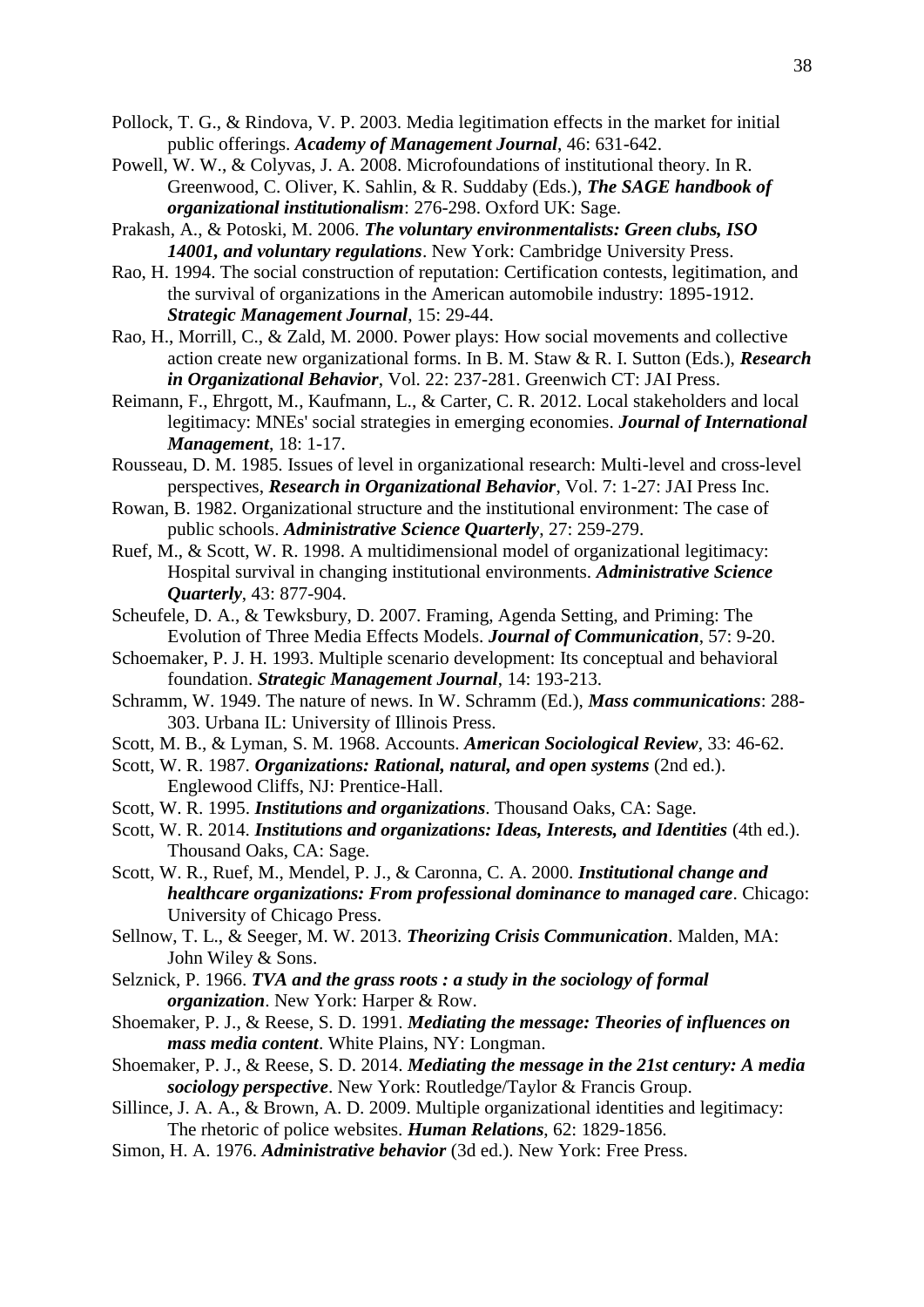- Pollock, T. G., & Rindova, V. P. 2003. Media legitimation effects in the market for initial public offerings. *Academy of Management Journal*, 46: 631-642.
- Powell, W. W., & Colyvas, J. A. 2008. Microfoundations of institutional theory. In R. Greenwood, C. Oliver, K. Sahlin, & R. Suddaby (Eds.), *The SAGE handbook of organizational institutionalism*: 276-298. Oxford UK: Sage.
- Prakash, A., & Potoski, M. 2006. *The voluntary environmentalists: Green clubs, ISO 14001, and voluntary regulations*. New York: Cambridge University Press.
- Rao, H. 1994. The social construction of reputation: Certification contests, legitimation, and the survival of organizations in the American automobile industry: 1895-1912. *Strategic Management Journal*, 15: 29-44.
- Rao, H., Morrill, C., & Zald, M. 2000. Power plays: How social movements and collective action create new organizational forms. In B. M. Staw & R. I. Sutton (Eds.), *Research in Organizational Behavior*, Vol. 22: 237-281. Greenwich CT: JAI Press.
- Reimann, F., Ehrgott, M., Kaufmann, L., & Carter, C. R. 2012. Local stakeholders and local legitimacy: MNEs' social strategies in emerging economies. *Journal of International Management*, 18: 1-17.
- Rousseau, D. M. 1985. Issues of level in organizational research: Multi-level and cross-level perspectives, *Research in Organizational Behavior*, Vol. 7: 1-27: JAI Press Inc.
- Rowan, B. 1982. Organizational structure and the institutional environment: The case of public schools. *Administrative Science Quarterly*, 27: 259-279.
- Ruef, M., & Scott, W. R. 1998. A multidimensional model of organizational legitimacy: Hospital survival in changing institutional environments. *Administrative Science Quarterly*, 43: 877-904.
- Scheufele, D. A., & Tewksbury, D. 2007. Framing, Agenda Setting, and Priming: The Evolution of Three Media Effects Models. *Journal of Communication*, 57: 9-20.
- Schoemaker, P. J. H. 1993. Multiple scenario development: Its conceptual and behavioral foundation. *Strategic Management Journal*, 14: 193-213.
- Schramm, W. 1949. The nature of news. In W. Schramm (Ed.), *Mass communications*: 288- 303. Urbana IL: University of Illinois Press.
- Scott, M. B., & Lyman, S. M. 1968. Accounts. *American Sociological Review*, 33: 46-62.
- Scott, W. R. 1987. *Organizations: Rational, natural, and open systems* (2nd ed.). Englewood Cliffs, NJ: Prentice-Hall.
- Scott, W. R. 1995. *Institutions and organizations*. Thousand Oaks, CA: Sage.
- Scott, W. R. 2014. *Institutions and organizations: Ideas, Interests, and Identities* (4th ed.). Thousand Oaks, CA: Sage.
- Scott, W. R., Ruef, M., Mendel, P. J., & Caronna, C. A. 2000. *Institutional change and healthcare organizations: From professional dominance to managed care*. Chicago: University of Chicago Press.
- Sellnow, T. L., & Seeger, M. W. 2013. *Theorizing Crisis Communication*. Malden, MA: John Wiley & Sons.
- Selznick, P. 1966. *TVA and the grass roots : a study in the sociology of formal organization*. New York: Harper & Row.
- Shoemaker, P. J., & Reese, S. D. 1991. *Mediating the message: Theories of influences on mass media content*. White Plains, NY: Longman.
- Shoemaker, P. J., & Reese, S. D. 2014. *Mediating the message in the 21st century: A media sociology perspective*. New York: Routledge/Taylor & Francis Group.
- Sillince, J. A. A., & Brown, A. D. 2009. Multiple organizational identities and legitimacy: The rhetoric of police websites. *Human Relations*, 62: 1829-1856.
- Simon, H. A. 1976. *Administrative behavior* (3d ed.). New York: Free Press.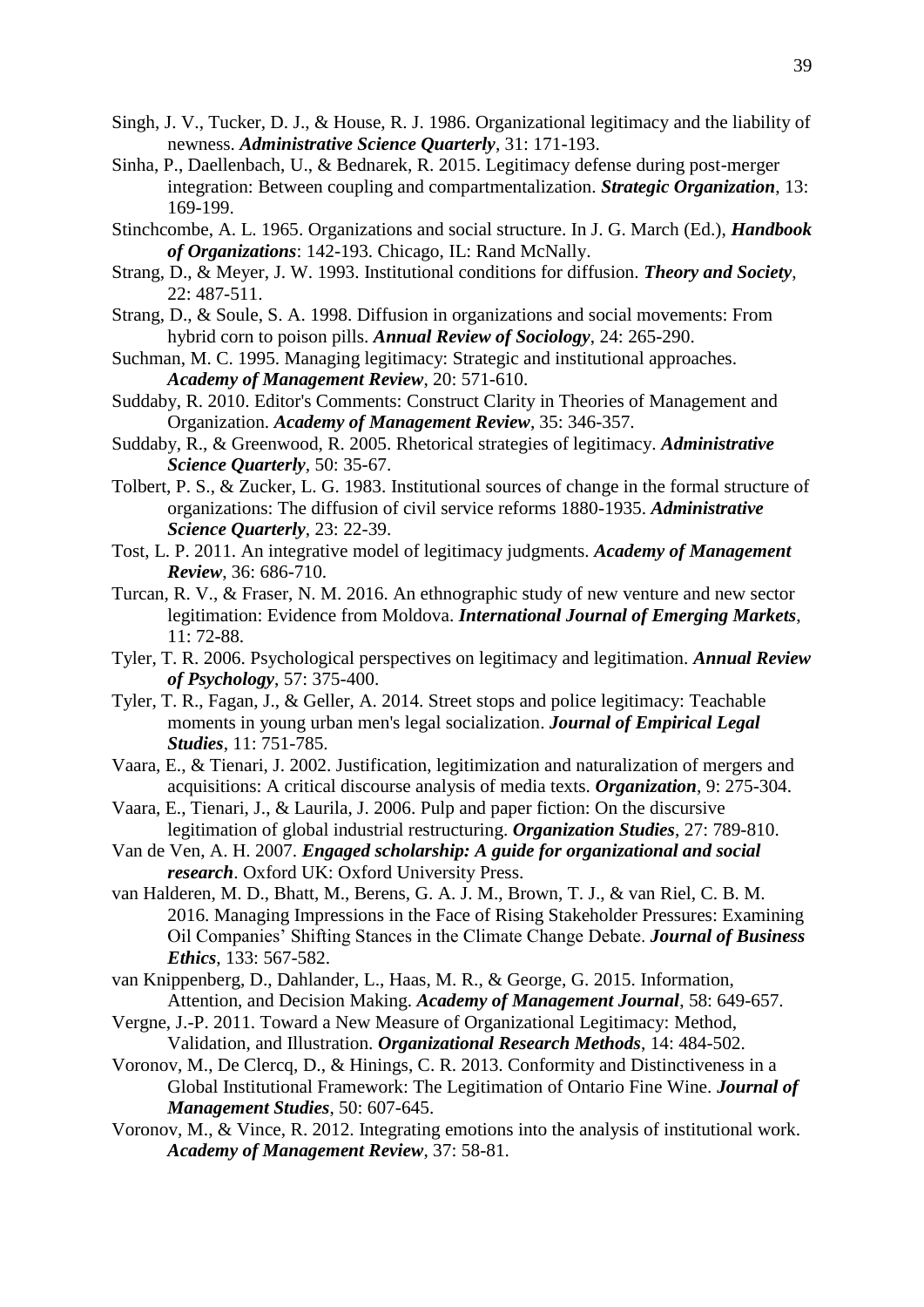- Singh, J. V., Tucker, D. J., & House, R. J. 1986. Organizational legitimacy and the liability of newness. *Administrative Science Quarterly*, 31: 171-193.
- Sinha, P., Daellenbach, U., & Bednarek, R. 2015. Legitimacy defense during post-merger integration: Between coupling and compartmentalization. *Strategic Organization*, 13: 169-199.
- Stinchcombe, A. L. 1965. Organizations and social structure. In J. G. March (Ed.), *Handbook of Organizations*: 142-193. Chicago, IL: Rand McNally.
- Strang, D., & Meyer, J. W. 1993. Institutional conditions for diffusion. *Theory and Society*, 22: 487-511.
- Strang, D., & Soule, S. A. 1998. Diffusion in organizations and social movements: From hybrid corn to poison pills. *Annual Review of Sociology*, 24: 265-290.
- Suchman, M. C. 1995. Managing legitimacy: Strategic and institutional approaches. *Academy of Management Review*, 20: 571-610.
- Suddaby, R. 2010. Editor's Comments: Construct Clarity in Theories of Management and Organization. *Academy of Management Review*, 35: 346-357.
- Suddaby, R., & Greenwood, R. 2005. Rhetorical strategies of legitimacy. *Administrative Science Quarterly*, 50: 35-67.
- Tolbert, P. S., & Zucker, L. G. 1983. Institutional sources of change in the formal structure of organizations: The diffusion of civil service reforms 1880-1935. *Administrative Science Quarterly*, 23: 22-39.
- Tost, L. P. 2011. An integrative model of legitimacy judgments. *Academy of Management Review*, 36: 686-710.
- Turcan, R. V., & Fraser, N. M. 2016. An ethnographic study of new venture and new sector legitimation: Evidence from Moldova. *International Journal of Emerging Markets*, 11: 72-88.
- Tyler, T. R. 2006. Psychological perspectives on legitimacy and legitimation. *Annual Review of Psychology*, 57: 375-400.
- Tyler, T. R., Fagan, J., & Geller, A. 2014. Street stops and police legitimacy: Teachable moments in young urban men's legal socialization. *Journal of Empirical Legal Studies*, 11: 751-785.
- Vaara, E., & Tienari, J. 2002. Justification, legitimization and naturalization of mergers and acquisitions: A critical discourse analysis of media texts. *Organization*, 9: 275-304.
- Vaara, E., Tienari, J., & Laurila, J. 2006. Pulp and paper fiction: On the discursive legitimation of global industrial restructuring. *Organization Studies*, 27: 789-810.
- Van de Ven, A. H. 2007. *Engaged scholarship: A guide for organizational and social research*. Oxford UK: Oxford University Press.
- van Halderen, M. D., Bhatt, M., Berens, G. A. J. M., Brown, T. J., & van Riel, C. B. M. 2016. Managing Impressions in the Face of Rising Stakeholder Pressures: Examining Oil Companies' Shifting Stances in the Climate Change Debate. *Journal of Business Ethics*, 133: 567-582.
- van Knippenberg, D., Dahlander, L., Haas, M. R., & George, G. 2015. Information, Attention, and Decision Making. *Academy of Management Journal*, 58: 649-657.
- Vergne, J.-P. 2011. Toward a New Measure of Organizational Legitimacy: Method, Validation, and Illustration. *Organizational Research Methods*, 14: 484-502.
- Voronov, M., De Clercq, D., & Hinings, C. R. 2013. Conformity and Distinctiveness in a Global Institutional Framework: The Legitimation of Ontario Fine Wine. *Journal of Management Studies*, 50: 607-645.
- Voronov, M., & Vince, R. 2012. Integrating emotions into the analysis of institutional work. *Academy of Management Review*, 37: 58-81.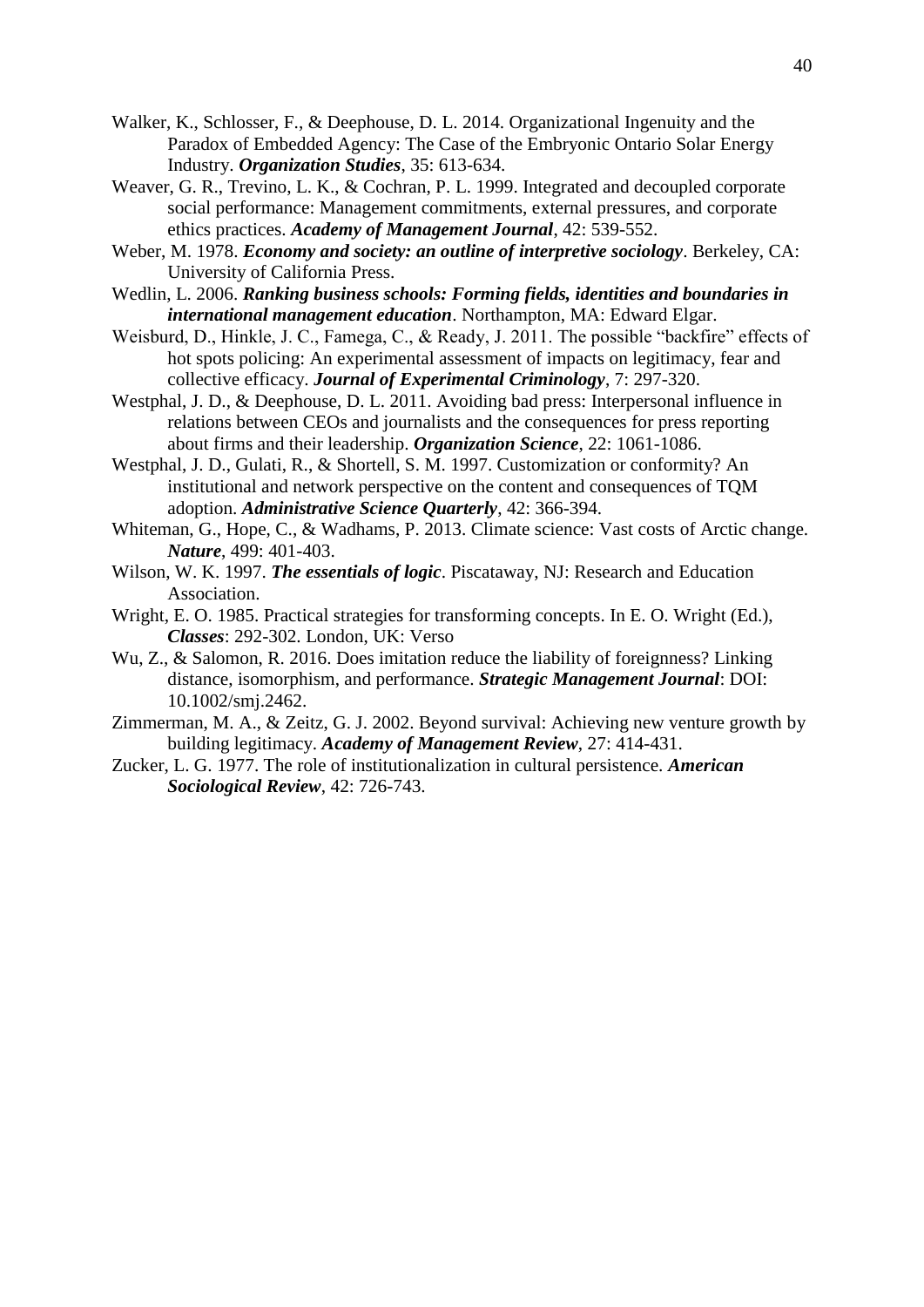- Walker, K., Schlosser, F., & Deephouse, D. L. 2014. Organizational Ingenuity and the Paradox of Embedded Agency: The Case of the Embryonic Ontario Solar Energy Industry. *Organization Studies*, 35: 613-634.
- Weaver, G. R., Trevino, L. K., & Cochran, P. L. 1999. Integrated and decoupled corporate social performance: Management commitments, external pressures, and corporate ethics practices. *Academy of Management Journal*, 42: 539-552.
- Weber, M. 1978. *Economy and society: an outline of interpretive sociology*. Berkeley, CA: University of California Press.
- Wedlin, L. 2006. *Ranking business schools: Forming fields, identities and boundaries in international management education*. Northampton, MA: Edward Elgar.
- Weisburd, D., Hinkle, J. C., Famega, C., & Ready, J. 2011. The possible "backfire" effects of hot spots policing: An experimental assessment of impacts on legitimacy, fear and collective efficacy. *Journal of Experimental Criminology*, 7: 297-320.
- Westphal, J. D., & Deephouse, D. L. 2011. Avoiding bad press: Interpersonal influence in relations between CEOs and journalists and the consequences for press reporting about firms and their leadership. *Organization Science*, 22: 1061-1086.
- Westphal, J. D., Gulati, R., & Shortell, S. M. 1997. Customization or conformity? An institutional and network perspective on the content and consequences of TQM adoption. *Administrative Science Quarterly*, 42: 366-394.
- Whiteman, G., Hope, C., & Wadhams, P. 2013. Climate science: Vast costs of Arctic change. *Nature*, 499: 401-403.
- Wilson, W. K. 1997. *The essentials of logic*. Piscataway, NJ: Research and Education Association.
- Wright, E. O. 1985. Practical strategies for transforming concepts. In E. O. Wright (Ed.), *Classes*: 292-302. London, UK: Verso
- Wu, Z., & Salomon, R. 2016. Does imitation reduce the liability of foreignness? Linking distance, isomorphism, and performance. *Strategic Management Journal*: DOI: 10.1002/smj.2462.
- Zimmerman, M. A., & Zeitz, G. J. 2002. Beyond survival: Achieving new venture growth by building legitimacy. *Academy of Management Review*, 27: 414-431.
- Zucker, L. G. 1977. The role of institutionalization in cultural persistence. *American Sociological Review*, 42: 726-743.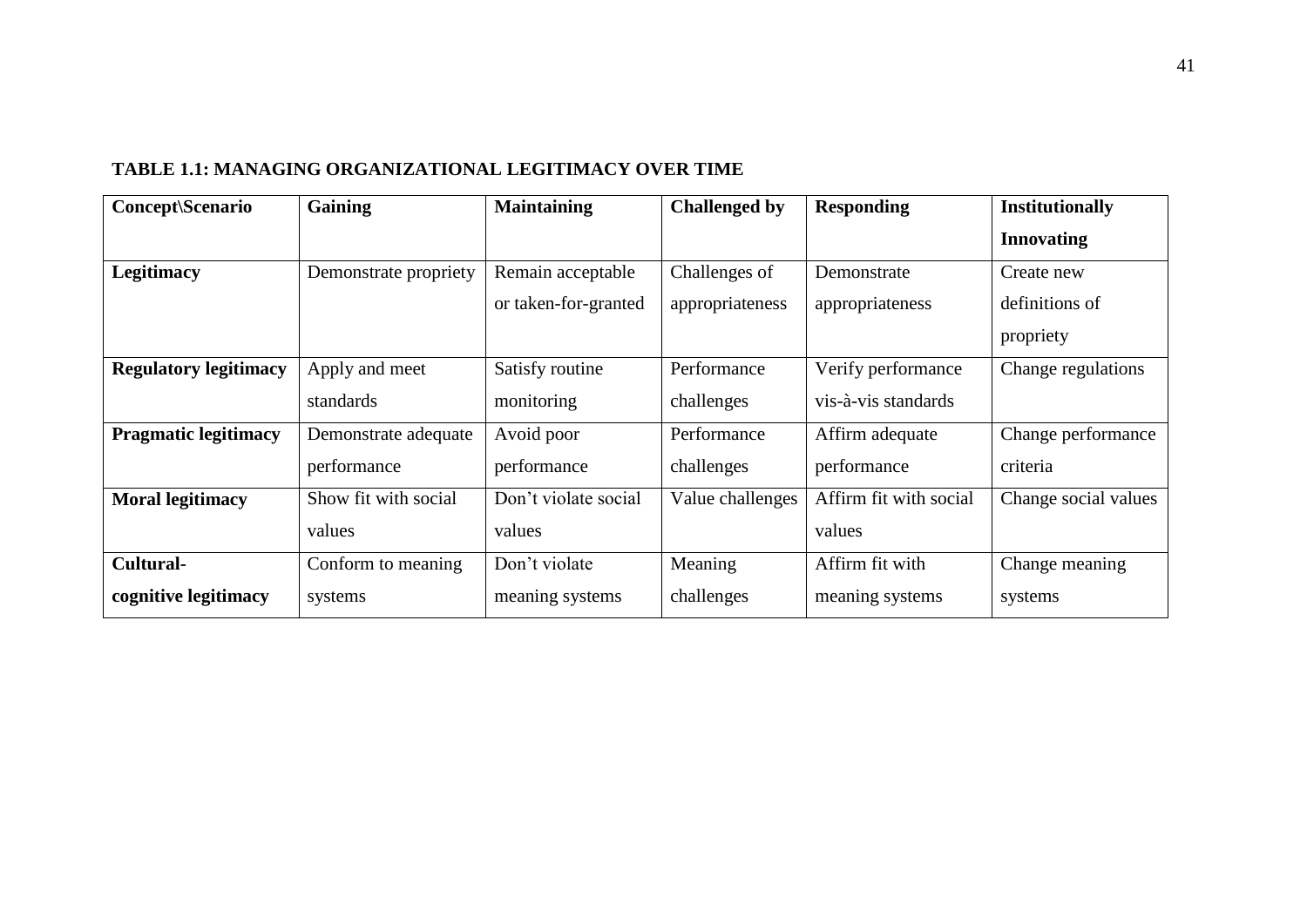| Concept\Scenario             | Gaining               | <b>Maintaining</b>   | <b>Challenged by</b> | <b>Responding</b>      | <b>Institutionally</b> |
|------------------------------|-----------------------|----------------------|----------------------|------------------------|------------------------|
|                              |                       |                      |                      |                        | <b>Innovating</b>      |
| Legitimacy                   | Demonstrate propriety | Remain acceptable    | Challenges of        | Demonstrate            | Create new             |
|                              |                       | or taken-for-granted | appropriateness      | appropriateness        | definitions of         |
|                              |                       |                      |                      |                        | propriety              |
| <b>Regulatory legitimacy</b> | Apply and meet        | Satisfy routine      | Performance          | Verify performance     | Change regulations     |
|                              | standards             | monitoring           | challenges           | vis-à-vis standards    |                        |
| <b>Pragmatic legitimacy</b>  | Demonstrate adequate  | Avoid poor           | Performance          | Affirm adequate        | Change performance     |
|                              | performance           | performance          | challenges           | performance            | criteria               |
| <b>Moral legitimacy</b>      | Show fit with social  | Don't violate social | Value challenges     | Affirm fit with social | Change social values   |
|                              | values                | values               |                      | values                 |                        |
| Cultural-                    | Conform to meaning    | Don't violate        | Meaning              | Affirm fit with        | Change meaning         |
| cognitive legitimacy         | systems               | meaning systems      | challenges           | meaning systems        | systems                |

## **TABLE 1.1: MANAGING ORGANIZATIONAL LEGITIMACY OVER TIME**